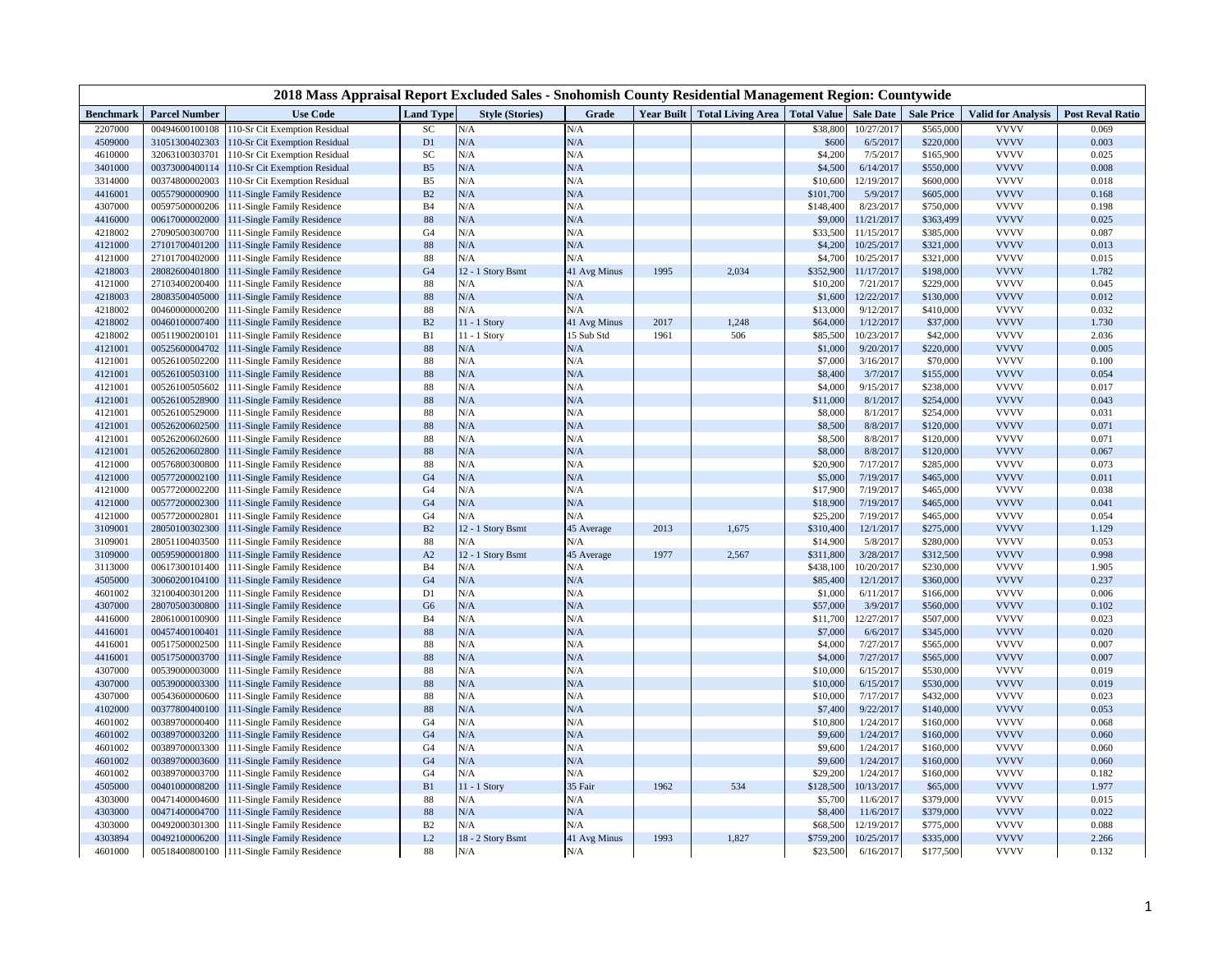|           |                      | 2018 Mass Appraisal Report Excluded Sales - Snohomish County Residential Management Region: Countywide |                |                        |              |      |                                            |           |                  |                   |                           |                         |
|-----------|----------------------|--------------------------------------------------------------------------------------------------------|----------------|------------------------|--------------|------|--------------------------------------------|-----------|------------------|-------------------|---------------------------|-------------------------|
| Benchmark | <b>Parcel Number</b> | <b>Use Code</b>                                                                                        | Land Type      | <b>Style (Stories)</b> | Grade        |      | Year Built Total Living Area   Total Value |           | <b>Sale Date</b> | <b>Sale Price</b> | <b>Valid for Analysis</b> | <b>Post Reval Ratio</b> |
| 2207000   | 00494600100108       | 110-Sr Cit Exemption Residual                                                                          | SC             | N/A                    | N/A          |      |                                            | \$38,800  | 10/27/2017       | \$565,000         | <b>VVVV</b>               | 0.069                   |
| 4509000   | 31051300402303       | 110-Sr Cit Exemption Residual                                                                          | D1             | N/A                    | N/A          |      |                                            | \$600     | 6/5/2017         | \$220,000         | <b>VVVV</b>               | 0.003                   |
| 4610000   | 32063100303701       | 110-Sr Cit Exemption Residual                                                                          | SC             | N/A                    | N/A          |      |                                            | \$4,200   | 7/5/2017         | \$165,900         | <b>VVVV</b>               | 0.025                   |
| 3401000   | 00373000400114       | 110-Sr Cit Exemption Residual                                                                          | B <sub>5</sub> | N/A                    | N/A          |      |                                            | \$4,500   | 6/14/2017        | \$550,000         | <b>VVVV</b>               | 0.008                   |
| 3314000   | 00374800002003       | 110-Sr Cit Exemption Residual                                                                          | B5             | N/A                    | N/A          |      |                                            | \$10,600  | 12/19/2017       | \$600,000         | <b>VVVV</b>               | 0.018                   |
| 4416001   | 00557900000900       | 111-Single Family Residence                                                                            | $\mathbf{B2}$  | N/A                    | N/A          |      |                                            | \$101,700 | 5/9/2017         | \$605,000         | <b>VVVV</b>               | 0.168                   |
| 4307000   | 00597500000206       | 111-Single Family Residence                                                                            | B <sub>4</sub> | N/A                    | N/A          |      |                                            | \$148,400 | 8/23/2017        | \$750,000         | <b>VVVV</b>               | 0.198                   |
| 4416000   | 00617000002000       | 111-Single Family Residence                                                                            | 88             | N/A                    | N/A          |      |                                            | \$9,000   | 11/21/2017       | \$363,499         | <b>VVVV</b>               | 0.025                   |
| 4218002   | 27090500300700       | 111-Single Family Residence                                                                            | G <sub>4</sub> | N/A                    | N/A          |      |                                            | \$33,500  | 11/15/2017       | \$385,000         | <b>VVVV</b>               | 0.087                   |
| 4121000   | 27101700401200       | 111-Single Family Residence                                                                            | 88             | N/A                    | N/A          |      |                                            | \$4,200   | 10/25/2017       | \$321,000         | <b>VVVV</b>               | 0.013                   |
| 4121000   | 27101700402000       | 111-Single Family Residence                                                                            | 88             | N/A                    | N/A          |      |                                            | \$4,700   | 10/25/2017       | \$321,000         | <b>VVVV</b>               | 0.015                   |
| 4218003   | 28082600401800       | 111-Single Family Residence                                                                            | G <sub>4</sub> | 12 - 1 Story Bsmt      | 41 Avg Minus | 1995 | 2,034                                      | \$352,900 | 11/17/2017       | \$198,000         | <b>VVVV</b>               | 1.782                   |
| 4121000   | 27103400200400       | 111-Single Family Residence                                                                            | 88             | N/A                    | N/A          |      |                                            | \$10,200  | 7/21/2017        | \$229,000         | <b>VVVV</b>               | 0.045                   |
| 4218003   | 28083500405000       | 111-Single Family Residence                                                                            | 88             | N/A                    | N/A          |      |                                            | \$1,600   | 12/22/2017       | \$130,000         | <b>VVVV</b>               | 0.012                   |
| 4218002   | 00460000000200       | 111-Single Family Residence                                                                            | 88             | N/A                    | N/A          |      |                                            | \$13,000  | 9/12/2017        | \$410,000         | <b>VVVV</b>               | 0.032                   |
| 4218002   | 00460100007400       | 111-Single Family Residence                                                                            | B2             | 11 - 1 Story           | 41 Avg Minus | 2017 | 1,248                                      | \$64,000  | 1/12/2017        | \$37,000          | <b>VVVV</b>               | 1.730                   |
| 4218002   | 00511900200101       | 111-Single Family Residence                                                                            | B1             | $11 - 1$ Story         | 15 Sub Std   | 1961 | 506                                        | \$85,500  | 10/23/2017       | \$42,000          | <b>VVVV</b>               | 2.036                   |
| 4121001   | 00525600004702       | 111-Single Family Residence                                                                            | 88             | N/A                    | N/A          |      |                                            | \$1,000   | 9/20/2017        | \$220,000         | <b>VVVV</b>               | 0.005                   |
| 4121001   | 00526100502200       | 111-Single Family Residence                                                                            | 88             | N/A                    | N/A          |      |                                            | \$7,000   | 3/16/2017        | \$70,000          | <b>VVVV</b>               | 0.100                   |
| 4121001   | 00526100503100       | 111-Single Family Residence                                                                            | 88             | N/A                    | N/A          |      |                                            | \$8,400   | 3/7/2017         | \$155,000         | <b>VVVV</b>               | 0.054                   |
| 4121001   | 00526100505602       | 111-Single Family Residence                                                                            | 88             | N/A                    | N/A          |      |                                            | \$4,000   | 9/15/2017        | \$238,000         | <b>VVVV</b>               | 0.017                   |
| 4121001   | 00526100528900       | 111-Single Family Residence                                                                            | 88             | N/A                    | N/A          |      |                                            | \$11,000  | 8/1/2017         | \$254,000         | <b>VVVV</b>               | 0.043                   |
| 4121001   | 00526100529000       | 111-Single Family Residence                                                                            | 88             | N/A                    | N/A          |      |                                            | \$8,000   | 8/1/2017         | \$254,000         | <b>VVVV</b>               | 0.031                   |
| 4121001   | 00526200602500       | 111-Single Family Residence                                                                            | 88             | N/A                    | N/A          |      |                                            | \$8,500   | 8/8/2017         | \$120,000         | <b>VVVV</b>               | 0.071                   |
| 4121001   | 00526200602600       | 111-Single Family Residence                                                                            | 88             | N/A                    | N/A          |      |                                            | \$8,500   | 8/8/2017         | \$120,000         | <b>VVVV</b>               | 0.071                   |
| 4121001   | 00526200602800       | 111-Single Family Residence                                                                            | 88             | N/A                    | N/A          |      |                                            | \$8,000   | 8/8/2017         | \$120,000         | <b>VVVV</b>               | 0.067                   |
| 4121000   | 00576800300800       | 111-Single Family Residence                                                                            | 88             | N/A                    | N/A          |      |                                            | \$20,900  | 7/17/2017        | \$285,000         | <b>VVVV</b>               | 0.073                   |
| 4121000   | 00577200002100       | 111-Single Family Residence                                                                            | G <sub>4</sub> | N/A                    | N/A          |      |                                            | \$5,000   | 7/19/2017        | \$465,000         | <b>VVVV</b>               | 0.011                   |
| 4121000   | 00577200002200       | 111-Single Family Residence                                                                            | G <sub>4</sub> | N/A                    | N/A          |      |                                            | \$17,900  | 7/19/2017        | \$465,000         | <b>VVVV</b>               | 0.038                   |
| 4121000   | 00577200002300       | 111-Single Family Residence                                                                            | G <sub>4</sub> | N/A                    | N/A          |      |                                            | \$18,900  | 7/19/2017        | \$465,000         | <b>VVVV</b>               | 0.041                   |
| 4121000   | 00577200002801       | 111-Single Family Residence                                                                            | G <sub>4</sub> | N/A                    | N/A          |      |                                            | \$25,200  | 7/19/2017        | \$465,000         | <b>VVVV</b>               | 0.054                   |
| 3109001   | 28050100302300       | 111-Single Family Residence                                                                            | B2             | 12 - 1 Story Bsmt      | 45 Average   | 2013 | 1,675                                      | \$310,400 | 12/1/2017        | \$275,000         | <b>VVVV</b>               | 1.129                   |
| 3109001   | 28051100403500       | 111-Single Family Residence                                                                            | 88             | N/A                    | N/A          |      |                                            | \$14,900  | 5/8/2017         | \$280,000         | <b>VVVV</b>               | 0.053                   |
| 3109000   | 00595900001800       | 111-Single Family Residence                                                                            | A2             | 12 - 1 Story Bsmt      | 45 Average   | 1977 | 2,567                                      | \$311,800 | 3/28/2017        | \$312,500         | <b>VVVV</b>               | 0.998                   |
| 3113000   | 00617300101400       | 111-Single Family Residence                                                                            | B <sub>4</sub> | N/A                    | N/A          |      |                                            | \$438,100 | 10/20/2017       | \$230,000         | <b>VVVV</b>               | 1.905                   |
| 4505000   | 30060200104100       | 111-Single Family Residence                                                                            | G <sub>4</sub> | N/A                    | N/A          |      |                                            | \$85,400  | 12/1/2017        | \$360,000         | <b>VVVV</b>               | 0.237                   |
| 4601002   | 32100400301200       | 111-Single Family Residence                                                                            | D1             | N/A                    | N/A          |      |                                            | \$1,000   | 6/11/2017        | \$166,000         | <b>VVVV</b>               | 0.006                   |
| 4307000   | 28070500300800       | 111-Single Family Residence                                                                            | G <sub>6</sub> | N/A                    | N/A          |      |                                            | \$57,000  | 3/9/2017         | \$560,000         | <b>VVVV</b>               | 0.102                   |
| 4416000   | 28061000100900       | 111-Single Family Residence                                                                            | <b>B</b> 4     | N/A                    | N/A          |      |                                            | \$11,700  | 12/27/2017       | \$507,000         | <b>VVVV</b>               | 0.023                   |
| 4416001   | 00457400100401       | 111-Single Family Residence                                                                            | 88             | N/A                    | N/A          |      |                                            | \$7,000   | 6/6/2017         | \$345,000         | <b>VVVV</b>               | 0.020                   |
| 4416001   | 00517500002500       | 111-Single Family Residence                                                                            | 88             | N/A                    | $\rm N/A$    |      |                                            | \$4,000   | 7/27/2017        | \$565,000         | <b>VVVV</b>               | 0.007                   |
| 4416001   | 00517500003700       | 111-Single Family Residence                                                                            | 88             | N/A                    | N/A          |      |                                            | \$4,000   | 7/27/2017        | \$565,000         | <b>VVVV</b>               | 0.007                   |
| 4307000   | 00539000003000       | 111-Single Family Residence                                                                            | 88             | N/A                    | N/A          |      |                                            | \$10,000  | 6/15/2017        | \$530,000         | <b>VVVV</b>               | 0.019                   |
| 4307000   | 00539000003300       | 111-Single Family Residence                                                                            | 88             | N/A                    | N/A          |      |                                            | \$10,000  | 6/15/2017        | \$530,000         | <b>VVVV</b>               | 0.019                   |
| 4307000   | 00543600000600       | 111-Single Family Residence                                                                            | 88             | N/A                    | N/A          |      |                                            | \$10,000  | 7/17/2017        | \$432,000         | <b>VVVV</b>               | 0.023                   |
| 4102000   | 00377800400100       | 111-Single Family Residence                                                                            | $88\,$         | N/A                    | N/A          |      |                                            | \$7,400   | 9/22/2017        | \$140,000         | <b>VVVV</b>               | 0.053                   |
| 4601002   | 00389700000400       | 111-Single Family Residence                                                                            | G <sub>4</sub> | N/A                    | N/A          |      |                                            | \$10,800  | 1/24/2017        | \$160,000         | <b>VVVV</b>               | 0.068                   |
| 4601002   | 00389700003200       | 111-Single Family Residence                                                                            | G <sub>4</sub> | N/A                    | N/A          |      |                                            | \$9,600   | 1/24/2017        | \$160,000         | <b>VVVV</b>               | 0.060                   |
| 4601002   | 00389700003300       | 111-Single Family Residence                                                                            | G <sub>4</sub> | N/A                    | N/A          |      |                                            | \$9,600   | 1/24/2017        | \$160,000         | <b>VVVV</b>               | 0.060                   |
| 4601002   | 00389700003600       | 111-Single Family Residence                                                                            | G <sub>4</sub> | N/A                    | N/A          |      |                                            | \$9,600   | 1/24/2017        | \$160,000         | <b>VVVV</b>               | 0.060                   |
| 4601002   | 00389700003700       | 111-Single Family Residence                                                                            | G <sub>4</sub> | N/A                    | N/A          |      |                                            | \$29,200  | 1/24/2017        | \$160,000         | <b>VVVV</b>               | 0.182                   |
| 4505000   | 00401000008200       | 111-Single Family Residence                                                                            | B1             | $11 - 1$ Story         | 35 Fair      | 1962 | 534                                        | \$128,500 | 10/13/2017       | \$65,000          | <b>VVVV</b>               | 1.977                   |
| 4303000   | 00471400004600       | 111-Single Family Residence                                                                            | 88             | N/A                    | N/A          |      |                                            | \$5,700   | 11/6/2017        | \$379,000         | <b>VVVV</b>               | 0.015                   |
| 4303000   | 00471400004700       | 111-Single Family Residence                                                                            | $88\,$         | N/A                    | N/A          |      |                                            | \$8,400   | 11/6/2017        | \$379,000         | <b>VVVV</b>               | 0.022                   |
| 4303000   | 00492000301300       | 111-Single Family Residence                                                                            | B2             | N/A                    | N/A          |      |                                            | \$68,500  | 12/19/2017       | \$775,000         | <b>VVVV</b>               | 0.088                   |
| 4303894   | 00492100006200       | 111-Single Family Residence                                                                            | L2             | 18 - 2 Story Bsmt      | 41 Avg Minus | 1993 | 1,827                                      | \$759,200 | 10/25/2017       | \$335,000         | <b>VVVV</b>               | 2.266                   |
| 4601000   | 00518400800100       | 111-Single Family Residence                                                                            | 88             | N/A                    | N/A          |      |                                            | \$23,500  | 6/16/2017        | \$177,500         | <b>VVVV</b>               | 0.132                   |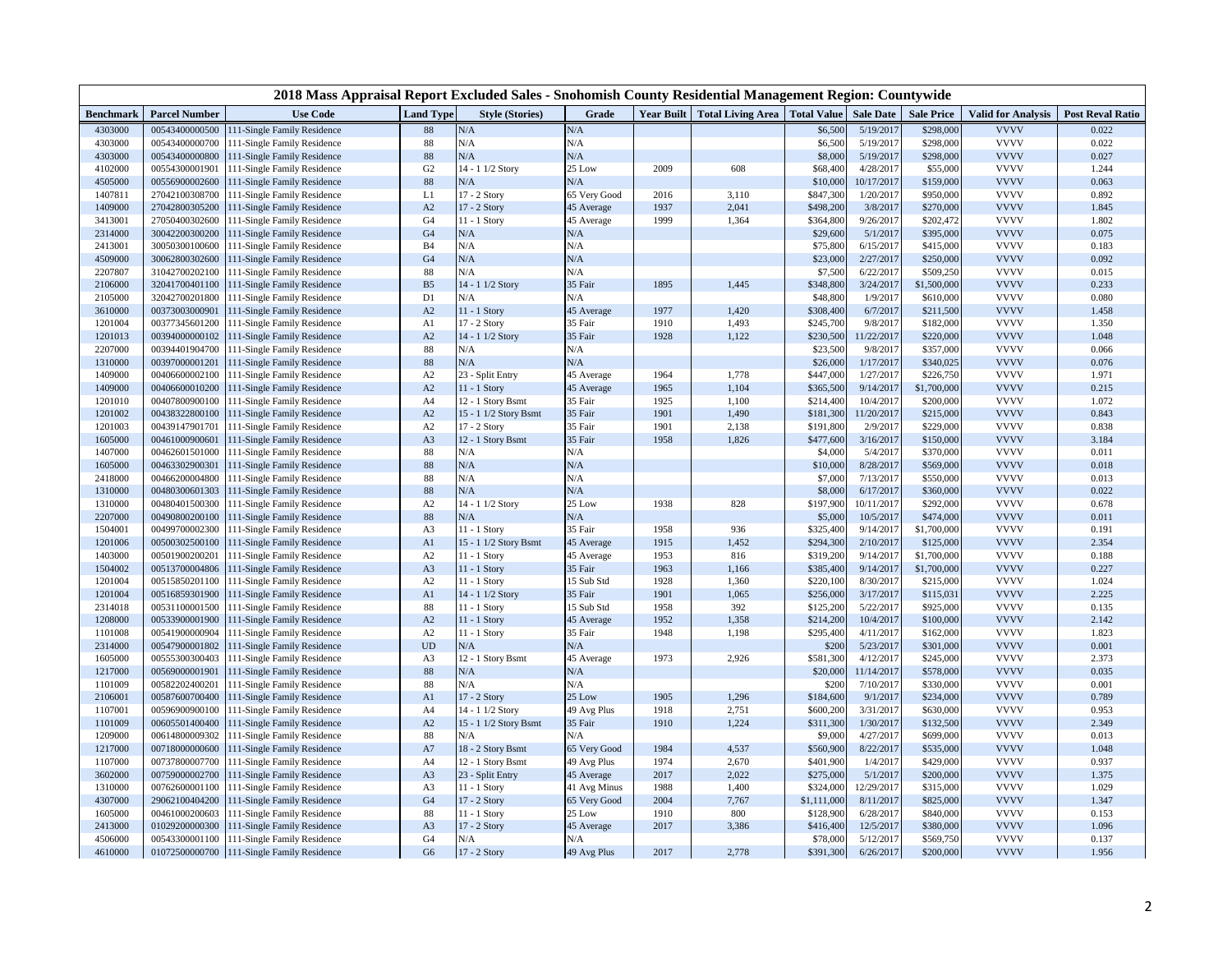|                  |                      | 2018 Mass Appraisal Report Excluded Sales - Snohomish County Residential Management Region: Countywide |                  |                        |              |      |                                                          |             |            |                   |                           |                         |
|------------------|----------------------|--------------------------------------------------------------------------------------------------------|------------------|------------------------|--------------|------|----------------------------------------------------------|-------------|------------|-------------------|---------------------------|-------------------------|
| <b>Benchmark</b> | <b>Parcel Number</b> | <b>Use Code</b>                                                                                        | <b>Land Type</b> | <b>Style (Stories)</b> | Grade        |      | Year Built   Total Living Area   Total Value   Sale Date |             |            | <b>Sale Price</b> | <b>Valid for Analysis</b> | <b>Post Reval Ratio</b> |
| 4303000          | 00543400000500       | 111-Single Family Residence                                                                            | 88               | $\rm N/A$              | $\rm N/A$    |      |                                                          | \$6,500     | 5/19/2017  | \$298,000         | <b>VVVV</b>               | 0.022                   |
| 4303000          | 00543400000700       | 111-Single Family Residence                                                                            | $88\,$           | N/A                    | N/A          |      |                                                          | \$6,500     | 5/19/2017  | \$298,000         | <b>VVVV</b>               | 0.022                   |
| 4303000          | 00543400000800       | 111-Single Family Residence                                                                            | 88               | N/A                    | N/A          |      |                                                          | \$8,000     | 5/19/2017  | \$298,000         | <b>VVVV</b>               | 0.027                   |
| 4102000          | 00554300001901       | 111-Single Family Residence                                                                            | G <sub>2</sub>   | 14 - 1 1/2 Story       | 25 Low       | 2009 | 608                                                      | \$68,400    | 4/28/2017  | \$55,000          | <b>VVVV</b>               | 1.244                   |
| 4505000          | 00556900002600       | 111-Single Family Residence                                                                            | 88               | N/A                    | N/A          |      |                                                          | \$10,000    | 10/17/2017 | \$159,000         | <b>VVVV</b>               | 0.063                   |
| 1407811          | 27042100308700       | 111-Single Family Residence                                                                            | L1               | 17 - 2 Story           | 65 Very Good | 2016 | 3,110                                                    | \$847,300   | 1/20/2017  | \$950,000         | <b>VVVV</b>               | 0.892                   |
| 1409000          | 27042800305200       | 111-Single Family Residence                                                                            | A2               | 17 - 2 Story           | 45 Average   | 1937 | 2,041                                                    | \$498,200   | 3/8/2017   | \$270,000         | <b>VVVV</b>               | 1.845                   |
| 3413001          | 27050400302600       | 111-Single Family Residence                                                                            | G <sub>4</sub>   | 11 - 1 Story           | 45 Average   | 1999 | 1,364                                                    | \$364,800   | 9/26/2017  | \$202,472         | <b>VVVV</b>               | 1.802                   |
| 2314000          | 30042200300200       | 111-Single Family Residence                                                                            | G <sub>4</sub>   | N/A                    | N/A          |      |                                                          | \$29,600    | 5/1/2017   | \$395,000         | <b>VVVV</b>               | 0.075                   |
| 2413001          | 30050300100600       | 111-Single Family Residence                                                                            | <b>B4</b>        | N/A                    | N/A          |      |                                                          | \$75,800    | 6/15/2017  | \$415,000         | <b>VVVV</b>               | 0.183                   |
| 4509000          | 30062800302600       | 111-Single Family Residence                                                                            | G <sub>4</sub>   | N/A                    | N/A          |      |                                                          | \$23,000    | 2/27/2017  | \$250,000         | <b>VVVV</b>               | 0.092                   |
| 2207807          | 31042700202100       | 111-Single Family Residence                                                                            | 88               | N/A                    | N/A          |      |                                                          | \$7,500     | 6/22/2017  | \$509,250         | <b>VVVV</b>               | 0.015                   |
| 2106000          | 32041700401100       | 111-Single Family Residence                                                                            | B <sub>5</sub>   | 14 - 1 1/2 Story       | 35 Fair      | 1895 | 1,445                                                    | \$348,800   | 3/24/2017  | \$1,500,000       | <b>VVVV</b>               | 0.233                   |
| 2105000          | 32042700201800       | 111-Single Family Residence                                                                            | D1               | N/A                    | N/A          |      |                                                          | \$48,800    | 1/9/2017   | \$610,000         | <b>VVVV</b>               | 0.080                   |
| 3610000          | 00373003000901       | 111-Single Family Residence                                                                            | A2               | 11 - 1 Story           | 45 Average   | 1977 | 1,420                                                    | \$308,400   | 6/7/2017   | \$211,500         | <b>VVVV</b>               | 1.458                   |
| 1201004          | 00377345601200       | 111-Single Family Residence                                                                            | A1               | 17 - 2 Story           | 35 Fair      | 1910 | 1,493                                                    | \$245,700   | 9/8/2017   | \$182,000         | <b>VVVV</b>               | 1.350                   |
| 1201013          | 00394000000102       | 111-Single Family Residence                                                                            | A2               | 14 - 1 1/2 Story       | 35 Fair      | 1928 | 1,122                                                    | \$230,500   | 11/22/2017 | \$220,000         | <b>VVVV</b>               | 1.048                   |
| 2207000          | 00394401904700       | 111-Single Family Residence                                                                            | 88               | N/A                    | N/A          |      |                                                          | \$23,500    | 9/8/2017   | \$357,000         | <b>VVVV</b>               | 0.066                   |
| 1310000          | 00397000001201       | 111-Single Family Residence                                                                            | 88               | N/A                    | N/A          |      |                                                          | \$26,000    | 1/17/2017  | \$340,025         | <b>VVVV</b>               | 0.076                   |
| 1409000          | 00406600002100       | 111-Single Family Residence                                                                            | A2               | 23 - Split Entry       | 45 Average   | 1964 | 1,778                                                    | \$447,000   | 1/27/2017  | \$226,750         | <b>VVVV</b>               | 1.971                   |
| 1409000          | 00406600010200       | 11-Single Family Residence                                                                             | A2               | 11 - 1 Story           | 45 Average   | 1965 | 1,104                                                    | \$365,500   | 9/14/2017  | \$1,700,000       | <b>VVVV</b>               | 0.215                   |
| 1201010          | 00407800900100       | 111-Single Family Residence                                                                            | A4               | 12 - 1 Story Bsmt      | 35 Fair      | 1925 | 1,100                                                    | \$214,400   | 10/4/2017  | \$200,000         | <b>VVVV</b>               | 1.072                   |
| 1201002          | 00438322800100       | 111-Single Family Residence                                                                            | A2               | 15 - 1 1/2 Story Bsmt  | 35 Fair      | 1901 | 1,490                                                    | \$181,300   | 11/20/2017 | \$215,000         | <b>VVVV</b>               | 0.843                   |
| 1201003          | 00439147901701       | 11-Single Family Residence                                                                             | A2               | 17 - 2 Story           | 35 Fair      | 1901 | 2,138                                                    | \$191,800   | 2/9/2017   | \$229,000         | <b>VVVV</b>               | 0.838                   |
| 1605000          | 00461000900601       | 111-Single Family Residence                                                                            | A3               | 12 - 1 Story Bsmt      | 35 Fair      | 1958 | 1,826                                                    | \$477,600   | 3/16/2017  | \$150,000         | <b>VVVV</b>               | 3.184                   |
| 1407000          | 00462601501000       | 111-Single Family Residence                                                                            | 88               | N/A                    | N/A          |      |                                                          | \$4,000     | 5/4/2017   | \$370,000         | <b>VVVV</b>               | 0.011                   |
| 1605000          | 00463302900301       | 111-Single Family Residence                                                                            | 88               | $\rm N/A$              | N/A          |      |                                                          | \$10,000    | 8/28/2017  | \$569,000         | <b>VVVV</b>               | 0.018                   |
| 2418000          | 00466200004800       | 111-Single Family Residence                                                                            | 88               | N/A                    | N/A          |      |                                                          | \$7,000     | 7/13/2017  | \$550,000         | <b>VVVV</b>               | 0.013                   |
| 1310000          | 00480300601303       | 111-Single Family Residence                                                                            | 88               | $\rm N/A$              | $\rm N/A$    |      |                                                          | \$8,000     | 6/17/2017  | \$360,000         | <b>VVVV</b>               | 0.022                   |
| 1310000          | 00480401500300       | 111-Single Family Residence                                                                            | A2               | 14 - 1 1/2 Story       | 25 Low       | 1938 | 828                                                      | \$197,900   | 10/11/2017 | \$292,000         | <b>VVVV</b>               | 0.678                   |
| 2207000          | 00490800200100       | 111-Single Family Residence                                                                            | 88               | $\rm N/A$              | N/A          |      |                                                          | \$5,000     | 10/5/2017  | \$474,000         | <b>VVVV</b>               | 0.011                   |
| 1504001          | 00499700002300       | 111-Single Family Residence                                                                            | A3               | 11 - 1 Story           | 35 Fair      | 1958 | 936                                                      | \$325,400   | 9/14/2017  | \$1,700,000       | <b>VVVV</b>               | 0.191                   |
| 1201006          | 00500302500100       | 111-Single Family Residence                                                                            | A1               | 15 - 1 1/2 Story Bsmt  | 45 Average   | 1915 | 1,452                                                    | \$294,300   | 2/10/2017  | \$125,000         | <b>VVVV</b>               | 2.354                   |
| 1403000          | 00501900200201       | 111-Single Family Residence                                                                            | A2               | $11 - 1$ Story         | 45 Average   | 1953 | 816                                                      | \$319,200   | 9/14/2017  | \$1,700,000       | <b>VVVV</b>               | 0.188                   |
| 1504002          | 00513700004806       | 111-Single Family Residence                                                                            | A <sub>3</sub>   | 11 - 1 Story           | 35 Fair      | 1963 | 1,166                                                    | \$385,400   | 9/14/2017  | \$1,700,000       | <b>VVVV</b>               | 0.227                   |
| 1201004          | 00515850201100       | 111-Single Family Residence                                                                            | A2               | $11 - 1$ Story         | 15 Sub Std   | 1928 | 1,360                                                    | \$220,100   | 8/30/2017  | \$215,000         | <b>VVVV</b>               | 1.024                   |
| 1201004          | 00516859301900       | 111-Single Family Residence                                                                            | A <sub>1</sub>   | 14 - 1 1/2 Story       | 35 Fair      | 1901 | 1,065                                                    | \$256,000   | 3/17/2017  | \$115,031         | <b>VVVV</b>               | 2.225                   |
| 2314018          | 00531100001500       | 111-Single Family Residence                                                                            | $88\,$           | 11 - 1 Story           | 15 Sub Std   | 1958 | 392                                                      | \$125,200   | 5/22/2017  | \$925,000         | <b>VVVV</b>               | 0.135                   |
| 1208000          | 00533900001900       | 111-Single Family Residence                                                                            | A2               | 11 - 1 Story           | 45 Average   | 1952 | 1,358                                                    | \$214,200   | 10/4/2017  | \$100,000         | <b>VVVV</b>               | 2.142                   |
| 1101008          | 00541900000904       | 111-Single Family Residence                                                                            | A2               | 11 - 1 Story           | 35 Fair      | 1948 | 1,198                                                    | \$295,400   | 4/11/2017  | \$162,000         | <b>VVVV</b>               | 1.823                   |
| 2314000          | 00547900001802       | 111-Single Family Residence                                                                            | <b>UD</b>        | $\rm N/A$              | N/A          |      |                                                          | \$200       | 5/23/2017  | \$301,000         | <b>VVVV</b>               | 0.001                   |
| 1605000          | 00555300300403       | 111-Single Family Residence                                                                            | A3               | 12 - 1 Story Bsmt      | 45 Average   | 1973 | 2,926                                                    | \$581,300   | 4/12/2017  | \$245,000         | <b>VVVV</b>               | 2.373                   |
| 1217000          | 00569000001901       | 111-Single Family Residence                                                                            | 88               | N/A                    | N/A          |      |                                                          | \$20,000    | 11/14/2017 | \$578,000         | <b>VVVV</b>               | 0.035                   |
| 1101009          | 00582202400201       | 11-Single Family Residence                                                                             | 88               | N/A                    | N/A          |      |                                                          | \$200       | 7/10/2017  | \$330,000         | <b>VVVV</b>               | 0.001                   |
| 2106001          | 00587600700400       | 111-Single Family Residence                                                                            | A1               | 17 - 2 Story           | 25 Low       | 1905 | 1,296                                                    | \$184,600   | 9/1/2017   | \$234,000         | <b>VVVV</b>               | 0.789                   |
| 1107001          | 00596900900100       | 111-Single Family Residence                                                                            | A <sub>4</sub>   | 14 - 1 1/2 Story       | 49 Avg Plus  | 1918 | 2,751                                                    | \$600,200   | 3/31/2017  | \$630,000         | <b>VVVV</b>               | 0.953                   |
| 1101009          | 00605501400400       | 111-Single Family Residence                                                                            | A2               | 15 - 1 1/2 Story Bsmt  | 35 Fair      | 1910 | 1,224                                                    | \$311,300   | 1/30/2017  | \$132,500         | <b>VVVV</b>               | 2.349                   |
| 1209000          | 00614800009302       | 111-Single Family Residence                                                                            | 88               | N/A                    | N/A          |      |                                                          | \$9,000     | 4/27/2017  | \$699,000         | <b>VVVV</b>               | 0.013                   |
| 1217000          | 00718000000600       | 11-Single Family Residence                                                                             | A7               | 18 - 2 Story Bsmt      | 65 Very Good | 1984 | 4,537                                                    | \$560,900   | 8/22/2017  | \$535,000         | <b>VVVV</b>               | 1.048                   |
| 1107000          | 00737800007700       | 111-Single Family Residence                                                                            | A <sub>4</sub>   | 12 - 1 Story Bsmt      | 49 Avg Plus  | 1974 | 2,670                                                    | \$401,900   | 1/4/2017   | \$429,000         | <b>VVVV</b>               | 0.937                   |
| 3602000          | 00759000002700       | 111-Single Family Residence                                                                            | A <sub>3</sub>   | 23 - Split Entry       | 45 Average   | 2017 | 2,022                                                    | \$275,000   | 5/1/2017   | \$200,000         | <b>VVVV</b>               | 1.375                   |
| 1310000          | 00762600001100       | 111-Single Family Residence                                                                            | A3               | 11 - 1 Story           | 41 Avg Minus | 1988 | 1,400                                                    | \$324,000   | 12/29/2017 | \$315,000         | <b>VVVV</b>               | 1.029                   |
| 4307000          | 29062100404200       | 11-Single Family Residence                                                                             | G <sub>4</sub>   | 17 - 2 Story           | 65 Very Good | 2004 | 7,767                                                    | \$1,111,000 | 8/11/2017  | \$825,000         | <b>VVVV</b>               | 1.347                   |
| 1605000          | 00461000200603       | 111-Single Family Residence                                                                            | 88               | $11 - 1$ Story         | 25 Low       | 1910 | 800                                                      | \$128,900   | 6/28/2017  | \$840,000         | <b>VVVV</b>               | 0.153                   |
| 2413000          | 01029200000300       | 111-Single Family Residence                                                                            | A <sub>3</sub>   | 17 - 2 Story           | 45 Average   | 2017 | 3,386                                                    | \$416,400   | 12/5/2017  | \$380,000         | <b>VVVV</b>               | 1.096                   |
| 4506000          | 00543300001100       | 111-Single Family Residence                                                                            | G <sub>4</sub>   | N/A                    | N/A          |      |                                                          | \$78,000    | 5/12/2017  | \$569,750         | <b>VVVV</b>               | 0.137                   |
| 4610000          | 01072500000700       | 111-Single Family Residence                                                                            | G <sub>6</sub>   | 17 - 2 Story           | 49 Avg Plus  | 2017 | 2,778                                                    | \$391,300   | 6/26/2017  | \$200,000         | <b>VVVV</b>               | 1.956                   |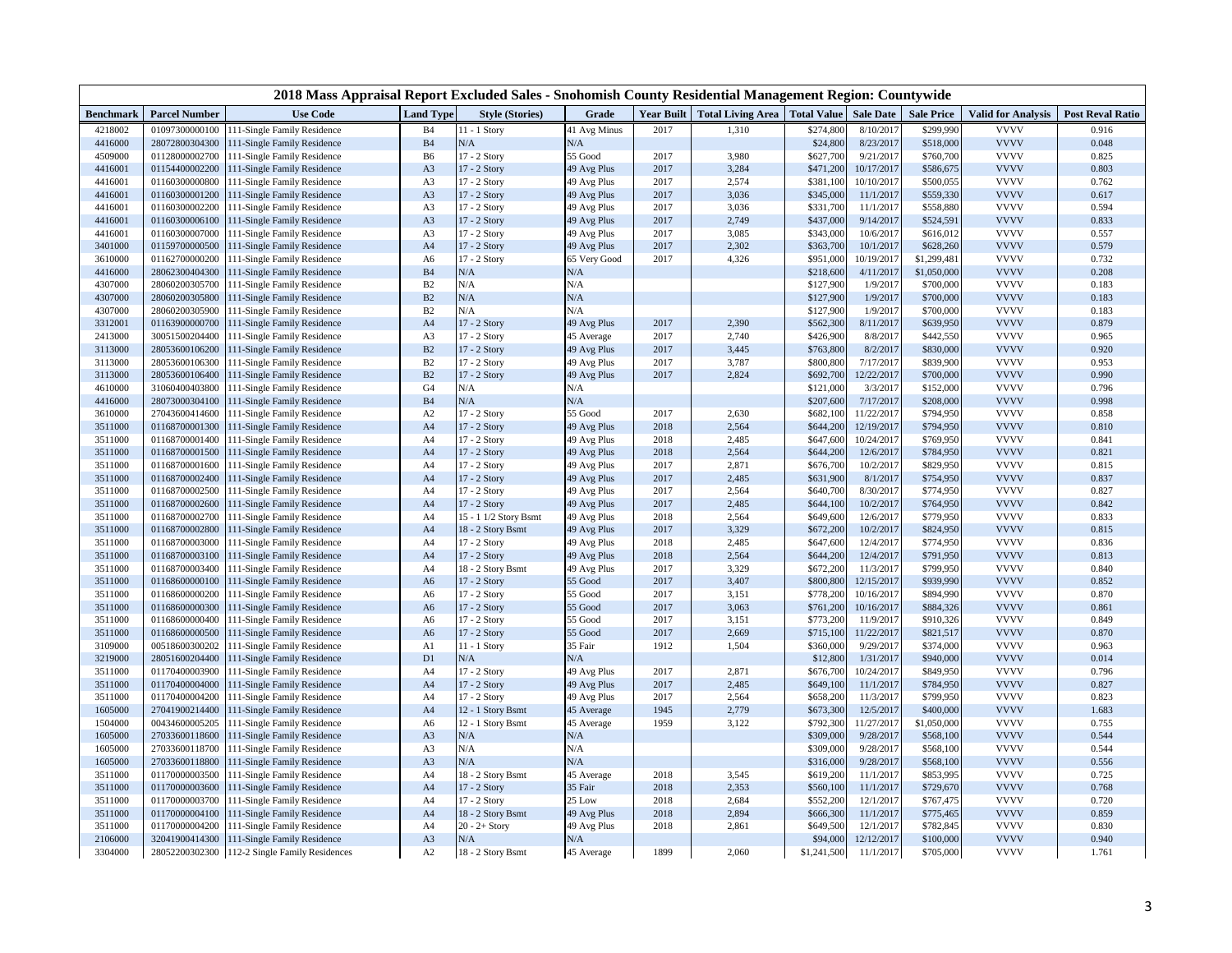|                  |                      | 2018 Mass Appraisal Report Excluded Sales - Snohomish County Residential Management Region: Countywide |                  |                        |              |                   |                                      |             |                  |                   |                           |                         |
|------------------|----------------------|--------------------------------------------------------------------------------------------------------|------------------|------------------------|--------------|-------------------|--------------------------------------|-------------|------------------|-------------------|---------------------------|-------------------------|
| <b>Benchmark</b> | <b>Parcel Number</b> | <b>Use Code</b>                                                                                        | <b>Land Type</b> | <b>Style (Stories)</b> | Grade        | <b>Year Built</b> | <b>Total Living Area</b> Total Value |             | <b>Sale Date</b> | <b>Sale Price</b> | <b>Valid for Analysis</b> | <b>Post Reval Ratio</b> |
| 4218002          | 01097300000100       | 111-Single Family Residence                                                                            | <b>B4</b>        | $11 - 1$ Story         | 41 Avg Minus | 2017              | 1,310                                | \$274,800   | 8/10/2017        | \$299,990         | <b>VVVV</b>               | 0.916                   |
| 4416000          | 28072800304300       | 111-Single Family Residence                                                                            | $\mathbf{B}4$    | $\rm N/A$              | $\rm N/A$    |                   |                                      | \$24,800    | 8/23/2017        | \$518,000         | <b>VVVV</b>               | 0.048                   |
| 4509000          | 01128000002700       | 111-Single Family Residence                                                                            | B6               | 17 - 2 Story           | 55 Good      | 2017              | 3,980                                | \$627,700   | 9/21/2017        | \$760,700         | <b>VVVV</b>               | 0.825                   |
| 4416001          | 01154400002200       | 111-Single Family Residence                                                                            | A <sub>3</sub>   | 17 - 2 Story           | 49 Avg Plus  | 2017              | 3,284                                | \$471,200   | 10/17/2017       | \$586,675         | <b>VVVV</b>               | 0.803                   |
| 4416001          | 01160300000800       | 111-Single Family Residence                                                                            | A3               | 17 - 2 Story           | 49 Avg Plus  | 2017              | 2,574                                | \$381,100   | 10/10/2017       | \$500,055         | <b>VVVV</b>               | 0.762                   |
| 4416001          | 01160300001200       | 111-Single Family Residence                                                                            | A <sub>3</sub>   | 17 - 2 Story           | 49 Avg Plus  | 2017              | 3,036                                | \$345,000   | 11/1/2017        | \$559,330         | <b>VVVV</b>               | 0.617                   |
| 4416001          | 01160300002200       | 111-Single Family Residence                                                                            | A3               | 17 - 2 Story           | 49 Avg Plus  | 2017              | 3,036                                | \$331,700   | 11/1/2017        | \$558,880         | <b>VVVV</b>               | 0.594                   |
| 4416001          | 01160300006100       | 111-Single Family Residence                                                                            | A <sub>3</sub>   | 17 - 2 Story           | 49 Avg Plus  | 2017              | 2,749                                | \$437,000   | 9/14/2017        | \$524,591         | <b>VVVV</b>               | 0.833                   |
| 4416001          | 01160300007000       | 111-Single Family Residence                                                                            | A3               | 17 - 2 Story           | 49 Avg Plus  | 2017              | 3,085                                | \$343,000   | 10/6/2017        | \$616,012         | <b>VVVV</b>               | 0.557                   |
| 3401000          | 01159700000500       | 111-Single Family Residence                                                                            | A4               | 17 - 2 Story           | 49 Avg Plus  | 2017              | 2,302                                | \$363,700   | 10/1/2017        | \$628,260         | <b>VVVV</b>               | 0.579                   |
| 3610000          | 01162700000200       | 111-Single Family Residence                                                                            | A6               | 17 - 2 Story           | 65 Very Good | 2017              | 4,326                                | \$951,000   | 10/19/2017       | \$1,299,481       | <b>VVVV</b>               | 0.732                   |
| 4416000          | 28062300404300       | 111-Single Family Residence                                                                            | B4               | N/A                    | N/A          |                   |                                      | \$218,600   | 4/11/2017        | \$1,050,000       | <b>VVVV</b>               | 0.208                   |
| 4307000          | 28060200305700       | 111-Single Family Residence                                                                            | B2               | N/A                    | N/A          |                   |                                      | \$127,900   | 1/9/2017         | \$700,000         | <b>VVVV</b>               | 0.183                   |
| 4307000          | 28060200305800       | 111-Single Family Residence                                                                            | $\mathbf{B}2$    | N/A                    | N/A          |                   |                                      | \$127,900   | 1/9/2017         | \$700,000         | <b>VVVV</b>               | 0.183                   |
| 4307000          | 28060200305900       | 111-Single Family Residence                                                                            | B2               | N/A                    | N/A          |                   |                                      | \$127,900   | 1/9/2017         | \$700,000         | <b>VVVV</b>               | 0.183                   |
| 3312001          | 01163900000700       | 111-Single Family Residence                                                                            | A <sub>4</sub>   | 17 - 2 Story           | 49 Avg Plus  | 2017              | 2,390                                | \$562,300   | 8/11/2017        | \$639,950         | <b>VVVV</b>               | 0.879                   |
| 2413000          | 30051500204400       | 111-Single Family Residence                                                                            | A3               | 17 - 2 Story           | 45 Average   | 2017              | 2,740                                | \$426,900   | 8/8/2017         | \$442,550         | <b>VVVV</b>               | 0.965                   |
| 3113000          | 28053600106200       | 111-Single Family Residence                                                                            | B2               | 17 - 2 Story           | 49 Avg Plus  | 2017              | 3,445                                | \$763,800   | 8/2/2017         | \$830,000         | <b>VVVV</b>               | 0.920                   |
| 3113000          | 28053600106300       | 111-Single Family Residence                                                                            | B2               | 17 - 2 Story           | 49 Avg Plus  | 2017              | 3,787                                | \$800,800   | 7/17/2017        | \$839,900         | <b>VVVV</b>               | 0.953                   |
| 3113000          | 28053600106400       | 111-Single Family Residence                                                                            | B2               | 17 - 2 Story           | 49 Avg Plus  | 2017              | 2,824                                | \$692,700   | 12/22/2017       | \$700,000         | <b>VVVV</b>               | 0.990                   |
| 4610000          | 31060400403800       | 111-Single Family Residence                                                                            | G <sub>4</sub>   | N/A                    | N/A          |                   |                                      | \$121,000   | 3/3/2017         | \$152,000         | <b>VVVV</b>               | 0.796                   |
| 4416000          | 28073000304100       | 111-Single Family Residence                                                                            | B <sub>4</sub>   | N/A                    | N/A          |                   |                                      | \$207,600   | 7/17/2017        | \$208,000         | <b>VVVV</b>               | 0.998                   |
| 3610000          | 27043600414600       | 111-Single Family Residence                                                                            | A2               | 17 - 2 Story           | 55 Good      | 2017              | 2,630                                | \$682,100   | 11/22/2017       | \$794,950         | <b>VVVV</b>               | 0.858                   |
| 3511000          | 01168700001300       | 111-Single Family Residence                                                                            | A <sub>4</sub>   | 17 - 2 Story           | 49 Avg Plus  | 2018              | 2,564                                | \$644,200   | 12/19/2017       | \$794,950         | <b>VVVV</b>               | 0.810                   |
| 3511000          | 01168700001400       | 111-Single Family Residence                                                                            | A4               | 17 - 2 Story           | 49 Avg Plus  | 2018              | 2,485                                | \$647,600   | 10/24/2017       | \$769,950         | <b>VVVV</b>               | 0.841                   |
| 3511000          | 01168700001500       | 111-Single Family Residence                                                                            | A <sub>4</sub>   | 17 - 2 Story           | 49 Avg Plus  | 2018              | 2,564                                | \$644,200   | 12/6/2017        | \$784,950         | <b>VVVV</b>               | 0.821                   |
| 3511000          | 01168700001600       | 111-Single Family Residence                                                                            | A4               | 17 - 2 Story           | 49 Avg Plus  | 2017              | 2,871                                | \$676,700   | 10/2/2017        | \$829,950         | <b>VVVV</b>               | 0.815                   |
| 3511000          | 01168700002400       | 111-Single Family Residence                                                                            | A <sub>4</sub>   | 17 - 2 Story           | 49 Avg Plus  | 2017              | 2,485                                | \$631,900   | 8/1/2017         | \$754,950         | <b>VVVV</b>               | 0.837                   |
| 3511000          | 01168700002500       | 111-Single Family Residence                                                                            | A4               | 17 - 2 Story           | 49 Avg Plus  | 2017              | 2,564                                | \$640,700   | 8/30/2017        | \$774,950         | <b>VVVV</b>               | 0.827                   |
| 3511000          | 01168700002600       | 111-Single Family Residence                                                                            | A4               | 17 - 2 Story           | 49 Avg Plus  | 2017              | 2,485                                | \$644,100   | 10/2/2017        | \$764,950         | <b>VVVV</b>               | 0.842                   |
| 3511000          | 01168700002700       | 111-Single Family Residence                                                                            | A4               | 15 - 1 1/2 Story Bsmt  | 49 Avg Plus  | 2018              | 2,564                                | \$649,600   | 12/6/2017        | \$779,950         | <b>VVVV</b>               | 0.833                   |
| 3511000          | 01168700002800       | 111-Single Family Residence                                                                            | A <sub>4</sub>   | 18 - 2 Story Bsmt      | 49 Avg Plus  | 2017              | 3,329                                | \$672,200   | 10/2/2017        | \$824,950         | <b>VVVV</b>               | 0.815                   |
| 3511000          | 01168700003000       | 111-Single Family Residence                                                                            | A4               | 17 - 2 Story           | 49 Avg Plus  | 2018              | 2,485                                | \$647,600   | 12/4/2017        | \$774,950         | <b>VVVV</b>               | 0.836                   |
| 3511000          | 01168700003100       | 111-Single Family Residence                                                                            | A <sub>4</sub>   | 17 - 2 Story           | 49 Avg Plus  | 2018              | 2,564                                | \$644,200   | 12/4/2017        | \$791,950         | <b>VVVV</b>               | 0.813                   |
| 3511000          | 01168700003400       | 111-Single Family Residence                                                                            | A <sub>4</sub>   | 18 - 2 Story Bsmt      | 49 Avg Plus  | 2017              | 3,329                                | \$672,200   | 11/3/2017        | \$799,950         | <b>VVVV</b>               | 0.840                   |
| 3511000          | 01168600000100       | 111-Single Family Residence                                                                            | A <sub>6</sub>   | 17 - 2 Story           | 55 Good      | 2017              | 3,407                                | \$800,800   | 12/15/2017       | \$939,990         | <b>VVVV</b>               | 0.852                   |
| 3511000          | 01168600000200       | 111-Single Family Residence                                                                            | A6               | 17 - 2 Story           | 55 Good      | 2017              | 3,151                                | \$778,200   | 10/16/2017       | \$894,990         | <b>VVVV</b>               | 0.870                   |
| 3511000          | 01168600000300       | 111-Single Family Residence                                                                            | A <sub>6</sub>   | 17 - 2 Story           | 55 Good      | 2017              | 3,063                                | \$761,200   | 10/16/2017       | \$884,326         | <b>VVVV</b>               | 0.861                   |
| 3511000          | 01168600000400       | 111-Single Family Residence                                                                            | A6               | 17 - 2 Story           | 55 Good      | 2017              | 3,151                                | \$773,200   | 11/9/2017        | \$910,326         | <b>VVVV</b>               | 0.849                   |
| 3511000          | 01168600000500       | 111-Single Family Residence                                                                            | A6               | 17 - 2 Story           | 55 Good      | 2017              | 2,669                                | \$715,100   | 11/22/2017       | \$821,517         | <b>VVVV</b>               | 0.870                   |
| 3109000          | 00518600300202       | 111-Single Family Residence                                                                            | A1               | $11 - 1$ Story         | 35 Fair      | 1912              | 1,504                                | \$360,000   | 9/29/2017        | \$374,000         | <b>VVVV</b>               | 0.963                   |
| 3219000          | 28051600204400       | 111-Single Family Residence                                                                            | D <sub>1</sub>   | N/A                    | N/A          |                   |                                      | \$12,800    | 1/31/2017        | \$940,000         | <b>VVVV</b>               | 0.014                   |
| 3511000          | 01170400003900       | 111-Single Family Residence                                                                            | A <sub>4</sub>   | 17 - 2 Story           | 49 Avg Plus  | 2017              | 2,871                                | \$676,700   | 10/24/2017       | \$849,950         | <b>VVVV</b>               | 0.796                   |
| 3511000          | 01170400004000       | 111-Single Family Residence                                                                            | A <sub>4</sub>   | 17 - 2 Story           | 49 Avg Plus  | 2017              | 2,485                                | \$649,100   | 11/1/2017        | \$784,950         | <b>VVVV</b>               | 0.827                   |
| 3511000          | 01170400004200       | 111-Single Family Residence                                                                            | A4               | 17 - 2 Story           | 49 Avg Plus  | 2017              | 2,564                                | \$658,200   | 11/3/2017        | \$799,950         | <b>VVVV</b>               | 0.823                   |
| 1605000          | 27041900214400       | 111-Single Family Residence                                                                            | A4               | 12 - 1 Story Bsmt      | 45 Average   | 1945              | 2,779                                | \$673,300   | 12/5/2017        | \$400,000         | <b>VVVV</b>               | 1.683                   |
| 1504000          | 00434600005205       | 111-Single Family Residence                                                                            | A6               | 12 - 1 Story Bsmt      | 45 Average   | 1959              | 3,122                                | \$792,300   | 11/27/2017       | \$1,050,000       | <b>VVVV</b>               | 0.755                   |
| 1605000          | 27033600118600       | 111-Single Family Residence                                                                            | A <sub>3</sub>   | N/A                    | N/A          |                   |                                      | \$309,000   | 9/28/2017        | \$568,100         | <b>VVVV</b>               | 0.544                   |
| 1605000          | 27033600118700       | 111-Single Family Residence                                                                            | A3               | N/A                    | N/A          |                   |                                      | \$309,000   | 9/28/2017        | \$568,100         | <b>VVVV</b>               | 0.544                   |
| 1605000          | 27033600118800       | 111-Single Family Residence                                                                            | A <sub>3</sub>   | N/A                    | N/A          |                   |                                      | \$316,000   | 9/28/2017        | \$568,100         | <b>VVVV</b>               | 0.556                   |
| 3511000          | 01170000003500       | 111-Single Family Residence                                                                            | A <sub>4</sub>   | 18 - 2 Story Bsmt      | 45 Average   | 2018              | 3,545                                | \$619,200   | 11/1/2017        | \$853,995         | <b>VVVV</b>               | 0.725                   |
| 3511000          | 01170000003600       | 111-Single Family Residence                                                                            | A <sub>4</sub>   | 17 - 2 Story           | 35 Fair      | 2018              | 2,353                                | \$560,100   | 11/1/2017        | \$729,670         | <b>VVVV</b>               | 0.768                   |
| 3511000          | 01170000003700       | 111-Single Family Residence                                                                            | A4               | 17 - 2 Story           | 25 Low       | 2018              | 2,684                                | \$552,200   | 12/1/2017        | \$767,475         | <b>VVVV</b>               | 0.720                   |
| 3511000          | 01170000004100       | 111-Single Family Residence                                                                            | A <sub>4</sub>   | 18 - 2 Story Bsmt      | 49 Avg Plus  | 2018              | 2,894                                | \$666,300   | 11/1/2017        | \$775,465         | <b>VVVV</b>               | 0.859                   |
| 3511000          | 01170000004200       | 111-Single Family Residence                                                                            | A <sub>4</sub>   | $20 - 2 +$ Story       | 49 Avg Plus  | 2018              | 2,861                                | \$649,500   | 12/1/2017        | \$782,845         | <b>VVVV</b>               | 0.830                   |
| 2106000          | 32041900414300       | 111-Single Family Residence                                                                            | A <sub>3</sub>   | $\rm N/A$              | N/A          |                   |                                      | \$94,000    | 12/12/2017       | \$100,000         | <b>VVVV</b>               | 0.940                   |
| 3304000          |                      | 28052200302300 112-2 Single Family Residences                                                          | A2               | 18 - 2 Story Bsmt      | 45 Average   | 1899              | 2,060                                | \$1,241,500 | 11/1/2017        | \$705,000         | <b>VVVV</b>               | 1.761                   |
|                  |                      |                                                                                                        |                  |                        |              |                   |                                      |             |                  |                   |                           |                         |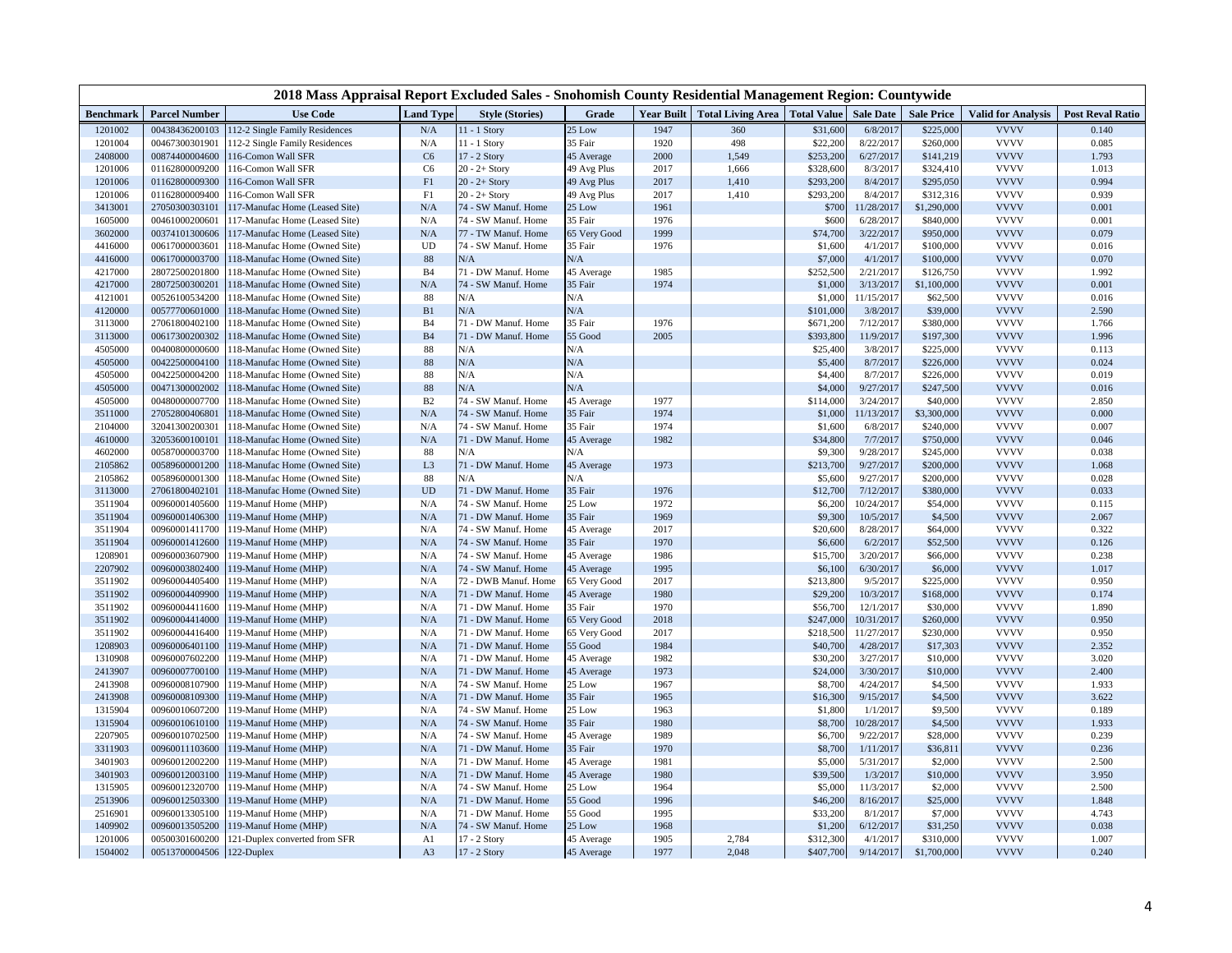| 2018 Mass Appraisal Report Excluded Sales - Snohomish County Residential Management Region: Countywide |                                  |                                                                |                  |                        |              |      |                                              |                    |                       |                       |                            |                         |
|--------------------------------------------------------------------------------------------------------|----------------------------------|----------------------------------------------------------------|------------------|------------------------|--------------|------|----------------------------------------------|--------------------|-----------------------|-----------------------|----------------------------|-------------------------|
| <b>Benchmark</b>                                                                                       | <b>Parcel Number</b>             | <b>Use Code</b>                                                | <b>Land Type</b> | <b>Style (Stories)</b> | Grade        |      | Year Built   Total Living Area   Total Value |                    | <b>Sale Date</b>      | <b>Sale Price</b>     | <b>Valid for Analysis</b>  | <b>Post Reval Ratio</b> |
| 1201002                                                                                                | 00438436200103                   | 112-2 Single Family Residences                                 | N/A              | 11 - 1 Story           | 25 Low       | 1947 | 360                                          | \$31,600           | 6/8/2017              | \$225,000             | <b>VVVV</b>                | 0.140                   |
| 1201004                                                                                                | 00467300301901                   | 112-2 Single Family Residences                                 | N/A              | 11 - 1 Story           | 35 Fair      | 1920 | 498                                          | \$22,200           | 8/22/2017             | \$260,000             | <b>VVVV</b>                | 0.085                   |
| 2408000                                                                                                | 00874400004600                   | 116-Comon Wall SFR                                             | C6               | 17 - 2 Story           | 45 Average   | 2000 | 1,549                                        | \$253,200          | 6/27/2017             | \$141,219             | <b>VVVV</b>                | 1.793                   |
| 1201006                                                                                                | 01162800009200                   | 116-Comon Wall SFR                                             | C <sub>6</sub>   | $20 - 2 +$ Story       | 49 Avg Plus  | 2017 | 1,666                                        | \$328,600          | 8/3/2017              | \$324,410             | <b>VVVV</b>                | 1.013                   |
| 1201006                                                                                                | 01162800009300                   | 116-Comon Wall SFR                                             | F1               | $20 - 2 +$ Story       | 49 Avg Plus  | 2017 | 1,410                                        | \$293,200          | 8/4/2017              | \$295,050             | <b>VVVV</b>                | 0.994                   |
| 1201006                                                                                                | 01162800009400                   | 116-Comon Wall SFR                                             | F1               | $20 - 2 +$ Story       | 49 Avg Plus  | 2017 | 1,410                                        | \$293,200          | 8/4/2017              | \$312,316             | <b>VVVV</b>                | 0.939                   |
| 3413001                                                                                                | 27050300303101                   | 117-Manufac Home (Leased Site)                                 | N/A              | 74 - SW Manuf. Home    | 25 Low       | 1961 |                                              | \$700              | 11/28/2017            | \$1,290,000           | <b>VVVV</b>                | 0.001                   |
| 1605000                                                                                                | 00461000200601                   | 117-Manufac Home (Leased Site)                                 | N/A              | 74 - SW Manuf, Home    | 35 Fair      | 1976 |                                              | \$600              | 6/28/2017             | \$840,000             | <b>VVVV</b>                | 0.001                   |
| 3602000                                                                                                | 00374101300606                   | 117-Manufac Home (Leased Site)                                 | N/A              | 77 - TW Manuf. Home    | 65 Very Good | 1999 |                                              | \$74,700           | 3/22/2017             | \$950,000             | <b>VVVV</b>                | 0.079                   |
| 4416000                                                                                                | 00617000003601                   | 118-Manufac Home (Owned Site)                                  | UD               | 74 - SW Manuf. Home    | 35 Fair      | 1976 |                                              | \$1,600            | 4/1/2017              | \$100,000             | <b>VVVV</b>                | 0.016                   |
| 4416000                                                                                                | 00617000003700                   | 118-Manufac Home (Owned Site)                                  | $88\,$           | N/A                    | N/A          |      |                                              | \$7,000            | 4/1/2017              | \$100,000             | <b>VVVV</b>                | 0.070                   |
| 4217000                                                                                                | 28072500201800                   | 118-Manufac Home (Owned Site)                                  | <b>B</b> 4       | 71 - DW Manuf. Home    | 45 Average   | 1985 |                                              | \$252,500          | 2/21/2017             | \$126,750             | <b>VVVV</b>                | 1.992                   |
| 4217000                                                                                                | 28072500300201                   | 118-Manufac Home (Owned Site)                                  | N/A              | 74 - SW Manuf. Home    | 35 Fair      | 1974 |                                              | \$1,000            | 3/13/2017             | \$1,100,000           | <b>VVVV</b>                | 0.001                   |
| 4121001                                                                                                | 00526100534200                   | 118-Manufac Home (Owned Site)                                  | 88               | N/A                    | N/A          |      |                                              | \$1,000            | 11/15/2017            | \$62,500              | <b>VVVV</b>                | 0.016                   |
| 4120000                                                                                                | 00577700601000                   | 118-Manufac Home (Owned Site)                                  | B1               | $\rm N/A$              | N/A          |      |                                              | \$101,000          | 3/8/2017              | \$39,000              | <b>VVVV</b><br><b>VVVV</b> | 2.590                   |
| 3113000                                                                                                | 27061800402100                   | 118-Manufac Home (Owned Site)                                  | B <sub>4</sub>   | 71 - DW Manuf. Home    | 35 Fair      | 1976 |                                              | \$671,200          | 7/12/2017             | \$380,000             |                            | 1.766                   |
| 3113000                                                                                                | 00617300200302                   | 118-Manufac Home (Owned Site)                                  | <b>B4</b>        | 71 - DW Manuf. Home    | 55 Good      | 2005 |                                              | \$393,800          | 11/9/2017             | \$197,300             | <b>VVVV</b>                | 1.996                   |
| 4505000                                                                                                | 00400800000600                   | 118-Manufac Home (Owned Site)                                  | 88               | N/A                    | N/A          |      |                                              | \$25,400           | 3/8/2017              | \$225,000             | <b>VVVV</b>                | 0.113                   |
| 4505000                                                                                                | 00422500004100                   | 118-Manufac Home (Owned Site)                                  | 88               | N/A                    | N/A          |      |                                              | \$5,400            | 8/7/2017              | \$226,000             | <b>VVVV</b><br><b>VVVV</b> | 0.024                   |
| 4505000<br>4505000                                                                                     | 00422500004200                   | 118-Manufac Home (Owned Site)                                  | 88<br>88         | N/A<br>N/A             | N/A<br>N/A   |      |                                              | \$4,400<br>\$4,000 | 8/7/2017<br>9/27/2017 | \$226,000             | <b>VVVV</b>                | 0.019<br>0.016          |
| 4505000                                                                                                | 00471300002002<br>00480000007700 | 118-Manufac Home (Owned Site)<br>118-Manufac Home (Owned Site) | B <sub>2</sub>   | 74 - SW Manuf. Home    | 45 Average   | 1977 |                                              | \$114,000          | 3/24/2017             | \$247,500<br>\$40,000 | <b>VVVV</b>                | 2.850                   |
| 3511000                                                                                                | 27052800406801                   | 118-Manufac Home (Owned Site)                                  | N/A              | 74 - SW Manuf. Home    | 35 Fair      | 1974 |                                              | \$1,000            | 11/13/2017            | \$3,300,000           | <b>VVVV</b>                | 0.000                   |
| 2104000                                                                                                | 32041300200301                   | 118-Manufac Home (Owned Site)                                  | N/A              | 74 - SW Manuf. Home    | 35 Fair      | 1974 |                                              | \$1,600            | 6/8/2017              | \$240,000             | <b>VVVV</b>                | 0.007                   |
| 4610000                                                                                                | 32053600100101                   | 118-Manufac Home (Owned Site)                                  | N/A              | 71 - DW Manuf. Home    | 45 Average   | 1982 |                                              | \$34,800           | 7/7/201               | \$750,000             | <b>VVVV</b>                | 0.046                   |
| 4602000                                                                                                | 00587000003700                   | 118-Manufac Home (Owned Site)                                  | 88               | N/A                    | N/A          |      |                                              | \$9,300            | 9/28/2017             | \$245,000             | <b>VVVV</b>                | 0.038                   |
| 2105862                                                                                                | 00589600001200                   | 118-Manufac Home (Owned Site)                                  | L <sub>3</sub>   | 71 - DW Manuf. Home    | 45 Average   | 1973 |                                              | \$213,700          | 9/27/2017             | \$200,000             | <b>VVVV</b>                | 1.068                   |
| 2105862                                                                                                | 00589600001300                   | 118-Manufac Home (Owned Site)                                  | 88               | N/A                    | N/A          |      |                                              | \$5,600            | 9/27/2017             | \$200,000             | <b>VVVV</b>                | 0.028                   |
| 3113000                                                                                                | 27061800402101                   | 118-Manufac Home (Owned Site)                                  | <b>UD</b>        | 71 - DW Manuf. Home    | 35 Fair      | 1976 |                                              | \$12,700           | 7/12/2017             | \$380,000             | <b>VVVV</b>                | 0.033                   |
| 3511904                                                                                                | 00960001405600                   | 119-Manuf Home (MHP)                                           | N/A              | 74 - SW Manuf. Home    | 25 Low       | 1972 |                                              | \$6,200            | 10/24/2017            | \$54,000              | <b>VVVV</b>                | 0.115                   |
| 3511904                                                                                                | 00960001406300                   | 119-Manuf Home (MHP)                                           | N/A              | 71 - DW Manuf. Home    | 35 Fair      | 1969 |                                              | \$9,300            | 10/5/2017             | \$4,500               | <b>VVVV</b>                | 2.067                   |
| 3511904                                                                                                | 00960001411700                   | 119-Manuf Home (MHP)                                           | N/A              | 74 - SW Manuf. Home    | 45 Average   | 2017 |                                              | \$20,600           | 8/28/2017             | \$64,000              | <b>VVVV</b>                | 0.322                   |
| 3511904                                                                                                | 00960001412600                   | 119-Manuf Home (MHP)                                           | N/A              | 74 - SW Manuf. Home    | 35 Fair      | 1970 |                                              | \$6,600            | 6/2/2017              | \$52,500              | <b>VVVV</b>                | 0.126                   |
| 1208901                                                                                                | 00960003607900                   | 119-Manuf Home (MHP)                                           | N/A              | 74 - SW Manuf. Home    | 45 Average   | 1986 |                                              | \$15,700           | 3/20/2017             | \$66,000              | <b>VVVV</b>                | 0.238                   |
| 2207902                                                                                                | 00960003802400                   | 119-Manuf Home (MHP)                                           | N/A              | 74 - SW Manuf. Home    | 45 Average   | 1995 |                                              | \$6,100            | 6/30/2017             | \$6,000               | <b>VVVV</b>                | 1.017                   |
| 3511902                                                                                                | 00960004405400                   | 19-Manuf Home (MHP)                                            | N/A              | 72 - DWB Manuf. Home   | 65 Very Good | 2017 |                                              | \$213,800          | 9/5/2017              | \$225,000             | <b>VVVV</b>                | 0.950                   |
| 3511902                                                                                                | 00960004409900                   | 119-Manuf Home (MHP)                                           | N/A              | 71 - DW Manuf. Home    | 45 Average   | 1980 |                                              | \$29,200           | 10/3/2017             | \$168,000             | <b>VVVV</b>                | 0.174                   |
| 3511902                                                                                                | 00960004411600                   | 119-Manuf Home (MHP)                                           | N/A              | 71 - DW Manuf. Home    | 35 Fair      | 1970 |                                              | \$56,700           | 12/1/2017             | \$30,000              | <b>VVVV</b>                | 1.890                   |
| 3511902                                                                                                | 00960004414000                   | 119-Manuf Home (MHP)                                           | N/A              | 71 - DW Manuf. Home    | 65 Very Good | 2018 |                                              | \$247,000          | 10/31/2017            | \$260,000             | <b>VVVV</b>                | 0.950                   |
| 3511902                                                                                                | 00960004416400                   | 119-Manuf Home (MHP)                                           | N/A              | 71 - DW Manuf. Home    | 65 Very Good | 2017 |                                              | \$218,500          | 11/27/2017            | \$230,000             | <b>VVVV</b>                | 0.950                   |
| 1208903                                                                                                | 00960006401100                   | 119-Manuf Home (MHP)                                           | N/A              | 71 - DW Manuf. Home    | 55 Good      | 1984 |                                              | \$40,700           | 4/28/2017             | \$17,303              | <b>VVVV</b>                | 2.352                   |
| 1310908                                                                                                | 00960007602200                   | 119-Manuf Home (MHP)                                           | N/A              | 71 - DW Manuf. Home    | 45 Average   | 1982 |                                              | \$30,200           | 3/27/2017             | \$10,000              | <b>VVVV</b>                | 3.020                   |
| 2413907                                                                                                | 00960007700100                   | 119-Manuf Home (MHP)                                           | N/A              | 71 - DW Manuf. Home    | 45 Average   | 1973 |                                              | \$24,000           | 3/30/2017             | \$10,000              | <b>VVVV</b>                | 2.400                   |
| 2413908                                                                                                | 00960008107900                   | 119-Manuf Home (MHP)                                           | N/A              | 74 - SW Manuf. Home    | 25 Low       | 1967 |                                              | \$8,700            | 4/24/2017             | \$4,500               | <b>VVVV</b>                | 1.933                   |
| 2413908                                                                                                | 00960008109300                   | 119-Manuf Home (MHP)                                           | N/A              | 71 - DW Manuf. Home    | 35 Fair      | 1965 |                                              | \$16,300           | 9/15/2017             | \$4,500               | <b>VVVV</b>                | 3.622                   |
| 1315904                                                                                                | 00960010607200                   | 119-Manuf Home (MHP)                                           | N/A              | 74 - SW Manuf. Home    | 25 Low       | 1963 |                                              | \$1,800            | 1/1/2017              | \$9,500               | <b>VVVV</b>                | 0.189                   |
| 1315904                                                                                                | 00960010610100                   | 119-Manuf Home (MHP)                                           | N/A              | 74 - SW Manuf. Home    | 35 Fair      | 1980 |                                              | \$8,700            | 10/28/2017            | \$4,500               | <b>VVVV</b>                | 1.933                   |
| 2207905                                                                                                | 00960010702500                   | 119-Manuf Home (MHP)                                           | N/A              | 74 - SW Manuf. Home    | 45 Average   | 1989 |                                              | \$6,700            | 9/22/2017             | \$28,000              | <b>VVVV</b>                | 0.239                   |
| 3311903                                                                                                | 00960011103600                   | 119-Manuf Home (MHP)                                           | N/A              | 71 - DW Manuf. Home    | 35 Fair      | 1970 |                                              | \$8,700            | 1/11/2017             | \$36,811              | <b>VVVV</b>                | 0.236                   |
| 3401903                                                                                                | 00960012002200                   | 119-Manuf Home (MHP)                                           | N/A              | 71 - DW Manuf. Home    | 45 Average   | 1981 |                                              | \$5,000            | 5/31/2017             | \$2,000               | <b>VVVV</b>                | 2.500                   |
| 3401903                                                                                                | 00960012003100                   | 119-Manuf Home (MHP)                                           | N/A              | 71 - DW Manuf. Home    | 45 Average   | 1980 |                                              | \$39,500           | 1/3/2017              | \$10,000              | <b>VVVV</b>                | 3.950                   |
| 1315905                                                                                                | 00960012320700                   | 119-Manuf Home (MHP)                                           | N/A              | 74 - SW Manuf. Home    | 25 Low       | 1964 |                                              | \$5,000            | 11/3/2017             | \$2,000               | <b>VVVV</b>                | 2.500                   |
| 2513906                                                                                                | 00960012503300                   | 119-Manuf Home (MHP)                                           | N/A              | 71 - DW Manuf. Home    | 55 Good      | 1996 |                                              | \$46,200           | 8/16/2017             | \$25,000              | <b>VVVV</b>                | 1.848                   |
| 2516901                                                                                                | 00960013305100                   | 119-Manuf Home (MHP)                                           | N/A              | 71 - DW Manuf. Home    | 55 Good      | 1995 |                                              | \$33,200           | 8/1/2017              | \$7,000               | <b>VVVV</b>                | 4.743                   |
| 1409902                                                                                                | 00960013505200                   | 119-Manuf Home (MHP)                                           | N/A              | 74 - SW Manuf. Home    | 25 Low       | 1968 |                                              | \$1,200            | 6/12/2017             | \$31,250              | <b>VVVV</b>                | 0.038                   |
| 1201006                                                                                                | 00500301600200                   | 121-Duplex converted from SFR                                  | A1               | 17 - 2 Story           | 45 Average   | 1905 | 2,784                                        | \$312,300          | 4/1/2017              | \$310,000             | <b>VVVV</b>                | 1.007                   |
| 1504002                                                                                                | 00513700004506                   | 122-Duplex                                                     | A <sub>3</sub>   | 17 - 2 Story           | 45 Average   | 1977 | 2,048                                        | \$407,700          | 9/14/2017             | \$1,700,000           | <b>VVVV</b>                | 0.240                   |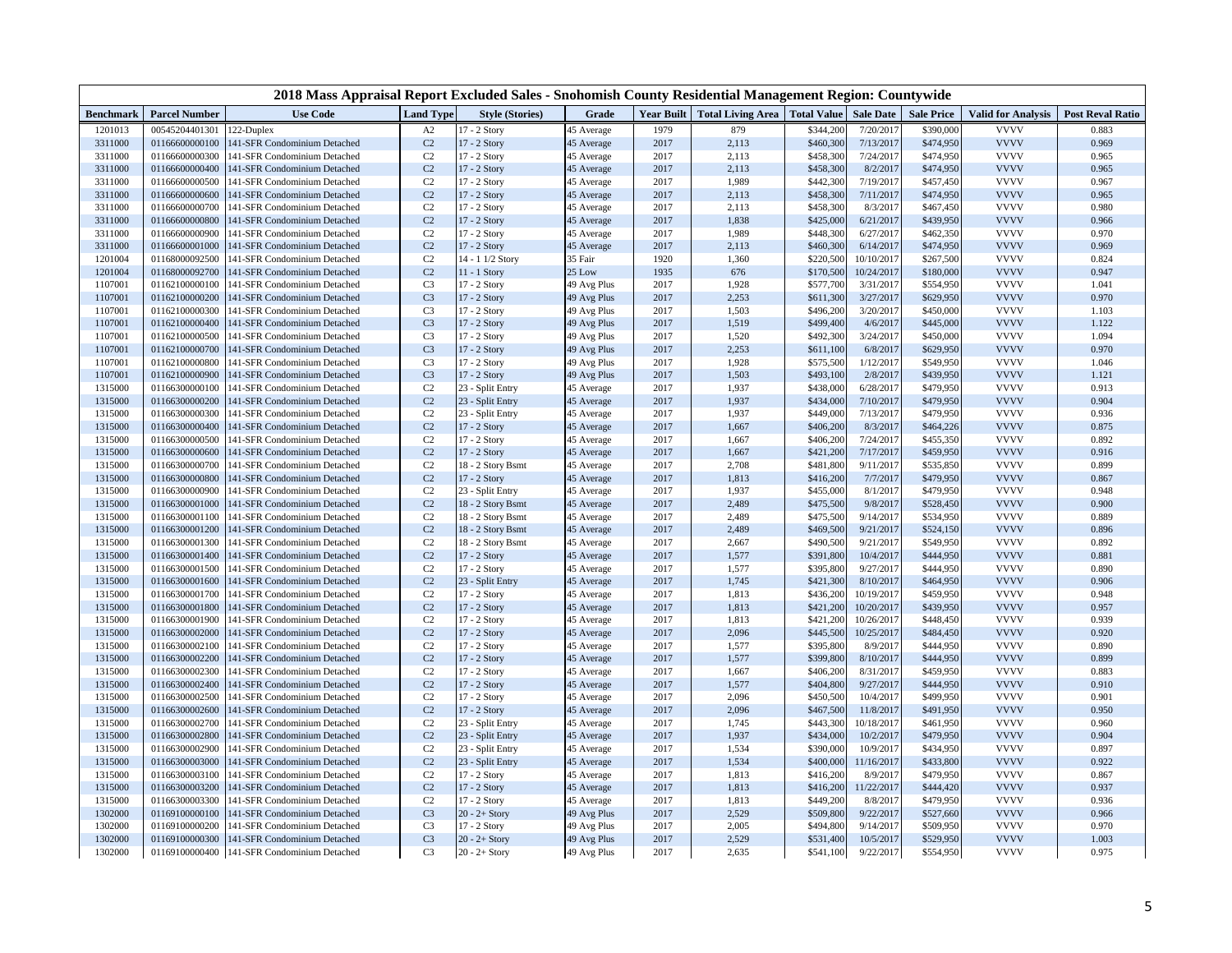|                    |                                  | 2018 Mass Appraisal Report Excluded Sales - Snohomish County Residential Management Region: Countywide |                                  |                                      |                          |              |                                          |                        |                        |                        |                            |                         |
|--------------------|----------------------------------|--------------------------------------------------------------------------------------------------------|----------------------------------|--------------------------------------|--------------------------|--------------|------------------------------------------|------------------------|------------------------|------------------------|----------------------------|-------------------------|
| <b>Benchmark</b>   | <b>Parcel Number</b>             | <b>Use Code</b>                                                                                        | <b>Land Type</b>                 | <b>Style (Stories)</b>               | Grade                    |              | Year Built Total Living Area Total Value |                        | <b>Sale Date</b>       | <b>Sale Price</b>      | <b>Valid for Analysis</b>  | <b>Post Reval Ratio</b> |
| 1201013            | 00545204401301                   | 122-Duplex                                                                                             | A2                               | 17 - 2 Story                         | 45 Average               | 1979         | 879                                      | \$344,200              | 7/20/2017              | \$390,000              | <b>VVVV</b>                | 0.883                   |
| 3311000            | 01166600000100                   | 141-SFR Condominium Detached                                                                           | C <sub>2</sub>                   | 17 - 2 Story                         | 45 Average               | 2017         | 2,113                                    | \$460,300              | 7/13/2017              | \$474,950              | <b>VVVV</b>                | 0.969                   |
| 3311000            | 01166600000300                   | 141-SFR Condominium Detached                                                                           | C <sub>2</sub>                   | 17 - 2 Story                         | 45 Average               | 2017         | 2,113                                    | \$458,300              | 7/24/2017              | \$474,950              | <b>VVVV</b>                | 0.965                   |
| 3311000            | 01166600000400                   | 141-SFR Condominium Detached                                                                           | C <sub>2</sub>                   | 17 - 2 Story                         | 45 Average               | 2017         | 2,113                                    | \$458,300              | 8/2/2017               | \$474,950              | <b>VVVV</b>                | 0.965                   |
| 3311000            | 01166600000500                   | 141-SFR Condominium Detached                                                                           | C <sub>2</sub>                   | 17 - 2 Story                         | 45 Average               | 2017         | 1,989                                    | \$442,300              | 7/19/2017              | \$457,450              | <b>VVVV</b>                | 0.967                   |
| 3311000            | 01166600000600                   | 141-SFR Condominium Detached                                                                           | C <sub>2</sub>                   | 17 - 2 Story                         | 45 Average               | 2017         | 2,113                                    | \$458,300              | 7/11/2017              | \$474,950              | <b>VVVV</b>                | 0.965                   |
| 3311000            | 01166600000700                   | 141-SFR Condominium Detached                                                                           | C <sub>2</sub>                   | 17 - 2 Story                         | 45 Average               | 2017         | 2,113                                    | \$458,300              | 8/3/2017               | \$467,450              | <b>VVVV</b>                | 0.980                   |
| 3311000            | 01166600000800                   | 141-SFR Condominium Detached                                                                           | C <sub>2</sub>                   | 17 - 2 Story                         | 45 Average               | 2017         | 1,838                                    | \$425,000              | 6/21/2017              | \$439,950              | <b>VVVV</b>                | 0.966                   |
| 3311000            | 01166600000900                   | 141-SFR Condominium Detached                                                                           | C <sub>2</sub>                   | 17 - 2 Story                         | 45 Average               | 2017         | 1,989                                    | \$448,300              | 6/27/2017              | \$462,350              | <b>VVVV</b>                | 0.970                   |
| 3311000            | 01166600001000                   | 141-SFR Condominium Detached                                                                           | C <sub>2</sub>                   | 17 - 2 Story                         | 45 Average               | 2017         | 2,113                                    | \$460,300              | 6/14/2017              | \$474,950              | <b>VVVV</b>                | 0.969                   |
| 1201004            | 01168000092500                   | 141-SFR Condominium Detached                                                                           | C <sub>2</sub>                   | 14 - 1 1/2 Story                     | 35 Fair                  | 1920         | 1,360                                    | \$220,500              | 10/10/2017             | \$267,500              | <b>VVVV</b>                | 0.824                   |
| 1201004            | 01168000092700                   | 141-SFR Condominium Detached                                                                           | C <sub>2</sub>                   | $11 - 1$ Story                       | 25 Low                   | 1935         | 676                                      | \$170,500              | 10/24/2017             | \$180,000              | <b>VVVV</b>                | 0.947                   |
| 1107001            | 01162100000100                   | 141-SFR Condominium Detached                                                                           | C <sub>3</sub>                   | 17 - 2 Story                         | 49 Avg Plus              | 2017         | 1,928                                    | \$577,700              | 3/31/2017              | \$554,950              | <b>VVVV</b>                | 1.041                   |
| 1107001            | 01162100000200                   | 141-SFR Condominium Detached                                                                           | C <sub>3</sub>                   | 17 - 2 Story                         | 49 Avg Plus              | 2017         | 2,253                                    | \$611,300              | 3/27/2017              | \$629,950              | <b>VVVV</b>                | 0.970                   |
| 1107001            | 01162100000300                   | 141-SFR Condominium Detached                                                                           | C <sub>3</sub>                   | 17 - 2 Story                         | 49 Avg Plus              | 2017         | 1,503                                    | \$496,200              | 3/20/2017              | \$450,000              | <b>VVVV</b>                | 1.103                   |
| 1107001            | 01162100000400                   | 141-SFR Condominium Detached                                                                           | C <sub>3</sub>                   | 17 - 2 Story                         | 49 Avg Plus              | 2017         | 1,519                                    | \$499,400              | 4/6/2017               | \$445,000              | <b>VVVV</b>                | 1.122                   |
| 1107001            | 01162100000500                   | 141-SFR Condominium Detached                                                                           | C <sub>3</sub>                   | 17 - 2 Story                         | 49 Avg Plus              | 2017         | 1,520                                    | \$492,300              | 3/24/2017              | \$450,000              | <b>VVVV</b>                | 1.094                   |
| 1107001            | 01162100000700                   | 141-SFR Condominium Detached                                                                           | C <sub>3</sub>                   | 17 - 2 Story                         | 49 Avg Plus              | 2017         | 2,253                                    | \$611,100              | 6/8/2017               | \$629,950              | <b>VVVV</b>                | 0.970                   |
| 1107001            | 01162100000800                   | 141-SFR Condominium Detached                                                                           | C <sub>3</sub>                   | 17 - 2 Story                         | 49 Avg Plus              | 2017         | 1,928                                    | \$575,500              | 1/12/2017              | \$549,950              | <b>VVVV</b><br><b>VVVV</b> | 1.046                   |
| 1107001            | 01162100000900                   | 141-SFR Condominium Detached                                                                           | C <sub>3</sub>                   | 17 - 2 Story                         | 49 Avg Plus              | 2017         | 1,503                                    | \$493,100              | 2/8/2017               | \$439,950              | <b>VVVV</b>                | 1.121                   |
| 1315000            | 01166300000100<br>01166300000200 | 141-SFR Condominium Detached                                                                           | C <sub>2</sub><br>C <sub>2</sub> | 23 - Split Entry<br>23 - Split Entry | 45 Average<br>45 Average | 2017<br>2017 | 1,937<br>1,937                           | \$438,000<br>\$434,000 | 6/28/2017<br>7/10/2017 | \$479,950<br>\$479,950 | <b>VVVV</b>                | 0.913<br>0.904          |
| 1315000            | 01166300000300                   | 141-SFR Condominium Detached                                                                           |                                  | 23 - Split Entry                     |                          | 2017         |                                          |                        |                        |                        | <b>VVVV</b>                | 0.936                   |
| 1315000<br>1315000 | 01166300000400                   | 141-SFR Condominium Detached<br>141-SFR Condominium Detached                                           | C <sub>2</sub><br>C <sub>2</sub> | 17 - 2 Story                         | 45 Average<br>45 Average | 2017         | 1,937<br>1,667                           | \$449,000<br>\$406,200 | 7/13/2017<br>8/3/2017  | \$479,950<br>\$464,226 | <b>VVVV</b>                | 0.875                   |
| 1315000            | 01166300000500                   | 141-SFR Condominium Detached                                                                           | C <sub>2</sub>                   | 17 - 2 Story                         | 45 Average               | 2017         | 1,667                                    | \$406,200              | 7/24/2017              | \$455,350              | <b>VVVV</b>                | 0.892                   |
| 1315000            | 01166300000600                   | 141-SFR Condominium Detached                                                                           | C <sub>2</sub>                   | 17 - 2 Story                         | 45 Average               | 2017         | 1,667                                    | \$421,200              | 7/17/2017              | \$459,950              | <b>VVVV</b>                | 0.916                   |
| 1315000            | 01166300000700                   | 141-SFR Condominium Detached                                                                           | C <sub>2</sub>                   | 18 - 2 Story Bsmt                    | 45 Average               | 2017         | 2,708                                    | \$481,800              | 9/11/2017              | \$535,850              | <b>VVVV</b>                | 0.899                   |
| 1315000            | 01166300000800                   | 141-SFR Condominium Detached                                                                           | C <sub>2</sub>                   | 17 - 2 Story                         | 45 Average               | 2017         | 1,813                                    | \$416,200              | 7/7/2017               | \$479,950              | <b>VVVV</b>                | 0.867                   |
| 1315000            | 01166300000900                   | 141-SFR Condominium Detached                                                                           | C <sub>2</sub>                   | 23 - Split Entry                     | 45 Average               | 2017         | 1,937                                    | \$455,000              | 8/1/2017               | \$479,950              | <b>VVVV</b>                | 0.948                   |
| 1315000            | 01166300001000                   | 141-SFR Condominium Detached                                                                           | C <sub>2</sub>                   | 18 - 2 Story Bsmt                    | 45 Average               | 2017         | 2,489                                    | \$475,500              | 9/8/2017               | \$528,450              | <b>VVVV</b>                | 0.900                   |
| 1315000            | 01166300001100                   | 141-SFR Condominium Detached                                                                           | C <sub>2</sub>                   | 18 - 2 Story Bsmt                    | 45 Average               | 2017         | 2,489                                    | \$475,500              | 9/14/2017              | \$534,950              | <b>VVVV</b>                | 0.889                   |
| 1315000            | 01166300001200                   | 141-SFR Condominium Detached                                                                           | C <sub>2</sub>                   | 18 - 2 Story Bsmt                    | 45 Average               | 2017         | 2,489                                    | \$469,500              | 9/21/2017              | \$524,150              | <b>VVVV</b>                | 0.896                   |
| 1315000            | 01166300001300                   | 141-SFR Condominium Detached                                                                           | C <sub>2</sub>                   | 18 - 2 Story Bsmt                    | 45 Average               | 2017         | 2,667                                    | \$490,500              | 9/21/2017              | \$549,950              | <b>VVVV</b>                | 0.892                   |
| 1315000            | 01166300001400                   | 141-SFR Condominium Detached                                                                           | C <sub>2</sub>                   | 17 - 2 Story                         | 45 Average               | 2017         | 1,577                                    | \$391,800              | 10/4/2017              | \$444,950              | <b>VVVV</b>                | 0.881                   |
| 1315000            | 01166300001500                   | 141-SFR Condominium Detached                                                                           | C <sub>2</sub>                   | 17 - 2 Story                         | 45 Average               | 2017         | 1,577                                    | \$395,800              | 9/27/2017              | \$444,950              | <b>VVVV</b>                | 0.890                   |
| 1315000            | 01166300001600                   | 141-SFR Condominium Detached                                                                           | C <sub>2</sub>                   | 23 - Split Entry                     | 45 Average               | 2017         | 1,745                                    | \$421,300              | 8/10/2017              | \$464,950              | <b>VVVV</b>                | 0.906                   |
| 1315000            | 01166300001700                   | 141-SFR Condominium Detached                                                                           | C <sub>2</sub>                   | 17 - 2 Story                         | 45 Average               | 2017         | 1,813                                    | \$436,200              | 10/19/2017             | \$459,950              | <b>VVVV</b>                | 0.948                   |
| 1315000            | 01166300001800                   | 141-SFR Condominium Detached                                                                           | C <sub>2</sub>                   | 17 - 2 Story                         | 45 Average               | 2017         | 1,813                                    | \$421,200              | 10/20/2017             | \$439,950              | <b>VVVV</b>                | 0.957                   |
| 1315000            | 01166300001900                   | 141-SFR Condominium Detached                                                                           | C <sub>2</sub>                   | 17 - 2 Story                         | 45 Average               | 2017         | 1,813                                    | \$421,200              | 10/26/2017             | \$448,450              | <b>VVVV</b>                | 0.939                   |
| 1315000            | 01166300002000                   | 141-SFR Condominium Detached                                                                           | C <sub>2</sub>                   | 17 - 2 Story                         | 45 Average               | 2017         | 2,096                                    | \$445,500              | 10/25/2017             | \$484,450              | <b>VVVV</b>                | 0.920                   |
| 1315000            | 01166300002100                   | 141-SFR Condominium Detached                                                                           | C <sub>2</sub>                   | 17 - 2 Story                         | 45 Average               | 2017         | 1,577                                    | \$395,800              | 8/9/2017               | \$444,950              | <b>VVVV</b>                | 0.890                   |
| 1315000            | 01166300002200                   | 141-SFR Condominium Detached                                                                           | C <sub>2</sub>                   | 17 - 2 Story                         | 45 Average               | 2017         | 1,577                                    | \$399,800              | 8/10/2017              | \$444,950              | <b>VVVV</b>                | 0.899                   |
| 1315000            | 01166300002300                   | 141-SFR Condominium Detached                                                                           | C <sub>2</sub>                   | 17 - 2 Story                         | 45 Average               | 2017         | 1,667                                    | \$406,200              | 8/31/2017              | \$459,950              | <b>VVVV</b>                | 0.883                   |
| 1315000            | 01166300002400                   | 141-SFR Condominium Detached                                                                           | C <sub>2</sub>                   | 17 - 2 Story                         | 45 Average               | 2017         | 1,577                                    | \$404,800              | 9/27/2017              | \$444,950              | <b>VVVV</b>                | 0.910                   |
| 1315000            | 01166300002500                   | 141-SFR Condominium Detached                                                                           | C <sub>2</sub>                   | 17 - 2 Story                         | 45 Average               | 2017         | 2,096                                    | \$450,500              | 10/4/2017              | \$499,950              | <b>VVVV</b>                | 0.901                   |
| 1315000            | 01166300002600                   | 141-SFR Condominium Detached                                                                           | C <sub>2</sub>                   | 17 - 2 Story                         | 45 Average               | 2017         | 2,096                                    | \$467,500              | 11/8/2017              | \$491,950              | <b>VVVV</b>                | 0.950                   |
| 1315000            | 01166300002700                   | 141-SFR Condominium Detached                                                                           | C <sub>2</sub>                   | 23 - Split Entry                     | 45 Average               | 2017         | 1,745                                    | \$443,300              | 10/18/2017             | \$461,950              | <b>VVVV</b>                | 0.960                   |
| 1315000            | 01166300002800                   | 141-SFR Condominium Detached                                                                           | C <sub>2</sub>                   | 23 - Split Entry                     | 45 Average               | 2017         | 1,937                                    | \$434,000              | 10/2/2017              | \$479,950              | <b>VVVV</b>                | 0.904                   |
| 1315000            | 01166300002900                   | 141-SFR Condominium Detached                                                                           | C <sub>2</sub>                   | 23 - Split Entry                     | 45 Average               | 2017         | 1,534                                    | \$390,000              | 10/9/2017              | \$434,950              | <b>VVVV</b>                | 0.897                   |
| 1315000            | 01166300003000                   | 141-SFR Condominium Detached                                                                           | C <sub>2</sub>                   | 23 - Split Entry                     | 45 Average               | 2017         | 1,534                                    | \$400,000              | 11/16/2017             | \$433,800              | <b>VVVV</b>                | 0.922                   |
| 1315000            | 01166300003100                   | 141-SFR Condominium Detached                                                                           | C <sub>2</sub>                   | 17 - 2 Story                         | 45 Average               | 2017         | 1,813                                    | \$416,200              | 8/9/2017               | \$479,950              | <b>VVVV</b>                | 0.867                   |
| 1315000            | 01166300003200                   | 141-SFR Condominium Detached                                                                           | C <sub>2</sub>                   | 17 - 2 Story                         | 45 Average               | 2017         | 1,813                                    | \$416,200              | 11/22/2017             | \$444,420              | <b>VVVV</b>                | 0.937                   |
| 1315000            | 01166300003300                   | 141-SFR Condominium Detached                                                                           | C <sub>2</sub>                   | 17 - 2 Story                         | 45 Average               | 2017         | 1,813                                    | \$449,200              | 8/8/2017               | \$479,950              | <b>VVVV</b>                | 0.936                   |
| 1302000            | 01169100000100                   | 141-SFR Condominium Detached                                                                           | C <sub>3</sub>                   | $20 - 2 +$ Story                     | 49 Avg Plus              | 2017         | 2,529                                    | \$509,800              | 9/22/2017              | \$527,660              | <b>VVVV</b>                | 0.966                   |
| 1302000            | 01169100000200                   | 141-SFR Condominium Detached                                                                           | C <sub>3</sub>                   | 17 - 2 Story                         | 49 Avg Plus              | 2017         | 2,005                                    | \$494,800              | 9/14/2017              | \$509,950              | <b>VVVV</b>                | 0.970                   |
| 1302000            | 01169100000300                   | 141-SFR Condominium Detached                                                                           | C <sub>3</sub>                   | $20 - 2 +$ Story                     | 49 Avg Plus              | 2017         | 2,529                                    | \$531,400              | 10/5/2017              | \$529,950              | <b>VVVV</b>                | 1.003                   |
| 1302000            | 01169100000400                   | 141-SFR Condominium Detached                                                                           | C <sub>3</sub>                   | $20 - 2 + Story$                     | 49 Avg Plus              | 2017         | 2,635                                    | \$541,100              | 9/22/2017              | \$554,950              | <b>VVVV</b>                | 0.975                   |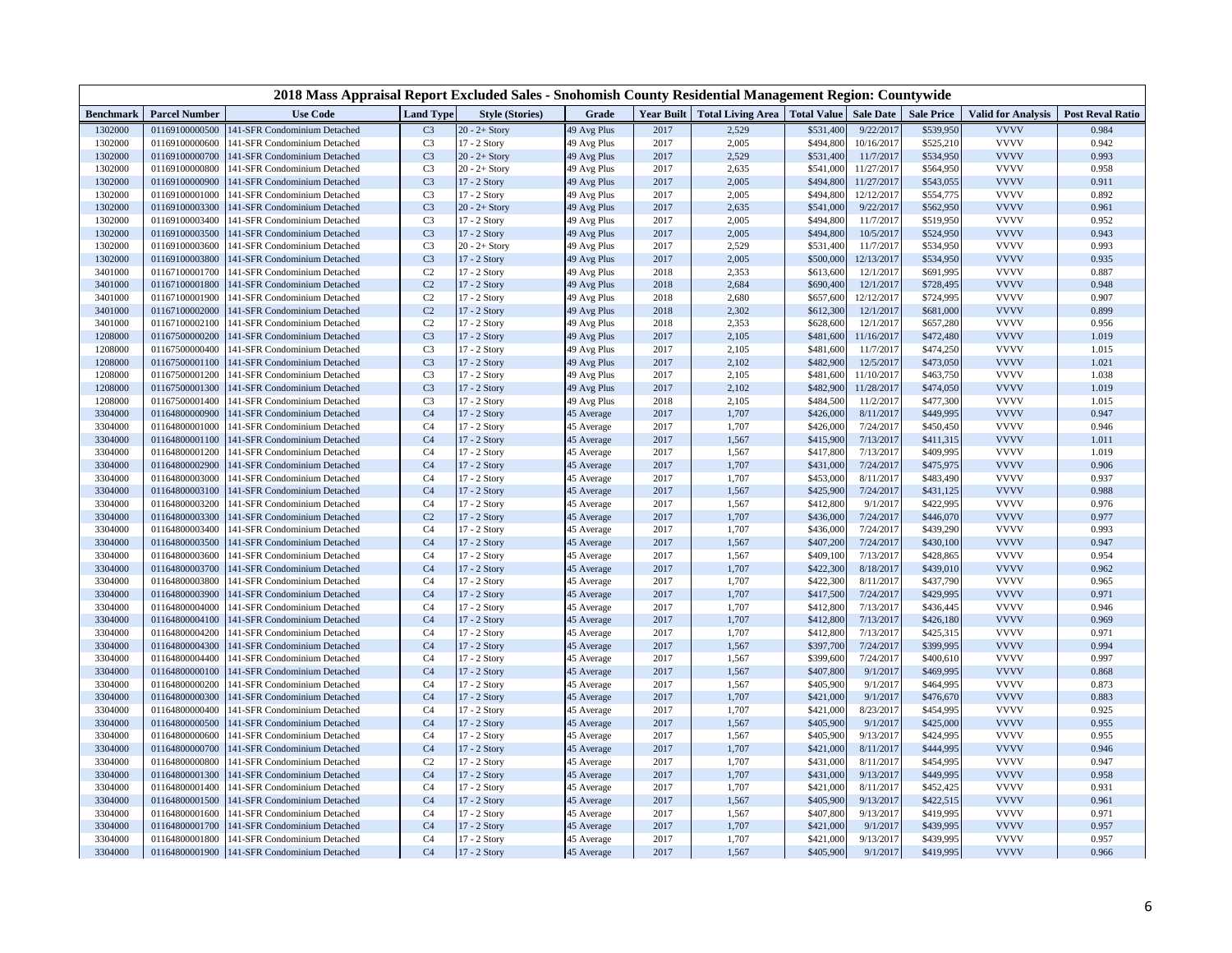|                    |                                  | 2018 Mass Appraisal Report Excluded Sales - Snohomish County Residential Management Region: Countywide |                                  |                              |                           |              |                                              |                        |                         |                        |                            |                         |
|--------------------|----------------------------------|--------------------------------------------------------------------------------------------------------|----------------------------------|------------------------------|---------------------------|--------------|----------------------------------------------|------------------------|-------------------------|------------------------|----------------------------|-------------------------|
| <b>Benchmark</b>   | <b>Parcel Number</b>             | <b>Use Code</b>                                                                                        | <b>Land Type</b>                 | <b>Style (Stories)</b>       | Grade                     |              | Year Built   Total Living Area   Total Value |                        | <b>Sale Date</b>        | <b>Sale Price</b>      | <b>Valid for Analysis</b>  | <b>Post Reval Ratio</b> |
| 1302000            | 01169100000500                   | 141-SFR Condominium Detached                                                                           | C <sub>3</sub>                   | $20 - 2 +$ Story             | 49 Avg Plus               | 2017         | 2,529                                        | \$531,400              | 9/22/2017               | \$539,950              | <b>VVVV</b>                | 0.984                   |
| 1302000            | 01169100000600                   | 141-SFR Condominium Detached                                                                           | C <sub>3</sub>                   | 17 - 2 Story                 | 49 Avg Plus               | 2017         | 2,005                                        | \$494,800              | 10/16/2017              | \$525,210              | <b>VVVV</b>                | 0.942                   |
| 1302000            | 01169100000700                   | 141-SFR Condominium Detached                                                                           | C <sub>3</sub>                   | $20 - 2 +$ Story             | 49 Avg Plus               | 2017         | 2,529                                        | \$531,400              | 11/7/2017               | \$534,950              | <b>VVVV</b>                | 0.993                   |
| 1302000            | 01169100000800                   | 141-SFR Condominium Detached                                                                           | C <sub>3</sub>                   | $20 - 2 +$ Story             | 49 Avg Plus               | 2017         | 2,635                                        | \$541,000              | 11/27/2017              | \$564,950              | <b>VVVV</b>                | 0.958                   |
| 1302000            | 01169100000900                   | 141-SFR Condominium Detached                                                                           | C <sub>3</sub>                   | 17 - 2 Story                 | 49 Avg Plus               | 2017         | 2,005                                        | \$494,800              | 11/27/2017              | \$543,055              | <b>VVVV</b>                | 0.911                   |
| 1302000            | 01169100001000                   | 141-SFR Condominium Detached                                                                           | C <sub>3</sub>                   | 17 - 2 Story                 | 49 Avg Plus               | 2017         | 2,005                                        | \$494,800              | 12/12/2017              | \$554,775              | <b>VVVV</b>                | 0.892                   |
| 1302000            | 01169100003300                   | 141-SFR Condominium Detached                                                                           | C <sub>3</sub>                   | $20 - 2 +$ Story             | 49 Avg Plus               | 2017         | 2,635                                        | \$541,000              | 9/22/2017               | \$562,950              | <b>VVVV</b>                | 0.961                   |
| 1302000            | 01169100003400                   | 141-SFR Condominium Detached                                                                           | C <sub>3</sub>                   | 17 - 2 Story                 | 49 Avg Plus               | 2017         | 2,005                                        | \$494,800              | 11/7/2017               | \$519,950              | <b>VVVV</b>                | 0.952                   |
| 1302000            | 01169100003500                   | 141-SFR Condominium Detached                                                                           | C <sub>3</sub>                   | 17 - 2 Story                 | 49 Avg Plus               | 2017         | 2,005                                        | \$494,800              | 10/5/2017               | \$524,950              | <b>VVVV</b>                | 0.943                   |
| 1302000            | 01169100003600                   | 141-SFR Condominium Detached                                                                           | C <sub>3</sub>                   | $20 - 2 +$ Story             | 49 Avg Plus               | 2017         | 2,529                                        | \$531,400              | 11/7/2017               | \$534,950              | <b>VVVV</b>                | 0.993                   |
| 1302000            | 01169100003800                   | 141-SFR Condominium Detached                                                                           | C <sub>3</sub>                   | 17 - 2 Story                 | 49 Avg Plus               | 2017         | 2,005                                        | \$500,000              | 12/13/2017              | \$534,950              | <b>VVVV</b>                | 0.935                   |
| 3401000            | 01167100001700                   | 141-SFR Condominium Detached                                                                           | C <sub>2</sub>                   | 17 - 2 Story                 | 49 Avg Plus               | 2018         | 2,353                                        | \$613,600              | 12/1/2017               | \$691,995              | <b>VVVV</b>                | 0.887                   |
| 3401000            | 01167100001800                   | 141-SFR Condominium Detached                                                                           | C <sub>2</sub>                   | 17 - 2 Story                 | 49 Avg Plus               | 2018         | 2,684                                        | \$690,400              | 12/1/2017               | \$728,495              | <b>VVVV</b>                | 0.948                   |
| 3401000            | 01167100001900                   | 141-SFR Condominium Detached                                                                           | C <sub>2</sub>                   | 17 - 2 Story                 | 49 Avg Plus               | 2018         | 2,680                                        | \$657,600              | 12/12/2017              | \$724,995              | <b>VVVV</b>                | 0.907                   |
| 3401000            | 01167100002000                   | 141-SFR Condominium Detached                                                                           | C <sub>2</sub>                   | 17 - 2 Story                 | 49 Avg Plus               | 2018         | 2,302                                        | \$612,300              | 12/1/2017               | \$681,000              | <b>VVVV</b><br><b>VVVV</b> | 0.899                   |
| 3401000            | 01167100002100                   | 141-SFR Condominium Detached                                                                           | C <sub>2</sub>                   | 17 - 2 Story                 | 49 Avg Plus               | 2018         | 2,353                                        | \$628,600              | 12/1/2017               | \$657,280              |                            | 0.956                   |
| 1208000            | 01167500000200                   | 141-SFR Condominium Detached                                                                           | C <sub>3</sub>                   | 17 - 2 Story                 | 49 Avg Plus               | 2017         | 2,105                                        | \$481,600              | 11/16/2017              | \$472,480              | <b>VVVV</b><br><b>VVVV</b> | 1.019                   |
| 1208000            | 01167500000400                   | 141-SFR Condominium Detached                                                                           | C <sub>3</sub>                   | 17 - 2 Story                 | 49 Avg Plus               | 2017         | 2,105                                        | \$481,600              | 11/7/2017               | \$474,250              | <b>VVVV</b>                | 1.015                   |
| 1208000            | 01167500001100                   | 141-SFR Condominium Detached                                                                           | C <sub>3</sub>                   | 17 - 2 Story                 | 49 Avg Plus               | 2017<br>2017 | 2,102                                        | \$482,900              | 12/5/2017<br>11/10/2017 | \$473,050              | <b>VVVV</b>                | 1.021                   |
| 1208000            | 01167500001200<br>01167500001300 | 141-SFR Condominium Detached                                                                           | C <sub>3</sub><br>C <sub>3</sub> | 17 - 2 Story                 | 49 Avg Plus               | 2017         | 2,105<br>2,102                               | \$481,600              | 11/28/2017              | \$463,750<br>\$474,050 | <b>VVVV</b>                | 1.038<br>1.019          |
| 1208000<br>1208000 | 01167500001400                   | 141-SFR Condominium Detached<br>141-SFR Condominium Detached                                           | C <sub>3</sub>                   | 17 - 2 Story<br>17 - 2 Story | 49 Avg Plus               | 2018         | 2,105                                        | \$482,900<br>\$484,500 | 11/2/2017               | \$477,300              | <b>VVVV</b>                | 1.015                   |
| 3304000            | 01164800000900                   | 141-SFR Condominium Detached                                                                           | C <sub>4</sub>                   | 17 - 2 Story                 | 49 Avg Plus<br>45 Average | 2017         | 1,707                                        | \$426,000              | 8/11/2017               | \$449,995              | <b>VVVV</b>                | 0.947                   |
| 3304000            | 01164800001000                   | 141-SFR Condominium Detached                                                                           | C <sub>4</sub>                   | 17 - 2 Story                 | 45 Average                | 2017         | 1,707                                        | \$426,000              | 7/24/2017               | \$450,450              | <b>VVVV</b>                | 0.946                   |
| 3304000            | 01164800001100                   | 141-SFR Condominium Detached                                                                           | C <sub>4</sub>                   | 17 - 2 Story                 | 45 Average                | 2017         | 1,567                                        | \$415,900              | 7/13/2017               | \$411,315              | <b>VVVV</b>                | 1.011                   |
| 3304000            | 01164800001200                   | 141-SFR Condominium Detached                                                                           | C <sub>4</sub>                   | 17 - 2 Story                 | 45 Average                | 2017         | 1,567                                        | \$417,800              | 7/13/2017               | \$409,995              | <b>VVVV</b>                | 1.019                   |
| 3304000            | 01164800002900                   | 141-SFR Condominium Detached                                                                           | C <sub>4</sub>                   | 17 - 2 Story                 | 45 Average                | 2017         | 1,707                                        | \$431,000              | 7/24/2017               | \$475,975              | <b>VVVV</b>                | 0.906                   |
| 3304000            | 01164800003000                   | 141-SFR Condominium Detached                                                                           | C <sub>4</sub>                   | 17 - 2 Story                 | 45 Average                | 2017         | 1,707                                        | \$453,000              | 8/11/2017               | \$483,490              | <b>VVVV</b>                | 0.937                   |
| 3304000            | 01164800003100                   | 141-SFR Condominium Detached                                                                           | C <sub>4</sub>                   | 17 - 2 Story                 | 45 Average                | 2017         | 1,567                                        | \$425,900              | 7/24/2017               | \$431,125              | <b>VVVV</b>                | 0.988                   |
| 3304000            | 01164800003200                   | 141-SFR Condominium Detached                                                                           | C <sub>4</sub>                   | 17 - 2 Story                 | 45 Average                | 2017         | 1,567                                        | \$412,800              | 9/1/2017                | \$422,995              | <b>VVVV</b>                | 0.976                   |
| 3304000            | 01164800003300                   | 141-SFR Condominium Detached                                                                           | C <sub>2</sub>                   | 17 - 2 Story                 | 45 Average                | 2017         | 1,707                                        | \$436,000              | 7/24/2017               | \$446,070              | <b>VVVV</b>                | 0.977                   |
| 3304000            | 01164800003400                   | 141-SFR Condominium Detached                                                                           | C <sub>4</sub>                   | 17 - 2 Story                 | 45 Average                | 2017         | 1,707                                        | \$436,000              | 7/24/2017               | \$439,290              | <b>VVVV</b>                | 0.993                   |
| 3304000            | 01164800003500                   | 141-SFR Condominium Detached                                                                           | C <sub>4</sub>                   | 17 - 2 Story                 | 45 Average                | 2017         | 1,567                                        | \$407,200              | 7/24/2017               | \$430,100              | <b>VVVV</b>                | 0.947                   |
| 3304000            | 01164800003600                   | 141-SFR Condominium Detached                                                                           | C <sub>4</sub>                   | 17 - 2 Story                 | 45 Average                | 2017         | 1,567                                        | \$409,100              | 7/13/2017               | \$428,865              | <b>VVVV</b>                | 0.954                   |
| 3304000            | 01164800003700                   | 141-SFR Condominium Detached                                                                           | C <sub>4</sub>                   | 17 - 2 Story                 | 45 Average                | 2017         | 1,707                                        | \$422,300              | 8/18/2017               | \$439,010              | <b>VVVV</b>                | 0.962                   |
| 3304000            | 01164800003800                   | 141-SFR Condominium Detached                                                                           | C <sub>4</sub>                   | 17 - 2 Story                 | 45 Average                | 2017         | 1,707                                        | \$422,300              | 8/11/2017               | \$437,790              | <b>VVVV</b>                | 0.965                   |
| 3304000            | 01164800003900                   | 141-SFR Condominium Detached                                                                           | C <sub>4</sub>                   | 17 - 2 Story                 | 45 Average                | 2017         | 1,707                                        | \$417,500              | 7/24/2017               | \$429,995              | <b>VVVV</b>                | 0.971                   |
| 3304000            | 01164800004000                   | 141-SFR Condominium Detached                                                                           | C <sub>4</sub>                   | 17 - 2 Story                 | 45 Average                | 2017         | 1,707                                        | \$412,800              | 7/13/2017               | \$436,445              | <b>VVVV</b>                | 0.946                   |
| 3304000            | 01164800004100                   | 141-SFR Condominium Detached                                                                           | C <sub>4</sub>                   | 17 - 2 Story                 | 45 Average                | 2017         | 1,707                                        | \$412,800              | 7/13/2017               | \$426,180              | <b>VVVV</b>                | 0.969                   |
| 3304000            | 01164800004200                   | 141-SFR Condominium Detached                                                                           | C <sub>4</sub>                   | 17 - 2 Story                 | 45 Average                | 2017         | 1,707                                        | \$412,800              | 7/13/2017               | \$425,315              | <b>VVVV</b>                | 0.971                   |
| 3304000            | 01164800004300                   | 141-SFR Condominium Detached                                                                           | C <sub>4</sub>                   | 17 - 2 Story                 | 45 Average                | 2017         | 1,567                                        | \$397,700              | 7/24/2017               | \$399,995              | <b>VVVV</b>                | 0.994                   |
| 3304000            | 01164800004400                   | 141-SFR Condominium Detached                                                                           | C <sub>4</sub>                   | 17 - 2 Story                 | 45 Average                | 2017         | 1,567                                        | \$399,600              | 7/24/2017               | \$400,610              | <b>VVVV</b>                | 0.997                   |
| 3304000            | 01164800000100                   | 141-SFR Condominium Detached                                                                           | C <sub>4</sub>                   | 17 - 2 Story                 | 45 Average                | 2017         | 1,567                                        | \$407,800              | 9/1/2017                | \$469,995              | <b>VVVV</b>                | 0.868                   |
| 3304000            | 01164800000200                   | 141-SFR Condominium Detached                                                                           | C <sub>4</sub>                   | 17 - 2 Story                 | 45 Average                | 2017         | 1,567                                        | \$405,900              | 9/1/2017                | \$464,995              | <b>VVVV</b>                | 0.873                   |
| 3304000            | 01164800000300                   | 141-SFR Condominium Detached                                                                           | C <sub>4</sub>                   | 17 - 2 Story                 | 45 Average                | 2017         | 1,707                                        | \$421,000              | 9/1/2017                | \$476,670              | <b>VVVV</b>                | 0.883                   |
| 3304000            | 01164800000400                   | 141-SFR Condominium Detached                                                                           | C <sub>4</sub>                   | 17 - 2 Story                 | 45 Average                | 2017         | 1,707                                        | \$421,000              | 8/23/2017               | \$454,995              | <b>VVVV</b>                | 0.925                   |
| 3304000            | 01164800000500                   | 141-SFR Condominium Detached                                                                           | C <sub>4</sub>                   | 17 - 2 Story                 | 45 Average                | 2017         | 1,567                                        | \$405,900              | 9/1/2017                | \$425,000              | <b>VVVV</b>                | 0.955                   |
| 3304000            | 01164800000600                   | 141-SFR Condominium Detached                                                                           | C <sub>4</sub>                   | 17 - 2 Story                 | 45 Average                | 2017         | 1,567                                        | \$405,900              | 9/13/2017               | \$424,995              | <b>VVVV</b>                | 0.955                   |
| 3304000            | 01164800000700                   | 141-SFR Condominium Detached                                                                           | C <sub>4</sub>                   | 17 - 2 Story                 | 45 Average                | 2017         | 1,707                                        | \$421,000              | 8/11/2017               | \$444,995              | <b>VVVV</b>                | 0.946                   |
| 3304000            | 01164800000800                   | 141-SFR Condominium Detached                                                                           | C <sub>2</sub>                   | 17 - 2 Story                 | 45 Average                | 2017         | 1,707                                        | \$431,000              | 8/11/201                | \$454,995              | <b>VVVV</b>                | 0.947                   |
| 3304000            | 01164800001300                   | 141-SFR Condominium Detached                                                                           | C <sub>4</sub>                   | 17 - 2 Story                 | 45 Average                | 2017         | 1,707                                        | \$431,000              | 9/13/2017               | \$449,995              | <b>VVVV</b>                | 0.958                   |
| 3304000            | 01164800001400                   | 141-SFR Condominium Detached                                                                           | C <sub>4</sub>                   | 17 - 2 Story                 | 45 Average                | 2017         | 1,707                                        | \$421,000              | 8/11/2017               | \$452,425              | <b>VVVV</b>                | 0.931                   |
| 3304000            | 01164800001500                   | 141-SFR Condominium Detached                                                                           | C <sub>4</sub>                   | 17 - 2 Story                 | 45 Average                | 2017         | 1,567                                        | \$405,900              | 9/13/2017               | \$422,515              | <b>VVVV</b>                | 0.961                   |
| 3304000            | 01164800001600                   | 141-SFR Condominium Detached                                                                           | C <sub>4</sub>                   | 17 - 2 Story                 | 45 Average                | 2017         | 1,567                                        | \$407,800              | 9/13/2017               | \$419,995              | <b>VVVV</b>                | 0.971                   |
| 3304000            | 01164800001700                   | 141-SFR Condominium Detached                                                                           | C <sub>4</sub>                   | 17 - 2 Story                 | 45 Average                | 2017         | 1,707                                        | \$421,000              | 9/1/2017                | \$439,995              | <b>VVVV</b>                | 0.957                   |
| 3304000            | 01164800001800                   | 141-SFR Condominium Detached                                                                           | C <sub>4</sub>                   | 17 - 2 Story                 | 45 Average                | 2017         | 1,707                                        | \$421,000              | 9/13/2017               | \$439,995              | <b>VVVV</b>                | 0.957                   |
| 3304000            |                                  | 01164800001900 141-SFR Condominium Detached                                                            | C <sub>4</sub>                   | 17 - 2 Story                 | 45 Average                | 2017         | 1,567                                        | \$405,900              | 9/1/2017                | \$419,995              | <b>VVVV</b>                | 0.966                   |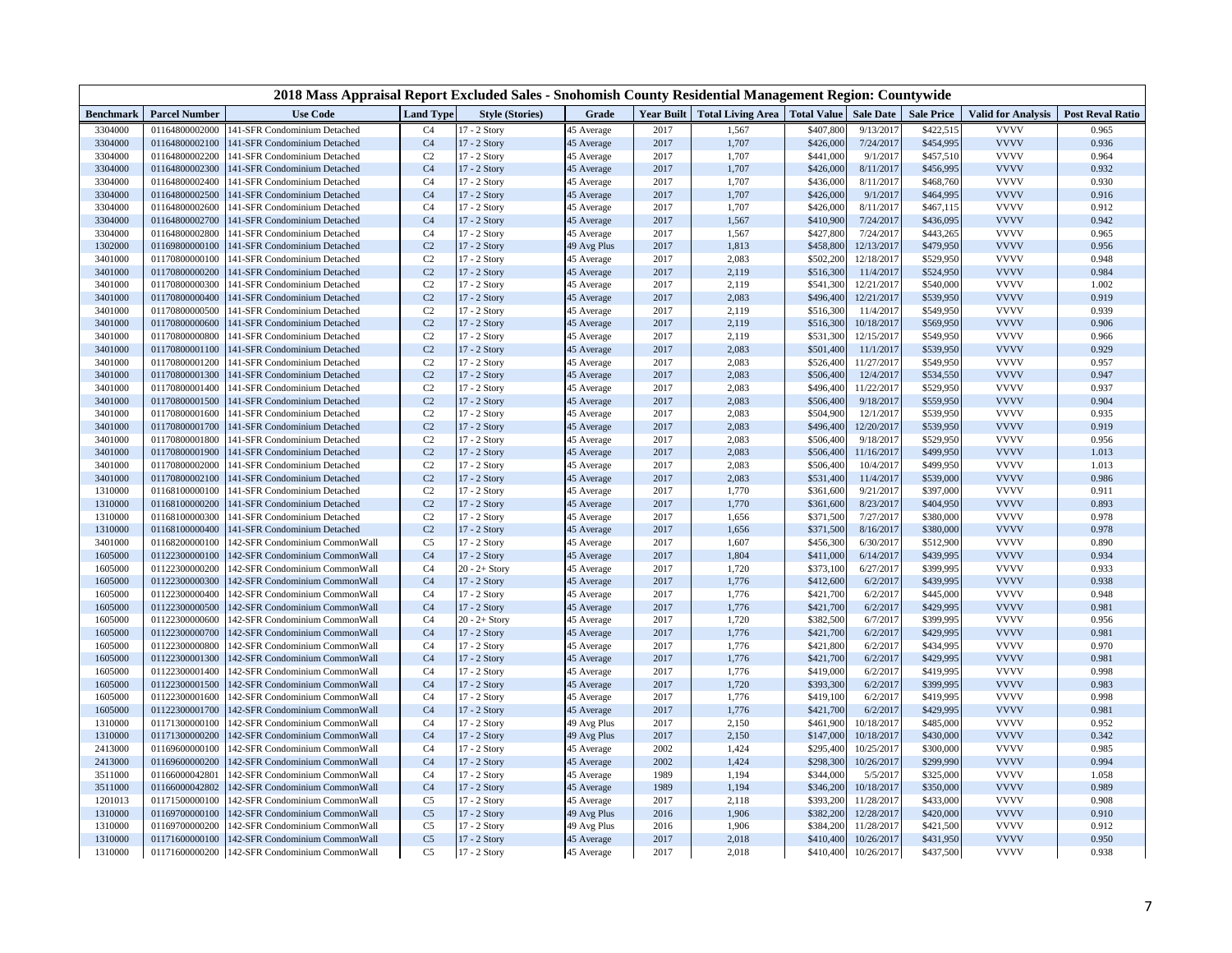| 2018 Mass Appraisal Report Excluded Sales - Snohomish County Residential Management Region: Countywide<br>Year Built Total Living Area Total Value |                                  |                                                              |                                  |                              |                          |              |                |                        |                        |                        |                            |                         |
|----------------------------------------------------------------------------------------------------------------------------------------------------|----------------------------------|--------------------------------------------------------------|----------------------------------|------------------------------|--------------------------|--------------|----------------|------------------------|------------------------|------------------------|----------------------------|-------------------------|
| <b>Benchmark</b>                                                                                                                                   | <b>Parcel Number</b>             | <b>Use Code</b>                                              | <b>Land Type</b>                 | <b>Style (Stories)</b>       | Grade                    |              |                |                        | <b>Sale Date</b>       | <b>Sale Price</b>      | <b>Valid for Analysis</b>  | <b>Post Reval Ratio</b> |
| 3304000                                                                                                                                            | 01164800002000                   | 141-SFR Condominium Detached                                 | C <sub>4</sub>                   | 17 - 2 Story                 | 45 Average               | 2017         | 1,567          | \$407,800              | 9/13/2017              | \$422,515              | <b>VVVV</b>                | 0.965                   |
| 3304000                                                                                                                                            | 01164800002100                   | 141-SFR Condominium Detached                                 | C <sub>4</sub>                   | 17 - 2 Story                 | 45 Average               | 2017         | 1,707          | \$426,000              | 7/24/2017              | \$454,995              | <b>VVVV</b>                | 0.936                   |
| 3304000                                                                                                                                            | 01164800002200                   | 141-SFR Condominium Detached                                 | C <sub>2</sub>                   | 17 - 2 Story                 | 45 Average               | 2017         | 1,707          | \$441,000              | 9/1/2017               | \$457,510              | <b>VVVV</b>                | 0.964                   |
| 3304000                                                                                                                                            | 01164800002300                   | 141-SFR Condominium Detached                                 | C <sub>4</sub>                   | 17 - 2 Story                 | 45 Average               | 2017         | 1,707          | \$426,000              | 8/11/2017              | \$456,995              | <b>VVVV</b>                | 0.932                   |
| 3304000                                                                                                                                            | 01164800002400                   | 141-SFR Condominium Detached                                 | C <sub>4</sub>                   | 17 - 2 Story                 | 45 Average               | 2017         | 1,707          | \$436,000              | 8/11/2017              | \$468,760              | <b>VVVV</b>                | 0.930                   |
| 3304000                                                                                                                                            | 01164800002500                   | 141-SFR Condominium Detached                                 | C <sub>4</sub>                   | 17 - 2 Story                 | 45 Average               | 2017         | 1,707          | \$426,000              | 9/1/2017               | \$464,995              | <b>VVVV</b>                | 0.916                   |
| 3304000                                                                                                                                            | 01164800002600                   | 141-SFR Condominium Detached                                 | C <sub>4</sub>                   | 17 - 2 Story                 | 45 Average               | 2017         | 1,707          | \$426,000              | 8/11/2017              | \$467,115              | <b>VVVV</b>                | 0.912                   |
| 3304000                                                                                                                                            | 01164800002700                   | 141-SFR Condominium Detached                                 | C <sub>4</sub>                   | 17 - 2 Story                 | 45 Average               | 2017         | 1,567          | \$410,900              | 7/24/2017              | \$436,095              | <b>VVVV</b>                | 0.942                   |
| 3304000                                                                                                                                            | 01164800002800                   | 141-SFR Condominium Detached                                 | C <sub>4</sub>                   | 17 - 2 Story                 | 45 Average               | 2017         | 1,567          | \$427,800              | 7/24/2017              | \$443,265              | <b>VVVV</b>                | 0.965                   |
| 1302000                                                                                                                                            | 01169800000100                   | 141-SFR Condominium Detached                                 | C <sub>2</sub>                   | 17 - 2 Story                 | 49 Avg Plus              | 2017         | 1,813          | \$458,800              | 12/13/2017             | \$479,950              | <b>VVVV</b>                | 0.956                   |
| 3401000                                                                                                                                            | 01170800000100                   | 141-SFR Condominium Detached                                 | C <sub>2</sub>                   | 17 - 2 Story                 | 45 Average               | 2017         | 2,083          | \$502,200              | 12/18/2017             | \$529,950              | <b>VVVV</b>                | 0.948                   |
| 3401000                                                                                                                                            | 01170800000200                   | 141-SFR Condominium Detached                                 | C <sub>2</sub>                   | 17 - 2 Story                 | 45 Average               | 2017         | 2,119          | \$516,300              | 11/4/2017              | \$524,950              | <b>VVVV</b>                | 0.984                   |
| 3401000                                                                                                                                            | 01170800000300                   | 141-SFR Condominium Detached                                 | C <sub>2</sub>                   | 17 - 2 Story                 | 45 Average               | 2017         | 2,119          | \$541,300              | 12/21/2017             | \$540,000              | <b>VVVV</b>                | 1.002                   |
| 3401000                                                                                                                                            | 01170800000400                   | 141-SFR Condominium Detached                                 | C <sub>2</sub>                   | 17 - 2 Story                 | 45 Average               | 2017         | 2,083          | \$496,400              | 12/21/2017             | \$539,950              | <b>VVVV</b>                | 0.919                   |
| 3401000                                                                                                                                            | 01170800000500                   | 141-SFR Condominium Detached                                 | C <sub>2</sub>                   | 17 - 2 Story                 | 45 Average               | 2017         | 2,119          | \$516,300              | 11/4/2017              | \$549,950              | <b>VVVV</b>                | 0.939                   |
| 3401000                                                                                                                                            | 01170800000600                   | 141-SFR Condominium Detached                                 | C <sub>2</sub>                   | 17 - 2 Story                 | 45 Average               | 2017         | 2,119          | \$516,300              | 10/18/2017             | \$569,950              | <b>VVVV</b>                | 0.906                   |
| 3401000                                                                                                                                            | 01170800000800                   | 141-SFR Condominium Detached                                 | C <sub>2</sub>                   | 17 - 2 Story                 | 45 Average               | 2017         | 2,119          | \$531,300              | 12/15/2017             | \$549,950              | <b>VVVV</b>                | 0.966                   |
| 3401000                                                                                                                                            | 01170800001100                   | 141-SFR Condominium Detached                                 | C <sub>2</sub>                   | 17 - 2 Story                 | 45 Average               | 2017         | 2,083          | \$501,400              | 11/1/2017              | \$539,950              | <b>VVVV</b>                | 0.929                   |
| 3401000                                                                                                                                            | 01170800001200                   | 141-SFR Condominium Detached                                 | C <sub>2</sub>                   | 17 - 2 Story                 | 45 Average               | 2017         | 2,083          | \$526,400              | 11/27/2017             | \$549,950              | <b>VVVV</b>                | 0.957                   |
| 3401000                                                                                                                                            | 01170800001300                   | 141-SFR Condominium Detached                                 | C <sub>2</sub>                   | 17 - 2 Story                 | 45 Average               | 2017         | 2,083          | \$506,400              | 12/4/2017              | \$534,550              | <b>VVVV</b>                | 0.947                   |
| 3401000                                                                                                                                            | 01170800001400                   | 141-SFR Condominium Detached                                 | C <sub>2</sub>                   | 17 - 2 Story                 | 45 Average               | 2017         | 2,083          | \$496,400              | 11/22/2017             | \$529,950              | <b>VVVV</b>                | 0.937                   |
| 3401000                                                                                                                                            | 01170800001500                   | 141-SFR Condominium Detached                                 | C <sub>2</sub>                   | 17 - 2 Story                 | 45 Average               | 2017         | 2,083          | \$506,400              | 9/18/2017              | \$559,950              | <b>VVVV</b>                | 0.904                   |
| 3401000                                                                                                                                            | 01170800001600                   | 141-SFR Condominium Detached                                 | C <sub>2</sub>                   | 17 - 2 Story                 | 45 Average               | 2017         | 2,083          | \$504,900              | 12/1/2017              | \$539,950              | <b>VVVV</b>                | 0.935                   |
| 3401000                                                                                                                                            | 01170800001700                   | 141-SFR Condominium Detached                                 | C <sub>2</sub>                   | 17 - 2 Story                 | 45 Average               | 2017         | 2,083          | \$496,400              | 12/20/2017             | \$539,950              | <b>VVVV</b><br><b>VVVV</b> | 0.919                   |
| 3401000                                                                                                                                            | 01170800001800                   | 141-SFR Condominium Detached                                 | C <sub>2</sub><br>C <sub>2</sub> | 17 - 2 Story                 | 45 Average               | 2017<br>2017 | 2,083          | \$506,400              | 9/18/2017              | \$529,950              | <b>VVVV</b>                | 0.956                   |
| 3401000<br>3401000                                                                                                                                 | 01170800001900<br>01170800002000 | 141-SFR Condominium Detached                                 |                                  | 17 - 2 Story                 | 45 Average               | 2017         | 2,083          | \$506,400              | 11/16/2017             | \$499,950              | <b>VVVV</b>                | 1.013<br>1.013          |
| 3401000                                                                                                                                            | 01170800002100                   | 141-SFR Condominium Detached<br>141-SFR Condominium Detached | C <sub>2</sub><br>C <sub>2</sub> | 17 - 2 Story<br>17 - 2 Story | 45 Average               | 2017         | 2,083<br>2,083 | \$506,400<br>\$531,400 | 10/4/2017<br>11/4/2017 | \$499,950<br>\$539,000 | <b>VVVV</b>                | 0.986                   |
| 1310000                                                                                                                                            | 01168100000100                   | 141-SFR Condominium Detached                                 | C <sub>2</sub>                   | 17 - 2 Story                 | 45 Average<br>45 Average | 2017         | 1,770          | \$361,600              | 9/21/2017              | \$397,000              | <b>VVVV</b>                | 0.911                   |
| 1310000                                                                                                                                            | 01168100000200                   |                                                              | C <sub>2</sub>                   | 17 - 2 Story                 |                          | 2017         | 1,770          | \$361,600              | 8/23/2017              | \$404,950              | <b>VVVV</b>                | 0.893                   |
| 1310000                                                                                                                                            | 01168100000300                   | 141-SFR Condominium Detached<br>141-SFR Condominium Detached | C <sub>2</sub>                   | 17 - 2 Story                 | 45 Average<br>45 Average | 2017         | 1,656          | \$371,500              | 7/27/2017              | \$380,000              | <b>VVVV</b>                | 0.978                   |
| 1310000                                                                                                                                            | 01168100000400                   | 141-SFR Condominium Detached                                 | C <sub>2</sub>                   | 17 - 2 Story                 | 45 Average               | 2017         | 1,656          | \$371,500              | 8/16/2017              | \$380,000              | <b>VVVV</b>                | 0.978                   |
| 3401000                                                                                                                                            | 01168200000100                   | 142-SFR Condominium CommonWall                               | C <sub>5</sub>                   | 17 - 2 Story                 | 45 Average               | 2017         | 1,607          | \$456,300              | 6/30/2017              | \$512,900              | <b>VVVV</b>                | 0.890                   |
| 1605000                                                                                                                                            | 01122300000100                   | 142-SFR Condominium CommonWall                               | C <sub>4</sub>                   | 17 - 2 Story                 | 45 Average               | 2017         | 1,804          | \$411,000              | 6/14/2017              | \$439,995              | <b>VVVV</b>                | 0.934                   |
| 1605000                                                                                                                                            | 01122300000200                   | 142-SFR Condominium CommonWall                               | C <sub>4</sub>                   | $20 - 2 +$ Story             | 45 Average               | 2017         | 1,720          | \$373,100              | 6/27/2017              | \$399,995              | <b>VVVV</b>                | 0.933                   |
| 1605000                                                                                                                                            | 01122300000300                   | 142-SFR Condominium CommonWall                               | C <sub>4</sub>                   | 17 - 2 Story                 | 45 Average               | 2017         | 1,776          | \$412,600              | 6/2/2017               | \$439,995              | <b>VVVV</b>                | 0.938                   |
| 1605000                                                                                                                                            | 01122300000400                   | 142-SFR Condominium CommonWall                               | C <sub>4</sub>                   | 17 - 2 Story                 | 45 Average               | 2017         | 1,776          | \$421,700              | 6/2/2017               | \$445,000              | <b>VVVV</b>                | 0.948                   |
| 1605000                                                                                                                                            | 01122300000500                   | 142-SFR Condominium CommonWall                               | C <sub>4</sub>                   | 17 - 2 Story                 | 45 Average               | 2017         | 1,776          | \$421,700              | 6/2/2017               | \$429,995              | <b>VVVV</b>                | 0.981                   |
| 1605000                                                                                                                                            | 01122300000600                   | 142-SFR Condominium CommonWall                               | C <sub>4</sub>                   | $20 - 2 +$ Story             | 45 Average               | 2017         | 1,720          | \$382,500              | 6/7/2017               | \$399,995              | <b>VVVV</b>                | 0.956                   |
| 1605000                                                                                                                                            | 01122300000700                   | 142-SFR Condominium CommonWall                               | C <sub>4</sub>                   | 17 - 2 Story                 | 45 Average               | 2017         | 1,776          | \$421,700              | 6/2/2017               | \$429,995              | <b>VVVV</b>                | 0.981                   |
| 1605000                                                                                                                                            | 01122300000800                   | 142-SFR Condominium CommonWall                               | C <sub>4</sub>                   | 17 - 2 Story                 | 45 Average               | 2017         | 1,776          | \$421,800              | 6/2/2017               | \$434,995              | <b>VVVV</b>                | 0.970                   |
| 1605000                                                                                                                                            | 01122300001300                   | 142-SFR Condominium CommonWall                               | C <sub>4</sub>                   | 17 - 2 Story                 | 45 Average               | 2017         | 1,776          | \$421,700              | 6/2/2017               | \$429,995              | <b>VVVV</b>                | 0.981                   |
| 1605000                                                                                                                                            | 01122300001400                   | 142-SFR Condominium CommonWall                               | C <sub>4</sub>                   | 17 - 2 Story                 | 45 Average               | 2017         | 1,776          | \$419,000              | 6/2/201                | \$419,995              | <b>VVVV</b>                | 0.998                   |
| 1605000                                                                                                                                            | 01122300001500                   | 142-SFR Condominium CommonWall                               | C <sub>4</sub>                   | 17 - 2 Story                 | 45 Average               | 2017         | 1,720          | \$393,300              | 6/2/2017               | \$399,995              | <b>VVVV</b>                | 0.983                   |
| 1605000                                                                                                                                            | 01122300001600                   | 142-SFR Condominium CommonWall                               | C <sub>4</sub>                   | 17 - 2 Story                 | 45 Average               | 2017         | 1,776          | \$419,100              | 6/2/2017               | \$419,995              | <b>VVVV</b>                | 0.998                   |
| 1605000                                                                                                                                            | 01122300001700                   | 142-SFR Condominium CommonWall                               | C <sub>4</sub>                   | 17 - 2 Story                 | 45 Average               | 2017         | 1,776          | \$421,700              | 6/2/2017               | \$429,995              | <b>VVVV</b>                | 0.981                   |
| 1310000                                                                                                                                            | 01171300000100                   | 142-SFR Condominium CommonWall                               | C <sub>4</sub>                   | 17 - 2 Story                 | 49 Avg Plus              | 2017         | 2,150          | \$461,900              | 10/18/2017             | \$485,000              | <b>VVVV</b>                | 0.952                   |
| 1310000                                                                                                                                            | 01171300000200                   | 142-SFR Condominium CommonWall                               | C <sub>4</sub>                   | 17 - 2 Story                 | 49 Avg Plus              | 2017         | 2,150          | \$147,000              | 10/18/2017             | \$430,000              | <b>VVVV</b>                | 0.342                   |
| 2413000                                                                                                                                            | 01169600000100                   | 142-SFR Condominium CommonWall                               | C <sub>4</sub>                   | 17 - 2 Story                 | 45 Average               | 2002         | 1,424          | \$295,400              | 10/25/2017             | \$300,000              | <b>VVVV</b>                | 0.985                   |
| 2413000                                                                                                                                            | 01169600000200                   | 142-SFR Condominium CommonWall                               | C <sub>4</sub>                   | 17 - 2 Story                 | 45 Average               | 2002         | 1,424          | \$298,300              | 10/26/2017             | \$299,990              | <b>VVVV</b>                | 0.994                   |
| 3511000                                                                                                                                            | 01166000042801                   | 142-SFR Condominium CommonWall                               | C <sub>4</sub>                   | 17 - 2 Story                 | 45 Average               | 1989         | 1,194          | \$344,000              | 5/5/2017               | \$325,000              | <b>VVVV</b>                | 1.058                   |
| 3511000                                                                                                                                            | 01166000042802                   | 142-SFR Condominium CommonWall                               | C <sub>4</sub>                   | 17 - 2 Story                 | 45 Average               | 1989         | 1,194          | \$346,200              | 10/18/2017             | \$350,000              | <b>VVVV</b>                | 0.989                   |
| 1201013                                                                                                                                            | 01171500000100                   | 142-SFR Condominium CommonWall                               | C <sub>5</sub>                   | 17 - 2 Story                 | 45 Average               | 2017         | 2,118          | \$393,200              | 11/28/2017             | \$433,000              | <b>VVVV</b>                | 0.908                   |
| 1310000                                                                                                                                            | 01169700000100                   | 142-SFR Condominium CommonWall                               | C <sub>5</sub>                   | 17 - 2 Story                 | 49 Avg Plus              | 2016         | 1,906          | \$382,200              | 12/28/2017             | \$420,000              | <b>VVVV</b>                | 0.910                   |
| 1310000                                                                                                                                            | 01169700000200                   | 142-SFR Condominium CommonWall                               | C <sub>5</sub>                   | 17 - 2 Story                 | 49 Avg Plus              | 2016         | 1,906          | \$384,200              | 11/28/2017             | \$421,500              | <b>VVVV</b>                | 0.912                   |
| 1310000                                                                                                                                            | 01171600000100                   | 142-SFR Condominium CommonWall                               | C <sub>5</sub>                   | 17 - 2 Story                 | 45 Average               | 2017         | 2,018          | \$410,400              | 10/26/2017             | \$431,950              | <b>VVVV</b>                | 0.950                   |
| 1310000                                                                                                                                            |                                  | 01171600000200 142-SFR Condominium CommonWall                | C <sub>5</sub>                   | 17 - 2 Story                 | 45 Average               | 2017         | 2,018          | \$410,400              | 10/26/2017             | \$437,500              | <b>VVVV</b>                | 0.938                   |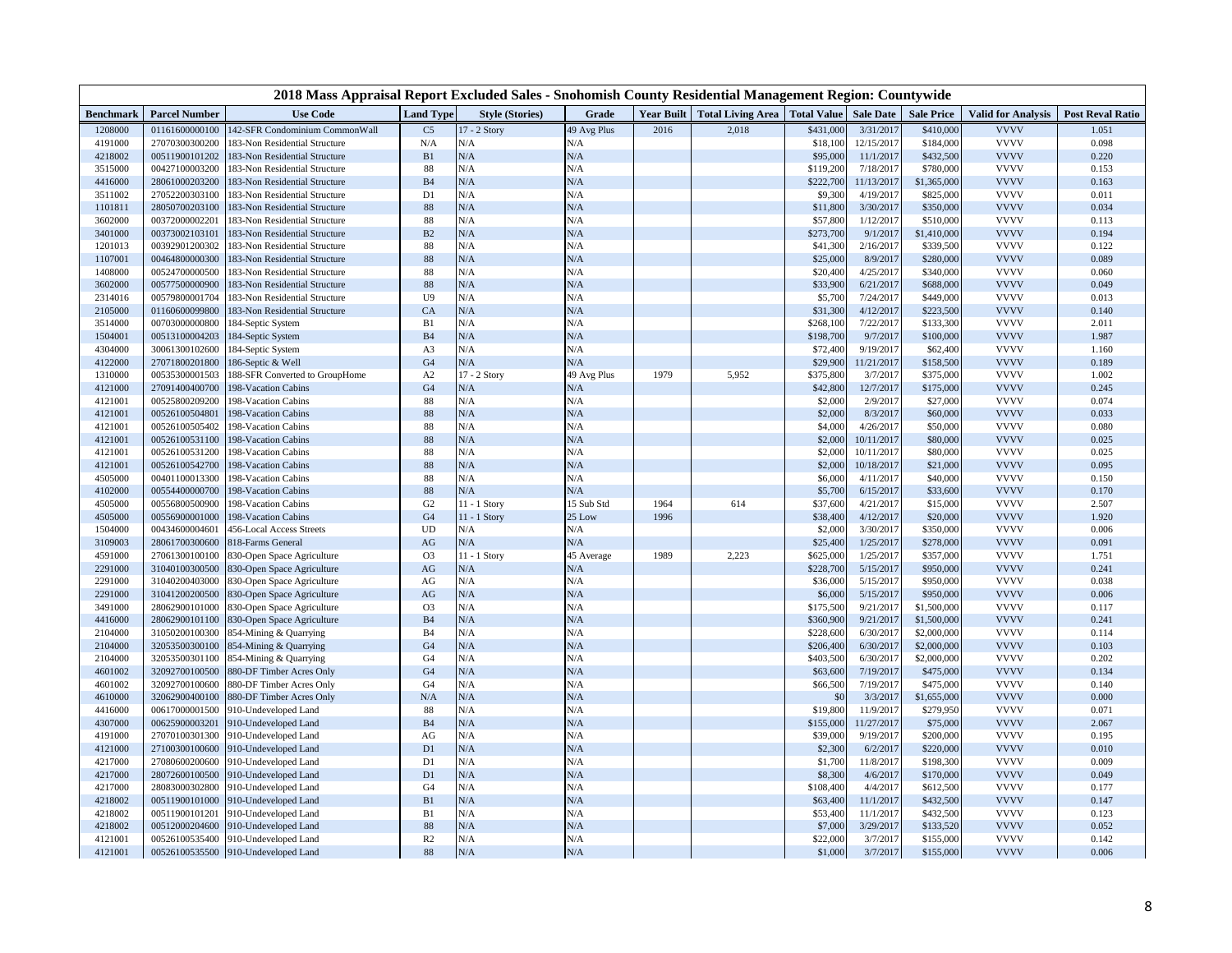| 2018 Mass Appraisal Report Excluded Sales - Snohomish County Residential Management Region: Countywide |                      |                                 |                  |                        |             |      |                                              |           |                  |                   |                           |                         |
|--------------------------------------------------------------------------------------------------------|----------------------|---------------------------------|------------------|------------------------|-------------|------|----------------------------------------------|-----------|------------------|-------------------|---------------------------|-------------------------|
| Benchmark                                                                                              | <b>Parcel Number</b> | <b>Use Code</b>                 | <b>Land Type</b> | <b>Style (Stories)</b> | Grade       |      | Year Built   Total Living Area   Total Value |           | <b>Sale Date</b> | <b>Sale Price</b> | <b>Valid for Analysis</b> | <b>Post Reval Ratio</b> |
| 1208000                                                                                                | 01161600000100       | 42-SFR Condominium CommonWall   | C <sub>5</sub>   | 17 - 2 Story           | 49 Avg Plus | 2016 | 2,018                                        | \$431,000 | 3/31/2017        | \$410,000         | <b>VVVV</b>               | 1.051                   |
| 4191000                                                                                                | 27070300300200       | 183-Non Residential Structure   | N/A              | N/A                    | N/A         |      |                                              | \$18,100  | 12/15/2017       | \$184,000         | <b>VVVV</b>               | 0.098                   |
| 4218002                                                                                                | 00511900101202       | 183-Non Residential Structure   | B1               | $\rm N/A$              | N/A         |      |                                              | \$95,000  | 11/1/2017        | \$432,500         | <b>VVVV</b>               | 0.220                   |
| 3515000                                                                                                | 00427100003200       | 183-Non Residential Structure   | 88               | N/A                    | N/A         |      |                                              | \$119,200 | 7/18/2017        | \$780,000         | <b>VVVV</b>               | 0.153                   |
| 4416000                                                                                                | 28061000203200       | 183-Non Residential Structure   | <b>B4</b>        | N/A                    | N/A         |      |                                              | \$222,700 | 11/13/2017       | \$1,365,000       | <b>VVVV</b>               | 0.163                   |
| 3511002                                                                                                | 27052200303100       | 183-Non Residential Structure   | D1               | N/A                    | N/A         |      |                                              | \$9,300   | 4/19/2017        | \$825,000         | <b>VVVV</b>               | 0.011                   |
| 1101811                                                                                                | 28050700203100       | 183-Non Residential Structure   | 88               | $\rm N/A$              | N/A         |      |                                              | \$11,800  | 3/30/2017        | \$350,000         | <b>VVVV</b>               | 0.034                   |
| 3602000                                                                                                | 00372000002201       | 183-Non Residential Structure   | 88               | N/A                    | N/A         |      |                                              | \$57,800  | 1/12/2017        | \$510,000         | <b>VVVV</b>               | 0.113                   |
| 3401000                                                                                                | 00373002103101       | 183-Non Residential Structure   | B2               | $\rm N/A$              | N/A         |      |                                              | \$273,700 | 9/1/201          | \$1,410,000       | <b>VVVV</b>               | 0.194                   |
| 1201013                                                                                                | 00392901200302       | 183-Non Residential Structure   | 88               | N/A                    | N/A         |      |                                              | \$41,300  | 2/16/2017        | \$339,500         | <b>VVVV</b>               | 0.122                   |
| 1107001                                                                                                | 00464800000300       | 183-Non Residential Structure   | 88               | N/A                    | N/A         |      |                                              | \$25,000  | 8/9/2017         | \$280,000         | <b>VVVV</b>               | 0.089                   |
| 1408000                                                                                                | 00524700000500       | 183-Non Residential Structure   | 88               | $\rm N/A$              | N/A         |      |                                              | \$20,400  | 4/25/2017        | \$340,000         | <b>VVVV</b>               | 0.060                   |
| 3602000                                                                                                | 00577500000900       | 183-Non Residential Structure   | 88               | $\rm N/A$              | N/A         |      |                                              | \$33,900  | 6/21/2017        | \$688,000         | <b>VVVV</b>               | 0.049                   |
| 2314016                                                                                                | 00579800001704       | 183-Non Residential Structure   | U9               | N/A                    | N/A         |      |                                              | \$5,700   | 7/24/2017        | \$449,000         | <b>VVVV</b>               | 0.013                   |
| 2105000                                                                                                | 01160600099800       | 183-Non Residential Structure   | CA               | $\rm N/A$              | N/A         |      |                                              | \$31,300  | 4/12/2017        | \$223,500         | <b>VVVV</b>               | 0.140                   |
| 3514000                                                                                                | 00703000000800       | 184-Septic System               | B1               | N/A                    | N/A         |      |                                              | \$268,100 | 7/22/2017        | \$133,300         | <b>VVVV</b>               | 2.011                   |
| 1504001                                                                                                | 00513100004203       | 184-Septic System               | B4               | N/A                    | N/A         |      |                                              | \$198,700 | 9/7/201          | \$100,000         | <b>VVVV</b>               | 1.987                   |
| 4304000                                                                                                | 30061300102600       | 184-Septic System               | A3               | $\rm N/A$              | N/A         |      |                                              | \$72,400  | 9/19/2017        | \$62,400          | <b>VVVV</b>               | 1.160                   |
| 4122000                                                                                                | 27071800201800       | 186-Septic & Well               | G <sub>4</sub>   | $\rm N/A$              | N/A         |      |                                              | \$29,900  | 11/21/2017       | \$158,500         | <b>VVVV</b>               | 0.189                   |
| 1310000                                                                                                | 00535300001503       | 188-SFR Converted to GroupHome  | A2               | 17 - 2 Story           | 49 Avg Plus | 1979 | 5,952                                        | \$375,800 | 3/7/2017         | \$375,000         | <b>VVVV</b>               | 1.002                   |
| 4121000                                                                                                | 27091400400700       | 198-Vacation Cabins             | G <sub>4</sub>   | N/A                    | N/A         |      |                                              | \$42,800  | 12/7/2017        | \$175,000         | <b>VVVV</b>               | 0.245                   |
| 4121001                                                                                                | 00525800209200       | 198-Vacation Cabins             | 88               | $\rm N/A$              | N/A         |      |                                              | \$2,000   | 2/9/2017         | \$27,000          | <b>VVVV</b>               | 0.074                   |
| 4121001                                                                                                | 00526100504801       | 198-Vacation Cabins             | 88               | ${\rm N/A}$            | N/A         |      |                                              | \$2,000   | 8/3/2017         | \$60,000          | <b>VVVV</b>               | 0.033                   |
| 4121001                                                                                                | 00526100505402       | 198-Vacation Cabins             | 88               | $\rm N/A$              | N/A         |      |                                              | \$4,000   | 4/26/2017        | \$50,000          | <b>VVVV</b>               | 0.080                   |
| 4121001                                                                                                | 00526100531100       | 198-Vacation Cabins             | 88               | $\rm N/A$              | N/A         |      |                                              | \$2,000   | 10/11/2017       | \$80,000          | <b>VVVV</b>               | 0.025                   |
| 4121001                                                                                                | 00526100531200       | 198-Vacation Cabins             | 88               | N/A                    | N/A         |      |                                              | \$2,000   | 10/11/2017       | \$80,000          | <b>VVVV</b>               | 0.025                   |
| 4121001                                                                                                | 00526100542700       | 198-Vacation Cabins             | 88               | $\rm N/A$              | N/A         |      |                                              | \$2,000   | 10/18/2017       | \$21,000          | <b>VVVV</b>               | 0.095                   |
| 4505000                                                                                                | 00401100013300       | 198-Vacation Cabins             | 88               | $\rm N/A$              | N/A         |      |                                              | \$6,000   | 4/11/2017        | \$40,000          | <b>VVVV</b>               | 0.150                   |
| 4102000                                                                                                | 00554400000700       | 198-Vacation Cabins             | 88               | $\rm N/A$              | N/A         |      |                                              | \$5,700   | 6/15/2017        | \$33,600          | <b>VVVV</b>               | 0.170                   |
| 4505000                                                                                                | 00556800500900       | 198-Vacation Cabins             | G <sub>2</sub>   | 11 - 1 Story           | 15 Sub Std  | 1964 | 614                                          | \$37,600  | 4/21/2017        | \$15,000          | <b>VVVV</b>               | 2.507                   |
| 4505000                                                                                                | 00556900001000       | 198-Vacation Cabins             | G <sub>4</sub>   | $11 - 1$ Story         | 25 Low      | 1996 |                                              | \$38,400  | 4/12/2017        | \$20,000          | <b>VVVV</b>               | 1.920                   |
| 1504000                                                                                                | 00434600004601       | <b>456-Local Access Streets</b> | UD               | N/A                    | N/A         |      |                                              | \$2,000   | 3/30/2017        | \$350,000         | <b>VVVV</b>               | 0.006                   |
| 3109003                                                                                                | 28061700300600       | 818-Farms General               | $\rm{AG}$        | $\rm N/A$              | N/A         |      |                                              | \$25,400  | 1/25/2017        | \$278,000         | <b>VVVV</b>               | 0.091                   |
| 4591000                                                                                                | 27061300100100       | 830-Open Space Agriculture      | O <sub>3</sub>   | 11 - 1 Story           | 45 Average  | 1989 | 2,223                                        | \$625,000 | 1/25/2017        | \$357,000         | <b>VVVV</b>               | 1.751                   |
| 2291000                                                                                                | 31040100300500       | 830-Open Space Agriculture      | $\rm{AG}$        | N/A                    | N/A         |      |                                              | \$228,700 | 5/15/2017        | \$950,000         | <b>VVVV</b>               | 0.241                   |
| 2291000                                                                                                | 31040200403000       | 330-Open Space Agriculture      | AG               | N/A                    | N/A         |      |                                              | \$36,000  | 5/15/2017        | \$950,000         | <b>VVVV</b>               | 0.038                   |
| 2291000                                                                                                | 31041200200500       | 830-Open Space Agriculture      | AG               | $\rm N/A$              | N/A         |      |                                              | \$6,000   | 5/15/2017        | \$950,000         | <b>VVVV</b>               | 0.006                   |
| 3491000                                                                                                | 28062900101000       | 330-Open Space Agriculture      | O <sub>3</sub>   | N/A                    | N/A         |      |                                              | \$175,500 | 9/21/2017        | \$1,500,000       | <b>VVVV</b>               | 0.117                   |
| 4416000                                                                                                | 28062900101100       | 830-Open Space Agriculture      | B <sub>4</sub>   | N/A                    | N/A         |      |                                              | \$360,900 | 9/21/2017        | \$1,500,000       | <b>VVVV</b>               | 0.241                   |
| 2104000                                                                                                | 31050200100300       | 354-Mining & Quarrying          | <b>B4</b>        | N/A                    | N/A         |      |                                              | \$228,600 | 6/30/2017        | \$2,000,000       | <b>VVVV</b>               | 0.114                   |
| 2104000                                                                                                | 32053500300100       | 354-Mining & Quarrying          | G <sub>4</sub>   | N/A                    | N/A         |      |                                              | \$206,400 | 6/30/2017        | \$2,000,000       | <b>VVVV</b>               | 0.103                   |
| 2104000                                                                                                | 32053500301100       | 854-Mining & Quarrying          | G <sub>4</sub>   | N/A                    | N/A         |      |                                              | \$403,500 | 6/30/2017        | \$2,000,000       | <b>VVVV</b>               | 0.202                   |
| 4601002                                                                                                | 32092700100500       | 880-DF Timber Acres Only        | G <sub>4</sub>   | $\rm N/A$              | N/A         |      |                                              | \$63,600  | 7/19/2017        | \$475,000         | <b>VVVV</b>               | 0.134                   |
| 4601002                                                                                                | 32092700100600       | 880-DF Timber Acres Only        | G <sub>4</sub>   | N/A                    | N/A         |      |                                              | \$66,500  | 7/19/2017        | \$475,000         | <b>VVVV</b>               | 0.140                   |
| 4610000                                                                                                | 32062900400100       | 880-DF Timber Acres Only        | N/A              | N/A                    | N/A         |      |                                              | \$0       | 3/3/2017         | \$1,655,000       | <b>VVVV</b>               | 0.000                   |
| 4416000                                                                                                | 00617000001500       | 910-Undeveloped Land            | 88               | N/A                    | N/A         |      |                                              | \$19,800  | 11/9/2017        | \$279,950         | <b>VVVV</b>               | 0.071                   |
| 4307000                                                                                                | 00625900003201       | 910-Undeveloped Land            | $\mathbf{B}4$    | N/A                    | N/A         |      |                                              | \$155,000 | 11/27/2017       | \$75,000          | <b>VVVV</b>               | 2.067                   |
| 4191000                                                                                                | 27070100301300       | 910-Undeveloped Land            | AG               | ${\rm N/A}$            | N/A         |      |                                              | \$39,000  | 9/19/2017        | \$200,000         | <b>VVVV</b>               | 0.195                   |
| 4121000                                                                                                | 27100300100600       | 910-Undeveloped Land            | D <sub>1</sub>   | N/A                    | N/A         |      |                                              | \$2,300   | 6/2/2017         | \$220,000         | <b>VVVV</b>               | 0.010                   |
| 4217000                                                                                                | 27080600200600       | 910-Undeveloped Land            | D1               | N/A                    | N/A         |      |                                              | \$1,700   | 11/8/2017        | \$198,300         | <b>VVVV</b>               | 0.009                   |
| 4217000                                                                                                | 28072600100500       | 910-Undeveloped Land            | D1               | N/A                    | N/A         |      |                                              | \$8,300   | 4/6/2017         | \$170,000         | <b>VVVV</b>               | 0.049                   |
| 4217000                                                                                                | 28083000302800       | 910-Undeveloped Land            | G <sub>4</sub>   | N/A                    | N/A         |      |                                              | \$108,400 | 4/4/2011         | \$612,500         | <b>VVVV</b>               | 0.177                   |
| 4218002                                                                                                | 00511900101000       | 910-Undeveloped Land            | B1               | N/A                    | N/A         |      |                                              | \$63,400  | 11/1/2017        | \$432,500         | <b>VVVV</b>               | 0.147                   |
| 4218002                                                                                                | 00511900101201       | 910-Undeveloped Land            | B1               | N/A                    | N/A         |      |                                              | \$53,400  | 11/1/2017        | \$432,500         | <b>VVVV</b>               | 0.123                   |
| 4218002                                                                                                | 00512000204600       | 910-Undeveloped Land            | 88               | N/A                    | N/A         |      |                                              | \$7,000   | 3/29/2017        | \$133,520         | <b>VVVV</b>               | 0.052                   |
| 4121001                                                                                                | 00526100535400       | 910-Undeveloped Land            | R <sub>2</sub>   | ${\rm N/A}$            | N/A         |      |                                              | \$22,000  | 3/7/2017         | \$155,000         | <b>VVVV</b>               | 0.142                   |
| 4121001                                                                                                | 00526100535500       | 910-Undeveloped Land            | 88               | ${\rm N/A}$            | N/A         |      |                                              | \$1,000   | 3/7/2017         | \$155,000         | <b>VVVV</b>               | 0.006                   |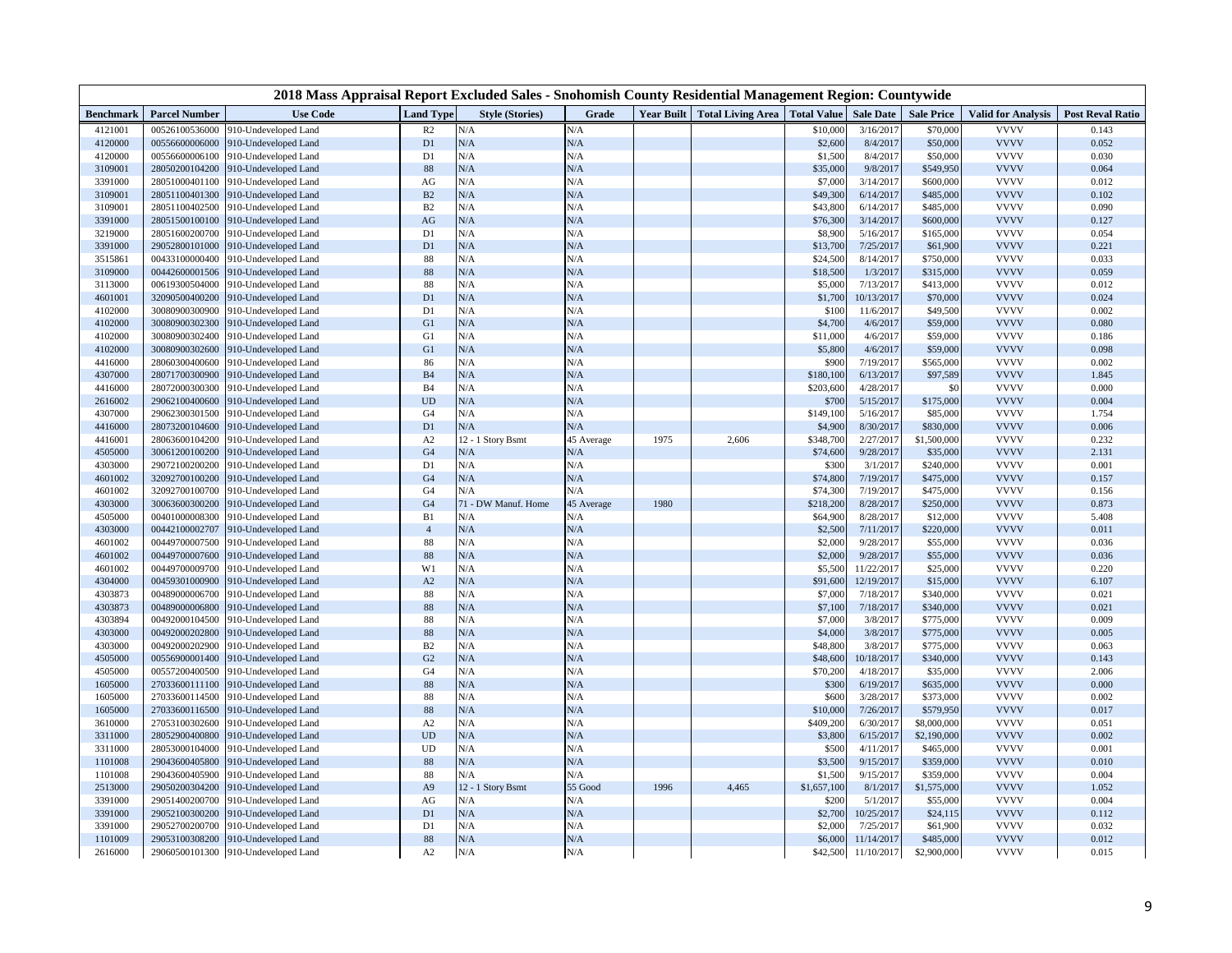| <b>Use Code</b><br><b>Total Living Area</b> Total Value<br><b>Sale Date</b><br><b>Valid for Analysis</b><br><b>Parcel Number</b><br><b>Land Type</b><br><b>Style (Stories)</b><br>Grade<br><b>Year Built</b><br><b>Sale Price</b><br><b>Post Reval Ratio</b><br><b>Benchmark</b><br>N/A<br><b>VVVV</b><br>4121001<br>00526100536000<br>910-Undeveloped Land<br>R <sub>2</sub><br>N/A<br>\$10,000<br>3/16/2017<br>\$70,000<br>0.143<br>N/A<br>8/4/2017<br>\$50,000<br><b>VVVV</b><br>0.052<br>4120000<br>00556600006000<br>910-Undeveloped Land<br>D1<br>N/A<br>\$2,600<br>N/A<br><b>VVVV</b><br>4120000<br>N/A<br>8/4/2017<br>\$50,000<br>0.030<br>00556600006100<br>910-Undeveloped Land<br>D1<br>\$1,500<br><b>VVVV</b><br>3109001<br>88<br>N/A<br>N/A<br>\$35,000<br>9/8/2017<br>0.064<br>28050200104200<br>910-Undeveloped Land<br>\$549,950<br>N/A<br><b>VVVV</b><br>3391000<br>AG<br>N/A<br>3/14/2017<br>0.012<br>28051000401100<br>910-Undeveloped Land<br>\$7,000<br>\$600,000<br>$\mathbf{B}2$<br>N/A<br><b>VVVV</b><br>0.102<br>3109001<br>28051100401300<br>910-Undeveloped Land<br>N/A<br>\$49,300<br>6/14/2017<br>\$485,000<br><b>VVVV</b><br>3109001<br>28051100402500<br>B2<br>N/A<br>0.090<br>910-Undeveloped Land<br>N/A<br>\$43,800<br>6/14/2017<br>\$485,000<br><b>VVVV</b><br>3391000<br>N/A<br>N/A<br>3/14/2017<br>0.127<br>28051500100100<br>910-Undeveloped Land<br>AG<br>\$76,300<br>\$600,000<br>N/A<br><b>VVVV</b><br>3219000<br>28051600200700<br>D1<br>N/A<br>0.054<br>910-Undeveloped Land<br>\$8,900<br>5/16/201<br>\$165,000<br><b>VVVV</b><br>N/A<br>3391000<br>29052800101000<br>D1<br>N/A<br>7/25/2017<br>0.221<br>910-Undeveloped Land<br>\$13,700<br>\$61,900<br>3515861<br>88<br>N/A<br>N/A<br><b>VVVV</b><br>0.033<br>00433100000400<br>910-Undeveloped Land<br>\$24,500<br>8/14/2017<br>\$750,000<br>N/A<br><b>VVVV</b><br>3109000<br>88<br>N/A<br>1/3/2017<br>0.059<br>00442600001506<br>910-Undeveloped Land<br>\$18,500<br>\$315,000<br>N/A<br>N/A<br><b>VVVV</b><br>3113000<br>88<br>\$5,000<br>0.012<br>00619300504000<br>910-Undeveloped Land<br>7/13/2017<br>\$413,000<br>N/A<br><b>VVVV</b><br>0.024<br>4601001<br>32090500400200<br>D1<br>N/A<br>10/13/2017<br>\$70,000<br>910-Undeveloped Land<br>\$1,700<br>4102000<br>30080900300900<br>D1<br>N/A<br>N/A<br><b>VVVV</b><br>0.002<br>910-Undeveloped Land<br>\$100<br>11/6/2017<br>\$49,500<br><b>VVVV</b><br>4102000<br>G1<br>N/A<br>N/A<br>4/6/2017<br>0.080<br>30080900302300<br>910-Undeveloped Land<br>\$4,700<br>\$59,000<br>N/A<br>N/A<br><b>VVVV</b><br>4102000<br>G1<br>\$11,000<br>4/6/2017<br>0.186<br>30080900302400<br>910-Undeveloped Land<br>\$59,000<br><b>VVVV</b><br>G1<br>N/A<br>4102000<br>30080900302600<br>N/A<br>\$5,800<br>4/6/2017<br>\$59,000<br>0.098<br>910-Undeveloped Land<br>4416000<br>28060300400600<br>N/A<br>N/A<br>\$900<br><b>VVVV</b><br>910-Undeveloped Land<br>86<br>7/19/2017<br>\$565,000<br>0.002<br><b>VVVV</b><br>4307000<br>B <sub>4</sub><br>N/A<br>N/A<br>6/13/2017<br>1.845<br>28071700300900<br>910-Undeveloped Land<br>\$180,100<br>\$97,589<br><b>VVVV</b><br>4416000<br>B <sub>4</sub><br>N/A<br>N/A<br>\$203,600<br>4/28/2017<br>0.000<br>28072000300300<br>910-Undeveloped Land<br>\$0<br>N/A<br><b>VVVV</b><br>2616002<br>29062100400600<br>$\ensuremath{\mathrm{UD}}$<br>N/A<br>\$700<br>5/15/2017<br>\$175,000<br>0.004<br>910-Undeveloped Land<br>N/A<br><b>VVVV</b><br>4307000<br>29062300301500<br>910-Undeveloped Land<br>G <sub>4</sub><br>N/A<br>\$149,100<br>5/16/2017<br>\$85,000<br>1.754<br>4416000<br>N/A<br>N/A<br>8/30/2017<br><b>VVVV</b><br>0.006<br>28073200104600<br>910-Undeveloped Land<br>D1<br>\$4,900<br>\$830,000<br><b>VVVV</b><br>12 - 1 Story Bsmt<br>45 Average<br>2,606<br>0.232<br>4416001<br>28063600104200<br>910-Undeveloped Land<br>A <sub>2</sub><br>1975<br>\$348,700<br>2/27/2017<br>\$1,500,000<br>4505000<br>30061200100200<br>G <sub>4</sub><br>N/A<br>N/A<br>\$74,600<br>9/28/2017<br><b>VVVV</b><br>2.131<br>910-Undeveloped Land<br>\$35,000<br><b>VVVV</b><br>4303000<br>29072100200200<br>D1<br>N/A<br>N/A<br>\$300<br>3/1/201<br>\$240,000<br>0.001<br>910-Undeveloped Land<br>N/A<br>N/A<br><b>VVVV</b><br>4601002<br>32092700100200<br>G <sub>4</sub><br>\$74,800<br>7/19/2017<br>\$475,000<br>0.157<br>910-Undeveloped Land<br><b>VVVV</b><br>4601002<br>32092700100700<br>910-Undeveloped Land<br>G <sub>4</sub><br>N/A<br>N/A<br>\$74,300<br>7/19/2017<br>\$475,000<br>0.156<br><b>VVVV</b><br>4303000<br>30063600300200<br>G <sub>4</sub><br>71 - DW Manuf. Home<br>1980<br>\$218,200<br>8/28/2017<br>0.873<br>910-Undeveloped Land<br>45 Average<br>\$250,000<br><b>VVVV</b><br>4505000<br>00401000008300<br>B1<br>N/A<br>\$64,900<br>8/28/2017<br>5.408<br>910-Undeveloped Land<br>N/A<br>\$12,000<br>N/A<br><b>VVVV</b><br>4303000<br>00442100002707<br>910-Undeveloped Land<br>$\overline{4}$<br>N/A<br>\$2,500<br>7/11/2017<br>\$220,000<br>0.011<br><b>VVVV</b><br>4601002<br>00449700007500<br>910-Undeveloped Land<br>88<br>N/A<br>N/A<br>\$2,000<br>9/28/2017<br>\$55,000<br>0.036<br><b>VVVV</b><br>$88\,$<br>N/A<br>N/A<br>4601002<br>00449700007600<br>910-Undeveloped Land<br>\$2,000<br>9/28/2017<br>\$55,000<br>0.036<br><b>VVVV</b><br>W1<br>N/A<br>11/22/2017<br>\$25,000<br>4601002<br>00449700009700<br>910-Undeveloped Land<br>N/A<br>\$5,500<br>0.220<br>N/A<br><b>VVVV</b><br>4304000<br>00459301000900<br>A2<br>N/A<br>12/19/2017<br>6.107<br>910-Undeveloped Land<br>\$91,600<br>\$15,000<br>N/A<br><b>VVVV</b><br>4303873<br>00489000006700<br>88<br>N/A<br>\$7,000<br>7/18/2017<br>0.021<br>910-Undeveloped Land<br>\$340,000<br><b>VVVV</b><br>88<br>N/A<br>N/A<br>0.021<br>4303873<br>00489000006800<br>\$7,100<br>7/18/2017<br>910-Undeveloped Land<br>\$340,000<br><b>VVVV</b><br>88<br>N/A<br>N/A<br>0.009<br>4303894<br>00492000104500<br>910-Undeveloped Land<br>\$7,000<br>3/8/2017<br>\$775,000<br>88<br>N/A<br>N/A<br><b>VVVV</b><br>4303000<br>00492000202800<br>3/8/2017<br>0.005<br>910-Undeveloped Land<br>\$4,000<br>\$775,000<br>N/A<br><b>VVVV</b><br>4303000<br>00492000202900<br>910-Undeveloped Land<br>B <sub>2</sub><br>N/A<br>\$48,800<br>3/8/2017<br>0.063<br>\$775,000<br><b>VVVV</b><br>G <sub>2</sub><br>N/A<br>N/A<br>4505000<br>00556900001400<br>910-Undeveloped Land<br>\$48,600<br>10/18/2017<br>\$340,000<br>0.143<br>G <sub>4</sub><br>N/A<br><b>VVVV</b><br>4505000<br>00557200400500<br>910-Undeveloped Land<br>N/A<br>\$70,200<br>4/18/2017<br>\$35,000<br>2.006<br>88<br>N/A<br><b>VVVV</b><br>1605000<br>N/A<br>\$300<br>6/19/2017<br>0.000<br>27033600111100<br>910-Undeveloped Land<br>\$635,000<br>N/A<br><b>VVVV</b><br>1605000<br>88<br>N/A<br>\$600<br>3/28/2017<br>0.002<br>27033600114500<br>910-Undeveloped Land<br>\$373,000<br>$88\,$<br>N/A<br>N/A<br><b>VVVV</b><br>0.017<br>1605000<br>27033600116500<br>\$10,000<br>7/26/2017<br>\$579,950<br>910-Undeveloped Land<br>N/A<br>N/A<br><b>VVVV</b><br>3610000<br>27053100302600<br>910-Undeveloped Land<br>A2<br>\$409,200<br>6/30/2017<br>\$8,000,000<br>0.051<br><b>VVVV</b><br>3311000<br>28052900400800<br>UD<br>$\rm N/A$<br>N/A<br>\$3,800<br>6/15/2017<br>\$2,190,000<br>0.002<br>910-Undeveloped Land<br><b>VVVV</b><br>3311000<br>28053000104000<br>UD<br>N/A<br>N/A<br>\$500<br>4/11/2017<br>0.001<br>910-Undeveloped Land<br>\$465,000<br>N/A<br><b>VVVV</b><br>1101008<br>29043600405800<br>910-Undeveloped Land<br>88<br>N/A<br>\$3,500<br>9/15/2017<br>\$359,000<br>0.010<br>88<br>N/A<br>N/A<br><b>VVVV</b><br>1101008<br>29043600405900<br>\$1,500<br>9/15/2017<br>\$359,000<br>0.004<br>910-Undeveloped Land<br>2513000<br>29050200304200<br>A <sub>9</sub><br>12 - 1 Story Bsmt<br>55 Good<br>4,465<br>8/1/2017<br><b>VVVV</b><br>1.052<br>910-Undeveloped Land<br>1996<br>\$1,657,100<br>\$1,575,000<br><b>VVVV</b><br>3391000<br>29051400200700<br>N/A<br>N/A<br>\$200<br>5/1/2017<br>0.004<br>910-Undeveloped Land<br>AG<br>\$55,000<br>N/A<br><b>VVVV</b><br>3391000<br>29052100300200<br>910-Undeveloped Land<br>D1<br>N/A<br>\$2,700<br>10/25/2017<br>\$24,115<br>0.112<br>N/A<br>N/A<br><b>VVVV</b><br>3391000<br>29052700200700<br>D1<br>\$2,000<br>7/25/2017<br>\$61,900<br>0.032<br>910-Undeveloped Land<br>88<br>$\rm N/A$<br>N/A<br>11/14/2017<br><b>VVVV</b><br>0.012<br>1101009<br>29053100308200<br>910-Undeveloped Land<br>\$6,000<br>\$485,000<br>N/A<br>$\rm N/A$<br>\$42,500<br>11/10/2017<br><b>VVVV</b><br>2616000<br>29060500101300<br>910-Undeveloped Land<br>A <sub>2</sub><br>\$2,900,000<br>0.015 |  | 2018 Mass Appraisal Report Excluded Sales - Snohomish County Residential Management Region: Countywide |  |  |  |  |  |
|-------------------------------------------------------------------------------------------------------------------------------------------------------------------------------------------------------------------------------------------------------------------------------------------------------------------------------------------------------------------------------------------------------------------------------------------------------------------------------------------------------------------------------------------------------------------------------------------------------------------------------------------------------------------------------------------------------------------------------------------------------------------------------------------------------------------------------------------------------------------------------------------------------------------------------------------------------------------------------------------------------------------------------------------------------------------------------------------------------------------------------------------------------------------------------------------------------------------------------------------------------------------------------------------------------------------------------------------------------------------------------------------------------------------------------------------------------------------------------------------------------------------------------------------------------------------------------------------------------------------------------------------------------------------------------------------------------------------------------------------------------------------------------------------------------------------------------------------------------------------------------------------------------------------------------------------------------------------------------------------------------------------------------------------------------------------------------------------------------------------------------------------------------------------------------------------------------------------------------------------------------------------------------------------------------------------------------------------------------------------------------------------------------------------------------------------------------------------------------------------------------------------------------------------------------------------------------------------------------------------------------------------------------------------------------------------------------------------------------------------------------------------------------------------------------------------------------------------------------------------------------------------------------------------------------------------------------------------------------------------------------------------------------------------------------------------------------------------------------------------------------------------------------------------------------------------------------------------------------------------------------------------------------------------------------------------------------------------------------------------------------------------------------------------------------------------------------------------------------------------------------------------------------------------------------------------------------------------------------------------------------------------------------------------------------------------------------------------------------------------------------------------------------------------------------------------------------------------------------------------------------------------------------------------------------------------------------------------------------------------------------------------------------------------------------------------------------------------------------------------------------------------------------------------------------------------------------------------------------------------------------------------------------------------------------------------------------------------------------------------------------------------------------------------------------------------------------------------------------------------------------------------------------------------------------------------------------------------------------------------------------------------------------------------------------------------------------------------------------------------------------------------------------------------------------------------------------------------------------------------------------------------------------------------------------------------------------------------------------------------------------------------------------------------------------------------------------------------------------------------------------------------------------------------------------------------------------------------------------------------------------------------------------------------------------------------------------------------------------------------------------------------------------------------------------------------------------------------------------------------------------------------------------------------------------------------------------------------------------------------------------------------------------------------------------------------------------------------------------------------------------------------------------------------------------------------------------------------------------------------------------------------------------------------------------------------------------------------------------------------------------------------------------------------------------------------------------------------------------------------------------------------------------------------------------------------------------------------------------------------------------------------------------------------------------------------------------------------------------------------------------------------------------------------------------------------------------------------------------------------------------------------------------------------------------------------------------------------------------------------------------------------------------------------------------------------------------------------------------------------------------------------------------------------------------------------------------------------------------------------------------------------------------------------------------------------------------------------------------------------------------------------------------------------------------------------------------------------------------------------------------------------------------------------------------------------------------------------------------------------------------------------------------------------------------------------------------------------------------------------------------------------------------------------------------------------------------------------------------------------------------------------------------------------------------------------------------------------------------------------------------------------------------------------------------------------------------------------------------------------------------------------------------------------------------------------------------------------------------------------------------------------------------------------------------------------------------------------------------------------------------------------------------------------------------------------------------------------------------------------------------------------------------------------------------------------------------------------------------------------------------------------------------------------------------------------------------------------------------------------------------------------------------------------------------------------------------------------------------------------------------------------------------------------------------------------------------------------|--|--------------------------------------------------------------------------------------------------------|--|--|--|--|--|
|                                                                                                                                                                                                                                                                                                                                                                                                                                                                                                                                                                                                                                                                                                                                                                                                                                                                                                                                                                                                                                                                                                                                                                                                                                                                                                                                                                                                                                                                                                                                                                                                                                                                                                                                                                                                                                                                                                                                                                                                                                                                                                                                                                                                                                                                                                                                                                                                                                                                                                                                                                                                                                                                                                                                                                                                                                                                                                                                                                                                                                                                                                                                                                                                                                                                                                                                                                                                                                                                                                                                                                                                                                                                                                                                                                                                                                                                                                                                                                                                                                                                                                                                                                                                                                                                                                                                                                                                                                                                                                                                                                                                                                                                                                                                                                                                                                                                                                                                                                                                                                                                                                                                                                                                                                                                                                                                                                                                                                                                                                                                                                                                                                                                                                                                                                                                                                                                                                                                                                                                                                                                                                                                                                                                                                                                                                                                                                                                                                                                                                                                                                                                                                                                                                                                                                                                                                                                                                                                                                                                                                                                                                                                                                                                                                                                                                                                                                                                                                                                                                                                                                                                                                                                                                                                                                                                                                                                                                                                                                                                                                                                                                                                                                                                                                                                                                                                                                                                                                                                                                                                                                                           |  |                                                                                                        |  |  |  |  |  |
|                                                                                                                                                                                                                                                                                                                                                                                                                                                                                                                                                                                                                                                                                                                                                                                                                                                                                                                                                                                                                                                                                                                                                                                                                                                                                                                                                                                                                                                                                                                                                                                                                                                                                                                                                                                                                                                                                                                                                                                                                                                                                                                                                                                                                                                                                                                                                                                                                                                                                                                                                                                                                                                                                                                                                                                                                                                                                                                                                                                                                                                                                                                                                                                                                                                                                                                                                                                                                                                                                                                                                                                                                                                                                                                                                                                                                                                                                                                                                                                                                                                                                                                                                                                                                                                                                                                                                                                                                                                                                                                                                                                                                                                                                                                                                                                                                                                                                                                                                                                                                                                                                                                                                                                                                                                                                                                                                                                                                                                                                                                                                                                                                                                                                                                                                                                                                                                                                                                                                                                                                                                                                                                                                                                                                                                                                                                                                                                                                                                                                                                                                                                                                                                                                                                                                                                                                                                                                                                                                                                                                                                                                                                                                                                                                                                                                                                                                                                                                                                                                                                                                                                                                                                                                                                                                                                                                                                                                                                                                                                                                                                                                                                                                                                                                                                                                                                                                                                                                                                                                                                                                                                           |  |                                                                                                        |  |  |  |  |  |
|                                                                                                                                                                                                                                                                                                                                                                                                                                                                                                                                                                                                                                                                                                                                                                                                                                                                                                                                                                                                                                                                                                                                                                                                                                                                                                                                                                                                                                                                                                                                                                                                                                                                                                                                                                                                                                                                                                                                                                                                                                                                                                                                                                                                                                                                                                                                                                                                                                                                                                                                                                                                                                                                                                                                                                                                                                                                                                                                                                                                                                                                                                                                                                                                                                                                                                                                                                                                                                                                                                                                                                                                                                                                                                                                                                                                                                                                                                                                                                                                                                                                                                                                                                                                                                                                                                                                                                                                                                                                                                                                                                                                                                                                                                                                                                                                                                                                                                                                                                                                                                                                                                                                                                                                                                                                                                                                                                                                                                                                                                                                                                                                                                                                                                                                                                                                                                                                                                                                                                                                                                                                                                                                                                                                                                                                                                                                                                                                                                                                                                                                                                                                                                                                                                                                                                                                                                                                                                                                                                                                                                                                                                                                                                                                                                                                                                                                                                                                                                                                                                                                                                                                                                                                                                                                                                                                                                                                                                                                                                                                                                                                                                                                                                                                                                                                                                                                                                                                                                                                                                                                                                                           |  |                                                                                                        |  |  |  |  |  |
|                                                                                                                                                                                                                                                                                                                                                                                                                                                                                                                                                                                                                                                                                                                                                                                                                                                                                                                                                                                                                                                                                                                                                                                                                                                                                                                                                                                                                                                                                                                                                                                                                                                                                                                                                                                                                                                                                                                                                                                                                                                                                                                                                                                                                                                                                                                                                                                                                                                                                                                                                                                                                                                                                                                                                                                                                                                                                                                                                                                                                                                                                                                                                                                                                                                                                                                                                                                                                                                                                                                                                                                                                                                                                                                                                                                                                                                                                                                                                                                                                                                                                                                                                                                                                                                                                                                                                                                                                                                                                                                                                                                                                                                                                                                                                                                                                                                                                                                                                                                                                                                                                                                                                                                                                                                                                                                                                                                                                                                                                                                                                                                                                                                                                                                                                                                                                                                                                                                                                                                                                                                                                                                                                                                                                                                                                                                                                                                                                                                                                                                                                                                                                                                                                                                                                                                                                                                                                                                                                                                                                                                                                                                                                                                                                                                                                                                                                                                                                                                                                                                                                                                                                                                                                                                                                                                                                                                                                                                                                                                                                                                                                                                                                                                                                                                                                                                                                                                                                                                                                                                                                                                           |  |                                                                                                        |  |  |  |  |  |
|                                                                                                                                                                                                                                                                                                                                                                                                                                                                                                                                                                                                                                                                                                                                                                                                                                                                                                                                                                                                                                                                                                                                                                                                                                                                                                                                                                                                                                                                                                                                                                                                                                                                                                                                                                                                                                                                                                                                                                                                                                                                                                                                                                                                                                                                                                                                                                                                                                                                                                                                                                                                                                                                                                                                                                                                                                                                                                                                                                                                                                                                                                                                                                                                                                                                                                                                                                                                                                                                                                                                                                                                                                                                                                                                                                                                                                                                                                                                                                                                                                                                                                                                                                                                                                                                                                                                                                                                                                                                                                                                                                                                                                                                                                                                                                                                                                                                                                                                                                                                                                                                                                                                                                                                                                                                                                                                                                                                                                                                                                                                                                                                                                                                                                                                                                                                                                                                                                                                                                                                                                                                                                                                                                                                                                                                                                                                                                                                                                                                                                                                                                                                                                                                                                                                                                                                                                                                                                                                                                                                                                                                                                                                                                                                                                                                                                                                                                                                                                                                                                                                                                                                                                                                                                                                                                                                                                                                                                                                                                                                                                                                                                                                                                                                                                                                                                                                                                                                                                                                                                                                                                                           |  |                                                                                                        |  |  |  |  |  |
|                                                                                                                                                                                                                                                                                                                                                                                                                                                                                                                                                                                                                                                                                                                                                                                                                                                                                                                                                                                                                                                                                                                                                                                                                                                                                                                                                                                                                                                                                                                                                                                                                                                                                                                                                                                                                                                                                                                                                                                                                                                                                                                                                                                                                                                                                                                                                                                                                                                                                                                                                                                                                                                                                                                                                                                                                                                                                                                                                                                                                                                                                                                                                                                                                                                                                                                                                                                                                                                                                                                                                                                                                                                                                                                                                                                                                                                                                                                                                                                                                                                                                                                                                                                                                                                                                                                                                                                                                                                                                                                                                                                                                                                                                                                                                                                                                                                                                                                                                                                                                                                                                                                                                                                                                                                                                                                                                                                                                                                                                                                                                                                                                                                                                                                                                                                                                                                                                                                                                                                                                                                                                                                                                                                                                                                                                                                                                                                                                                                                                                                                                                                                                                                                                                                                                                                                                                                                                                                                                                                                                                                                                                                                                                                                                                                                                                                                                                                                                                                                                                                                                                                                                                                                                                                                                                                                                                                                                                                                                                                                                                                                                                                                                                                                                                                                                                                                                                                                                                                                                                                                                                                           |  |                                                                                                        |  |  |  |  |  |
|                                                                                                                                                                                                                                                                                                                                                                                                                                                                                                                                                                                                                                                                                                                                                                                                                                                                                                                                                                                                                                                                                                                                                                                                                                                                                                                                                                                                                                                                                                                                                                                                                                                                                                                                                                                                                                                                                                                                                                                                                                                                                                                                                                                                                                                                                                                                                                                                                                                                                                                                                                                                                                                                                                                                                                                                                                                                                                                                                                                                                                                                                                                                                                                                                                                                                                                                                                                                                                                                                                                                                                                                                                                                                                                                                                                                                                                                                                                                                                                                                                                                                                                                                                                                                                                                                                                                                                                                                                                                                                                                                                                                                                                                                                                                                                                                                                                                                                                                                                                                                                                                                                                                                                                                                                                                                                                                                                                                                                                                                                                                                                                                                                                                                                                                                                                                                                                                                                                                                                                                                                                                                                                                                                                                                                                                                                                                                                                                                                                                                                                                                                                                                                                                                                                                                                                                                                                                                                                                                                                                                                                                                                                                                                                                                                                                                                                                                                                                                                                                                                                                                                                                                                                                                                                                                                                                                                                                                                                                                                                                                                                                                                                                                                                                                                                                                                                                                                                                                                                                                                                                                                                           |  |                                                                                                        |  |  |  |  |  |
|                                                                                                                                                                                                                                                                                                                                                                                                                                                                                                                                                                                                                                                                                                                                                                                                                                                                                                                                                                                                                                                                                                                                                                                                                                                                                                                                                                                                                                                                                                                                                                                                                                                                                                                                                                                                                                                                                                                                                                                                                                                                                                                                                                                                                                                                                                                                                                                                                                                                                                                                                                                                                                                                                                                                                                                                                                                                                                                                                                                                                                                                                                                                                                                                                                                                                                                                                                                                                                                                                                                                                                                                                                                                                                                                                                                                                                                                                                                                                                                                                                                                                                                                                                                                                                                                                                                                                                                                                                                                                                                                                                                                                                                                                                                                                                                                                                                                                                                                                                                                                                                                                                                                                                                                                                                                                                                                                                                                                                                                                                                                                                                                                                                                                                                                                                                                                                                                                                                                                                                                                                                                                                                                                                                                                                                                                                                                                                                                                                                                                                                                                                                                                                                                                                                                                                                                                                                                                                                                                                                                                                                                                                                                                                                                                                                                                                                                                                                                                                                                                                                                                                                                                                                                                                                                                                                                                                                                                                                                                                                                                                                                                                                                                                                                                                                                                                                                                                                                                                                                                                                                                                                           |  |                                                                                                        |  |  |  |  |  |
|                                                                                                                                                                                                                                                                                                                                                                                                                                                                                                                                                                                                                                                                                                                                                                                                                                                                                                                                                                                                                                                                                                                                                                                                                                                                                                                                                                                                                                                                                                                                                                                                                                                                                                                                                                                                                                                                                                                                                                                                                                                                                                                                                                                                                                                                                                                                                                                                                                                                                                                                                                                                                                                                                                                                                                                                                                                                                                                                                                                                                                                                                                                                                                                                                                                                                                                                                                                                                                                                                                                                                                                                                                                                                                                                                                                                                                                                                                                                                                                                                                                                                                                                                                                                                                                                                                                                                                                                                                                                                                                                                                                                                                                                                                                                                                                                                                                                                                                                                                                                                                                                                                                                                                                                                                                                                                                                                                                                                                                                                                                                                                                                                                                                                                                                                                                                                                                                                                                                                                                                                                                                                                                                                                                                                                                                                                                                                                                                                                                                                                                                                                                                                                                                                                                                                                                                                                                                                                                                                                                                                                                                                                                                                                                                                                                                                                                                                                                                                                                                                                                                                                                                                                                                                                                                                                                                                                                                                                                                                                                                                                                                                                                                                                                                                                                                                                                                                                                                                                                                                                                                                                                           |  |                                                                                                        |  |  |  |  |  |
|                                                                                                                                                                                                                                                                                                                                                                                                                                                                                                                                                                                                                                                                                                                                                                                                                                                                                                                                                                                                                                                                                                                                                                                                                                                                                                                                                                                                                                                                                                                                                                                                                                                                                                                                                                                                                                                                                                                                                                                                                                                                                                                                                                                                                                                                                                                                                                                                                                                                                                                                                                                                                                                                                                                                                                                                                                                                                                                                                                                                                                                                                                                                                                                                                                                                                                                                                                                                                                                                                                                                                                                                                                                                                                                                                                                                                                                                                                                                                                                                                                                                                                                                                                                                                                                                                                                                                                                                                                                                                                                                                                                                                                                                                                                                                                                                                                                                                                                                                                                                                                                                                                                                                                                                                                                                                                                                                                                                                                                                                                                                                                                                                                                                                                                                                                                                                                                                                                                                                                                                                                                                                                                                                                                                                                                                                                                                                                                                                                                                                                                                                                                                                                                                                                                                                                                                                                                                                                                                                                                                                                                                                                                                                                                                                                                                                                                                                                                                                                                                                                                                                                                                                                                                                                                                                                                                                                                                                                                                                                                                                                                                                                                                                                                                                                                                                                                                                                                                                                                                                                                                                                                           |  |                                                                                                        |  |  |  |  |  |
|                                                                                                                                                                                                                                                                                                                                                                                                                                                                                                                                                                                                                                                                                                                                                                                                                                                                                                                                                                                                                                                                                                                                                                                                                                                                                                                                                                                                                                                                                                                                                                                                                                                                                                                                                                                                                                                                                                                                                                                                                                                                                                                                                                                                                                                                                                                                                                                                                                                                                                                                                                                                                                                                                                                                                                                                                                                                                                                                                                                                                                                                                                                                                                                                                                                                                                                                                                                                                                                                                                                                                                                                                                                                                                                                                                                                                                                                                                                                                                                                                                                                                                                                                                                                                                                                                                                                                                                                                                                                                                                                                                                                                                                                                                                                                                                                                                                                                                                                                                                                                                                                                                                                                                                                                                                                                                                                                                                                                                                                                                                                                                                                                                                                                                                                                                                                                                                                                                                                                                                                                                                                                                                                                                                                                                                                                                                                                                                                                                                                                                                                                                                                                                                                                                                                                                                                                                                                                                                                                                                                                                                                                                                                                                                                                                                                                                                                                                                                                                                                                                                                                                                                                                                                                                                                                                                                                                                                                                                                                                                                                                                                                                                                                                                                                                                                                                                                                                                                                                                                                                                                                                                           |  |                                                                                                        |  |  |  |  |  |
|                                                                                                                                                                                                                                                                                                                                                                                                                                                                                                                                                                                                                                                                                                                                                                                                                                                                                                                                                                                                                                                                                                                                                                                                                                                                                                                                                                                                                                                                                                                                                                                                                                                                                                                                                                                                                                                                                                                                                                                                                                                                                                                                                                                                                                                                                                                                                                                                                                                                                                                                                                                                                                                                                                                                                                                                                                                                                                                                                                                                                                                                                                                                                                                                                                                                                                                                                                                                                                                                                                                                                                                                                                                                                                                                                                                                                                                                                                                                                                                                                                                                                                                                                                                                                                                                                                                                                                                                                                                                                                                                                                                                                                                                                                                                                                                                                                                                                                                                                                                                                                                                                                                                                                                                                                                                                                                                                                                                                                                                                                                                                                                                                                                                                                                                                                                                                                                                                                                                                                                                                                                                                                                                                                                                                                                                                                                                                                                                                                                                                                                                                                                                                                                                                                                                                                                                                                                                                                                                                                                                                                                                                                                                                                                                                                                                                                                                                                                                                                                                                                                                                                                                                                                                                                                                                                                                                                                                                                                                                                                                                                                                                                                                                                                                                                                                                                                                                                                                                                                                                                                                                                                           |  |                                                                                                        |  |  |  |  |  |
|                                                                                                                                                                                                                                                                                                                                                                                                                                                                                                                                                                                                                                                                                                                                                                                                                                                                                                                                                                                                                                                                                                                                                                                                                                                                                                                                                                                                                                                                                                                                                                                                                                                                                                                                                                                                                                                                                                                                                                                                                                                                                                                                                                                                                                                                                                                                                                                                                                                                                                                                                                                                                                                                                                                                                                                                                                                                                                                                                                                                                                                                                                                                                                                                                                                                                                                                                                                                                                                                                                                                                                                                                                                                                                                                                                                                                                                                                                                                                                                                                                                                                                                                                                                                                                                                                                                                                                                                                                                                                                                                                                                                                                                                                                                                                                                                                                                                                                                                                                                                                                                                                                                                                                                                                                                                                                                                                                                                                                                                                                                                                                                                                                                                                                                                                                                                                                                                                                                                                                                                                                                                                                                                                                                                                                                                                                                                                                                                                                                                                                                                                                                                                                                                                                                                                                                                                                                                                                                                                                                                                                                                                                                                                                                                                                                                                                                                                                                                                                                                                                                                                                                                                                                                                                                                                                                                                                                                                                                                                                                                                                                                                                                                                                                                                                                                                                                                                                                                                                                                                                                                                                                           |  |                                                                                                        |  |  |  |  |  |
|                                                                                                                                                                                                                                                                                                                                                                                                                                                                                                                                                                                                                                                                                                                                                                                                                                                                                                                                                                                                                                                                                                                                                                                                                                                                                                                                                                                                                                                                                                                                                                                                                                                                                                                                                                                                                                                                                                                                                                                                                                                                                                                                                                                                                                                                                                                                                                                                                                                                                                                                                                                                                                                                                                                                                                                                                                                                                                                                                                                                                                                                                                                                                                                                                                                                                                                                                                                                                                                                                                                                                                                                                                                                                                                                                                                                                                                                                                                                                                                                                                                                                                                                                                                                                                                                                                                                                                                                                                                                                                                                                                                                                                                                                                                                                                                                                                                                                                                                                                                                                                                                                                                                                                                                                                                                                                                                                                                                                                                                                                                                                                                                                                                                                                                                                                                                                                                                                                                                                                                                                                                                                                                                                                                                                                                                                                                                                                                                                                                                                                                                                                                                                                                                                                                                                                                                                                                                                                                                                                                                                                                                                                                                                                                                                                                                                                                                                                                                                                                                                                                                                                                                                                                                                                                                                                                                                                                                                                                                                                                                                                                                                                                                                                                                                                                                                                                                                                                                                                                                                                                                                                                           |  |                                                                                                        |  |  |  |  |  |
|                                                                                                                                                                                                                                                                                                                                                                                                                                                                                                                                                                                                                                                                                                                                                                                                                                                                                                                                                                                                                                                                                                                                                                                                                                                                                                                                                                                                                                                                                                                                                                                                                                                                                                                                                                                                                                                                                                                                                                                                                                                                                                                                                                                                                                                                                                                                                                                                                                                                                                                                                                                                                                                                                                                                                                                                                                                                                                                                                                                                                                                                                                                                                                                                                                                                                                                                                                                                                                                                                                                                                                                                                                                                                                                                                                                                                                                                                                                                                                                                                                                                                                                                                                                                                                                                                                                                                                                                                                                                                                                                                                                                                                                                                                                                                                                                                                                                                                                                                                                                                                                                                                                                                                                                                                                                                                                                                                                                                                                                                                                                                                                                                                                                                                                                                                                                                                                                                                                                                                                                                                                                                                                                                                                                                                                                                                                                                                                                                                                                                                                                                                                                                                                                                                                                                                                                                                                                                                                                                                                                                                                                                                                                                                                                                                                                                                                                                                                                                                                                                                                                                                                                                                                                                                                                                                                                                                                                                                                                                                                                                                                                                                                                                                                                                                                                                                                                                                                                                                                                                                                                                                                           |  |                                                                                                        |  |  |  |  |  |
|                                                                                                                                                                                                                                                                                                                                                                                                                                                                                                                                                                                                                                                                                                                                                                                                                                                                                                                                                                                                                                                                                                                                                                                                                                                                                                                                                                                                                                                                                                                                                                                                                                                                                                                                                                                                                                                                                                                                                                                                                                                                                                                                                                                                                                                                                                                                                                                                                                                                                                                                                                                                                                                                                                                                                                                                                                                                                                                                                                                                                                                                                                                                                                                                                                                                                                                                                                                                                                                                                                                                                                                                                                                                                                                                                                                                                                                                                                                                                                                                                                                                                                                                                                                                                                                                                                                                                                                                                                                                                                                                                                                                                                                                                                                                                                                                                                                                                                                                                                                                                                                                                                                                                                                                                                                                                                                                                                                                                                                                                                                                                                                                                                                                                                                                                                                                                                                                                                                                                                                                                                                                                                                                                                                                                                                                                                                                                                                                                                                                                                                                                                                                                                                                                                                                                                                                                                                                                                                                                                                                                                                                                                                                                                                                                                                                                                                                                                                                                                                                                                                                                                                                                                                                                                                                                                                                                                                                                                                                                                                                                                                                                                                                                                                                                                                                                                                                                                                                                                                                                                                                                                                           |  |                                                                                                        |  |  |  |  |  |
|                                                                                                                                                                                                                                                                                                                                                                                                                                                                                                                                                                                                                                                                                                                                                                                                                                                                                                                                                                                                                                                                                                                                                                                                                                                                                                                                                                                                                                                                                                                                                                                                                                                                                                                                                                                                                                                                                                                                                                                                                                                                                                                                                                                                                                                                                                                                                                                                                                                                                                                                                                                                                                                                                                                                                                                                                                                                                                                                                                                                                                                                                                                                                                                                                                                                                                                                                                                                                                                                                                                                                                                                                                                                                                                                                                                                                                                                                                                                                                                                                                                                                                                                                                                                                                                                                                                                                                                                                                                                                                                                                                                                                                                                                                                                                                                                                                                                                                                                                                                                                                                                                                                                                                                                                                                                                                                                                                                                                                                                                                                                                                                                                                                                                                                                                                                                                                                                                                                                                                                                                                                                                                                                                                                                                                                                                                                                                                                                                                                                                                                                                                                                                                                                                                                                                                                                                                                                                                                                                                                                                                                                                                                                                                                                                                                                                                                                                                                                                                                                                                                                                                                                                                                                                                                                                                                                                                                                                                                                                                                                                                                                                                                                                                                                                                                                                                                                                                                                                                                                                                                                                                                           |  |                                                                                                        |  |  |  |  |  |
|                                                                                                                                                                                                                                                                                                                                                                                                                                                                                                                                                                                                                                                                                                                                                                                                                                                                                                                                                                                                                                                                                                                                                                                                                                                                                                                                                                                                                                                                                                                                                                                                                                                                                                                                                                                                                                                                                                                                                                                                                                                                                                                                                                                                                                                                                                                                                                                                                                                                                                                                                                                                                                                                                                                                                                                                                                                                                                                                                                                                                                                                                                                                                                                                                                                                                                                                                                                                                                                                                                                                                                                                                                                                                                                                                                                                                                                                                                                                                                                                                                                                                                                                                                                                                                                                                                                                                                                                                                                                                                                                                                                                                                                                                                                                                                                                                                                                                                                                                                                                                                                                                                                                                                                                                                                                                                                                                                                                                                                                                                                                                                                                                                                                                                                                                                                                                                                                                                                                                                                                                                                                                                                                                                                                                                                                                                                                                                                                                                                                                                                                                                                                                                                                                                                                                                                                                                                                                                                                                                                                                                                                                                                                                                                                                                                                                                                                                                                                                                                                                                                                                                                                                                                                                                                                                                                                                                                                                                                                                                                                                                                                                                                                                                                                                                                                                                                                                                                                                                                                                                                                                                                           |  |                                                                                                        |  |  |  |  |  |
|                                                                                                                                                                                                                                                                                                                                                                                                                                                                                                                                                                                                                                                                                                                                                                                                                                                                                                                                                                                                                                                                                                                                                                                                                                                                                                                                                                                                                                                                                                                                                                                                                                                                                                                                                                                                                                                                                                                                                                                                                                                                                                                                                                                                                                                                                                                                                                                                                                                                                                                                                                                                                                                                                                                                                                                                                                                                                                                                                                                                                                                                                                                                                                                                                                                                                                                                                                                                                                                                                                                                                                                                                                                                                                                                                                                                                                                                                                                                                                                                                                                                                                                                                                                                                                                                                                                                                                                                                                                                                                                                                                                                                                                                                                                                                                                                                                                                                                                                                                                                                                                                                                                                                                                                                                                                                                                                                                                                                                                                                                                                                                                                                                                                                                                                                                                                                                                                                                                                                                                                                                                                                                                                                                                                                                                                                                                                                                                                                                                                                                                                                                                                                                                                                                                                                                                                                                                                                                                                                                                                                                                                                                                                                                                                                                                                                                                                                                                                                                                                                                                                                                                                                                                                                                                                                                                                                                                                                                                                                                                                                                                                                                                                                                                                                                                                                                                                                                                                                                                                                                                                                                                           |  |                                                                                                        |  |  |  |  |  |
|                                                                                                                                                                                                                                                                                                                                                                                                                                                                                                                                                                                                                                                                                                                                                                                                                                                                                                                                                                                                                                                                                                                                                                                                                                                                                                                                                                                                                                                                                                                                                                                                                                                                                                                                                                                                                                                                                                                                                                                                                                                                                                                                                                                                                                                                                                                                                                                                                                                                                                                                                                                                                                                                                                                                                                                                                                                                                                                                                                                                                                                                                                                                                                                                                                                                                                                                                                                                                                                                                                                                                                                                                                                                                                                                                                                                                                                                                                                                                                                                                                                                                                                                                                                                                                                                                                                                                                                                                                                                                                                                                                                                                                                                                                                                                                                                                                                                                                                                                                                                                                                                                                                                                                                                                                                                                                                                                                                                                                                                                                                                                                                                                                                                                                                                                                                                                                                                                                                                                                                                                                                                                                                                                                                                                                                                                                                                                                                                                                                                                                                                                                                                                                                                                                                                                                                                                                                                                                                                                                                                                                                                                                                                                                                                                                                                                                                                                                                                                                                                                                                                                                                                                                                                                                                                                                                                                                                                                                                                                                                                                                                                                                                                                                                                                                                                                                                                                                                                                                                                                                                                                                                           |  |                                                                                                        |  |  |  |  |  |
|                                                                                                                                                                                                                                                                                                                                                                                                                                                                                                                                                                                                                                                                                                                                                                                                                                                                                                                                                                                                                                                                                                                                                                                                                                                                                                                                                                                                                                                                                                                                                                                                                                                                                                                                                                                                                                                                                                                                                                                                                                                                                                                                                                                                                                                                                                                                                                                                                                                                                                                                                                                                                                                                                                                                                                                                                                                                                                                                                                                                                                                                                                                                                                                                                                                                                                                                                                                                                                                                                                                                                                                                                                                                                                                                                                                                                                                                                                                                                                                                                                                                                                                                                                                                                                                                                                                                                                                                                                                                                                                                                                                                                                                                                                                                                                                                                                                                                                                                                                                                                                                                                                                                                                                                                                                                                                                                                                                                                                                                                                                                                                                                                                                                                                                                                                                                                                                                                                                                                                                                                                                                                                                                                                                                                                                                                                                                                                                                                                                                                                                                                                                                                                                                                                                                                                                                                                                                                                                                                                                                                                                                                                                                                                                                                                                                                                                                                                                                                                                                                                                                                                                                                                                                                                                                                                                                                                                                                                                                                                                                                                                                                                                                                                                                                                                                                                                                                                                                                                                                                                                                                                                           |  |                                                                                                        |  |  |  |  |  |
|                                                                                                                                                                                                                                                                                                                                                                                                                                                                                                                                                                                                                                                                                                                                                                                                                                                                                                                                                                                                                                                                                                                                                                                                                                                                                                                                                                                                                                                                                                                                                                                                                                                                                                                                                                                                                                                                                                                                                                                                                                                                                                                                                                                                                                                                                                                                                                                                                                                                                                                                                                                                                                                                                                                                                                                                                                                                                                                                                                                                                                                                                                                                                                                                                                                                                                                                                                                                                                                                                                                                                                                                                                                                                                                                                                                                                                                                                                                                                                                                                                                                                                                                                                                                                                                                                                                                                                                                                                                                                                                                                                                                                                                                                                                                                                                                                                                                                                                                                                                                                                                                                                                                                                                                                                                                                                                                                                                                                                                                                                                                                                                                                                                                                                                                                                                                                                                                                                                                                                                                                                                                                                                                                                                                                                                                                                                                                                                                                                                                                                                                                                                                                                                                                                                                                                                                                                                                                                                                                                                                                                                                                                                                                                                                                                                                                                                                                                                                                                                                                                                                                                                                                                                                                                                                                                                                                                                                                                                                                                                                                                                                                                                                                                                                                                                                                                                                                                                                                                                                                                                                                                                           |  |                                                                                                        |  |  |  |  |  |
|                                                                                                                                                                                                                                                                                                                                                                                                                                                                                                                                                                                                                                                                                                                                                                                                                                                                                                                                                                                                                                                                                                                                                                                                                                                                                                                                                                                                                                                                                                                                                                                                                                                                                                                                                                                                                                                                                                                                                                                                                                                                                                                                                                                                                                                                                                                                                                                                                                                                                                                                                                                                                                                                                                                                                                                                                                                                                                                                                                                                                                                                                                                                                                                                                                                                                                                                                                                                                                                                                                                                                                                                                                                                                                                                                                                                                                                                                                                                                                                                                                                                                                                                                                                                                                                                                                                                                                                                                                                                                                                                                                                                                                                                                                                                                                                                                                                                                                                                                                                                                                                                                                                                                                                                                                                                                                                                                                                                                                                                                                                                                                                                                                                                                                                                                                                                                                                                                                                                                                                                                                                                                                                                                                                                                                                                                                                                                                                                                                                                                                                                                                                                                                                                                                                                                                                                                                                                                                                                                                                                                                                                                                                                                                                                                                                                                                                                                                                                                                                                                                                                                                                                                                                                                                                                                                                                                                                                                                                                                                                                                                                                                                                                                                                                                                                                                                                                                                                                                                                                                                                                                                                           |  |                                                                                                        |  |  |  |  |  |
|                                                                                                                                                                                                                                                                                                                                                                                                                                                                                                                                                                                                                                                                                                                                                                                                                                                                                                                                                                                                                                                                                                                                                                                                                                                                                                                                                                                                                                                                                                                                                                                                                                                                                                                                                                                                                                                                                                                                                                                                                                                                                                                                                                                                                                                                                                                                                                                                                                                                                                                                                                                                                                                                                                                                                                                                                                                                                                                                                                                                                                                                                                                                                                                                                                                                                                                                                                                                                                                                                                                                                                                                                                                                                                                                                                                                                                                                                                                                                                                                                                                                                                                                                                                                                                                                                                                                                                                                                                                                                                                                                                                                                                                                                                                                                                                                                                                                                                                                                                                                                                                                                                                                                                                                                                                                                                                                                                                                                                                                                                                                                                                                                                                                                                                                                                                                                                                                                                                                                                                                                                                                                                                                                                                                                                                                                                                                                                                                                                                                                                                                                                                                                                                                                                                                                                                                                                                                                                                                                                                                                                                                                                                                                                                                                                                                                                                                                                                                                                                                                                                                                                                                                                                                                                                                                                                                                                                                                                                                                                                                                                                                                                                                                                                                                                                                                                                                                                                                                                                                                                                                                                                           |  |                                                                                                        |  |  |  |  |  |
|                                                                                                                                                                                                                                                                                                                                                                                                                                                                                                                                                                                                                                                                                                                                                                                                                                                                                                                                                                                                                                                                                                                                                                                                                                                                                                                                                                                                                                                                                                                                                                                                                                                                                                                                                                                                                                                                                                                                                                                                                                                                                                                                                                                                                                                                                                                                                                                                                                                                                                                                                                                                                                                                                                                                                                                                                                                                                                                                                                                                                                                                                                                                                                                                                                                                                                                                                                                                                                                                                                                                                                                                                                                                                                                                                                                                                                                                                                                                                                                                                                                                                                                                                                                                                                                                                                                                                                                                                                                                                                                                                                                                                                                                                                                                                                                                                                                                                                                                                                                                                                                                                                                                                                                                                                                                                                                                                                                                                                                                                                                                                                                                                                                                                                                                                                                                                                                                                                                                                                                                                                                                                                                                                                                                                                                                                                                                                                                                                                                                                                                                                                                                                                                                                                                                                                                                                                                                                                                                                                                                                                                                                                                                                                                                                                                                                                                                                                                                                                                                                                                                                                                                                                                                                                                                                                                                                                                                                                                                                                                                                                                                                                                                                                                                                                                                                                                                                                                                                                                                                                                                                                                           |  |                                                                                                        |  |  |  |  |  |
|                                                                                                                                                                                                                                                                                                                                                                                                                                                                                                                                                                                                                                                                                                                                                                                                                                                                                                                                                                                                                                                                                                                                                                                                                                                                                                                                                                                                                                                                                                                                                                                                                                                                                                                                                                                                                                                                                                                                                                                                                                                                                                                                                                                                                                                                                                                                                                                                                                                                                                                                                                                                                                                                                                                                                                                                                                                                                                                                                                                                                                                                                                                                                                                                                                                                                                                                                                                                                                                                                                                                                                                                                                                                                                                                                                                                                                                                                                                                                                                                                                                                                                                                                                                                                                                                                                                                                                                                                                                                                                                                                                                                                                                                                                                                                                                                                                                                                                                                                                                                                                                                                                                                                                                                                                                                                                                                                                                                                                                                                                                                                                                                                                                                                                                                                                                                                                                                                                                                                                                                                                                                                                                                                                                                                                                                                                                                                                                                                                                                                                                                                                                                                                                                                                                                                                                                                                                                                                                                                                                                                                                                                                                                                                                                                                                                                                                                                                                                                                                                                                                                                                                                                                                                                                                                                                                                                                                                                                                                                                                                                                                                                                                                                                                                                                                                                                                                                                                                                                                                                                                                                                                           |  |                                                                                                        |  |  |  |  |  |
|                                                                                                                                                                                                                                                                                                                                                                                                                                                                                                                                                                                                                                                                                                                                                                                                                                                                                                                                                                                                                                                                                                                                                                                                                                                                                                                                                                                                                                                                                                                                                                                                                                                                                                                                                                                                                                                                                                                                                                                                                                                                                                                                                                                                                                                                                                                                                                                                                                                                                                                                                                                                                                                                                                                                                                                                                                                                                                                                                                                                                                                                                                                                                                                                                                                                                                                                                                                                                                                                                                                                                                                                                                                                                                                                                                                                                                                                                                                                                                                                                                                                                                                                                                                                                                                                                                                                                                                                                                                                                                                                                                                                                                                                                                                                                                                                                                                                                                                                                                                                                                                                                                                                                                                                                                                                                                                                                                                                                                                                                                                                                                                                                                                                                                                                                                                                                                                                                                                                                                                                                                                                                                                                                                                                                                                                                                                                                                                                                                                                                                                                                                                                                                                                                                                                                                                                                                                                                                                                                                                                                                                                                                                                                                                                                                                                                                                                                                                                                                                                                                                                                                                                                                                                                                                                                                                                                                                                                                                                                                                                                                                                                                                                                                                                                                                                                                                                                                                                                                                                                                                                                                                           |  |                                                                                                        |  |  |  |  |  |
|                                                                                                                                                                                                                                                                                                                                                                                                                                                                                                                                                                                                                                                                                                                                                                                                                                                                                                                                                                                                                                                                                                                                                                                                                                                                                                                                                                                                                                                                                                                                                                                                                                                                                                                                                                                                                                                                                                                                                                                                                                                                                                                                                                                                                                                                                                                                                                                                                                                                                                                                                                                                                                                                                                                                                                                                                                                                                                                                                                                                                                                                                                                                                                                                                                                                                                                                                                                                                                                                                                                                                                                                                                                                                                                                                                                                                                                                                                                                                                                                                                                                                                                                                                                                                                                                                                                                                                                                                                                                                                                                                                                                                                                                                                                                                                                                                                                                                                                                                                                                                                                                                                                                                                                                                                                                                                                                                                                                                                                                                                                                                                                                                                                                                                                                                                                                                                                                                                                                                                                                                                                                                                                                                                                                                                                                                                                                                                                                                                                                                                                                                                                                                                                                                                                                                                                                                                                                                                                                                                                                                                                                                                                                                                                                                                                                                                                                                                                                                                                                                                                                                                                                                                                                                                                                                                                                                                                                                                                                                                                                                                                                                                                                                                                                                                                                                                                                                                                                                                                                                                                                                                                           |  |                                                                                                        |  |  |  |  |  |
|                                                                                                                                                                                                                                                                                                                                                                                                                                                                                                                                                                                                                                                                                                                                                                                                                                                                                                                                                                                                                                                                                                                                                                                                                                                                                                                                                                                                                                                                                                                                                                                                                                                                                                                                                                                                                                                                                                                                                                                                                                                                                                                                                                                                                                                                                                                                                                                                                                                                                                                                                                                                                                                                                                                                                                                                                                                                                                                                                                                                                                                                                                                                                                                                                                                                                                                                                                                                                                                                                                                                                                                                                                                                                                                                                                                                                                                                                                                                                                                                                                                                                                                                                                                                                                                                                                                                                                                                                                                                                                                                                                                                                                                                                                                                                                                                                                                                                                                                                                                                                                                                                                                                                                                                                                                                                                                                                                                                                                                                                                                                                                                                                                                                                                                                                                                                                                                                                                                                                                                                                                                                                                                                                                                                                                                                                                                                                                                                                                                                                                                                                                                                                                                                                                                                                                                                                                                                                                                                                                                                                                                                                                                                                                                                                                                                                                                                                                                                                                                                                                                                                                                                                                                                                                                                                                                                                                                                                                                                                                                                                                                                                                                                                                                                                                                                                                                                                                                                                                                                                                                                                                                           |  |                                                                                                        |  |  |  |  |  |
|                                                                                                                                                                                                                                                                                                                                                                                                                                                                                                                                                                                                                                                                                                                                                                                                                                                                                                                                                                                                                                                                                                                                                                                                                                                                                                                                                                                                                                                                                                                                                                                                                                                                                                                                                                                                                                                                                                                                                                                                                                                                                                                                                                                                                                                                                                                                                                                                                                                                                                                                                                                                                                                                                                                                                                                                                                                                                                                                                                                                                                                                                                                                                                                                                                                                                                                                                                                                                                                                                                                                                                                                                                                                                                                                                                                                                                                                                                                                                                                                                                                                                                                                                                                                                                                                                                                                                                                                                                                                                                                                                                                                                                                                                                                                                                                                                                                                                                                                                                                                                                                                                                                                                                                                                                                                                                                                                                                                                                                                                                                                                                                                                                                                                                                                                                                                                                                                                                                                                                                                                                                                                                                                                                                                                                                                                                                                                                                                                                                                                                                                                                                                                                                                                                                                                                                                                                                                                                                                                                                                                                                                                                                                                                                                                                                                                                                                                                                                                                                                                                                                                                                                                                                                                                                                                                                                                                                                                                                                                                                                                                                                                                                                                                                                                                                                                                                                                                                                                                                                                                                                                                                           |  |                                                                                                        |  |  |  |  |  |
|                                                                                                                                                                                                                                                                                                                                                                                                                                                                                                                                                                                                                                                                                                                                                                                                                                                                                                                                                                                                                                                                                                                                                                                                                                                                                                                                                                                                                                                                                                                                                                                                                                                                                                                                                                                                                                                                                                                                                                                                                                                                                                                                                                                                                                                                                                                                                                                                                                                                                                                                                                                                                                                                                                                                                                                                                                                                                                                                                                                                                                                                                                                                                                                                                                                                                                                                                                                                                                                                                                                                                                                                                                                                                                                                                                                                                                                                                                                                                                                                                                                                                                                                                                                                                                                                                                                                                                                                                                                                                                                                                                                                                                                                                                                                                                                                                                                                                                                                                                                                                                                                                                                                                                                                                                                                                                                                                                                                                                                                                                                                                                                                                                                                                                                                                                                                                                                                                                                                                                                                                                                                                                                                                                                                                                                                                                                                                                                                                                                                                                                                                                                                                                                                                                                                                                                                                                                                                                                                                                                                                                                                                                                                                                                                                                                                                                                                                                                                                                                                                                                                                                                                                                                                                                                                                                                                                                                                                                                                                                                                                                                                                                                                                                                                                                                                                                                                                                                                                                                                                                                                                                                           |  |                                                                                                        |  |  |  |  |  |
|                                                                                                                                                                                                                                                                                                                                                                                                                                                                                                                                                                                                                                                                                                                                                                                                                                                                                                                                                                                                                                                                                                                                                                                                                                                                                                                                                                                                                                                                                                                                                                                                                                                                                                                                                                                                                                                                                                                                                                                                                                                                                                                                                                                                                                                                                                                                                                                                                                                                                                                                                                                                                                                                                                                                                                                                                                                                                                                                                                                                                                                                                                                                                                                                                                                                                                                                                                                                                                                                                                                                                                                                                                                                                                                                                                                                                                                                                                                                                                                                                                                                                                                                                                                                                                                                                                                                                                                                                                                                                                                                                                                                                                                                                                                                                                                                                                                                                                                                                                                                                                                                                                                                                                                                                                                                                                                                                                                                                                                                                                                                                                                                                                                                                                                                                                                                                                                                                                                                                                                                                                                                                                                                                                                                                                                                                                                                                                                                                                                                                                                                                                                                                                                                                                                                                                                                                                                                                                                                                                                                                                                                                                                                                                                                                                                                                                                                                                                                                                                                                                                                                                                                                                                                                                                                                                                                                                                                                                                                                                                                                                                                                                                                                                                                                                                                                                                                                                                                                                                                                                                                                                                           |  |                                                                                                        |  |  |  |  |  |
|                                                                                                                                                                                                                                                                                                                                                                                                                                                                                                                                                                                                                                                                                                                                                                                                                                                                                                                                                                                                                                                                                                                                                                                                                                                                                                                                                                                                                                                                                                                                                                                                                                                                                                                                                                                                                                                                                                                                                                                                                                                                                                                                                                                                                                                                                                                                                                                                                                                                                                                                                                                                                                                                                                                                                                                                                                                                                                                                                                                                                                                                                                                                                                                                                                                                                                                                                                                                                                                                                                                                                                                                                                                                                                                                                                                                                                                                                                                                                                                                                                                                                                                                                                                                                                                                                                                                                                                                                                                                                                                                                                                                                                                                                                                                                                                                                                                                                                                                                                                                                                                                                                                                                                                                                                                                                                                                                                                                                                                                                                                                                                                                                                                                                                                                                                                                                                                                                                                                                                                                                                                                                                                                                                                                                                                                                                                                                                                                                                                                                                                                                                                                                                                                                                                                                                                                                                                                                                                                                                                                                                                                                                                                                                                                                                                                                                                                                                                                                                                                                                                                                                                                                                                                                                                                                                                                                                                                                                                                                                                                                                                                                                                                                                                                                                                                                                                                                                                                                                                                                                                                                                                           |  |                                                                                                        |  |  |  |  |  |
|                                                                                                                                                                                                                                                                                                                                                                                                                                                                                                                                                                                                                                                                                                                                                                                                                                                                                                                                                                                                                                                                                                                                                                                                                                                                                                                                                                                                                                                                                                                                                                                                                                                                                                                                                                                                                                                                                                                                                                                                                                                                                                                                                                                                                                                                                                                                                                                                                                                                                                                                                                                                                                                                                                                                                                                                                                                                                                                                                                                                                                                                                                                                                                                                                                                                                                                                                                                                                                                                                                                                                                                                                                                                                                                                                                                                                                                                                                                                                                                                                                                                                                                                                                                                                                                                                                                                                                                                                                                                                                                                                                                                                                                                                                                                                                                                                                                                                                                                                                                                                                                                                                                                                                                                                                                                                                                                                                                                                                                                                                                                                                                                                                                                                                                                                                                                                                                                                                                                                                                                                                                                                                                                                                                                                                                                                                                                                                                                                                                                                                                                                                                                                                                                                                                                                                                                                                                                                                                                                                                                                                                                                                                                                                                                                                                                                                                                                                                                                                                                                                                                                                                                                                                                                                                                                                                                                                                                                                                                                                                                                                                                                                                                                                                                                                                                                                                                                                                                                                                                                                                                                                                           |  |                                                                                                        |  |  |  |  |  |
|                                                                                                                                                                                                                                                                                                                                                                                                                                                                                                                                                                                                                                                                                                                                                                                                                                                                                                                                                                                                                                                                                                                                                                                                                                                                                                                                                                                                                                                                                                                                                                                                                                                                                                                                                                                                                                                                                                                                                                                                                                                                                                                                                                                                                                                                                                                                                                                                                                                                                                                                                                                                                                                                                                                                                                                                                                                                                                                                                                                                                                                                                                                                                                                                                                                                                                                                                                                                                                                                                                                                                                                                                                                                                                                                                                                                                                                                                                                                                                                                                                                                                                                                                                                                                                                                                                                                                                                                                                                                                                                                                                                                                                                                                                                                                                                                                                                                                                                                                                                                                                                                                                                                                                                                                                                                                                                                                                                                                                                                                                                                                                                                                                                                                                                                                                                                                                                                                                                                                                                                                                                                                                                                                                                                                                                                                                                                                                                                                                                                                                                                                                                                                                                                                                                                                                                                                                                                                                                                                                                                                                                                                                                                                                                                                                                                                                                                                                                                                                                                                                                                                                                                                                                                                                                                                                                                                                                                                                                                                                                                                                                                                                                                                                                                                                                                                                                                                                                                                                                                                                                                                                                           |  |                                                                                                        |  |  |  |  |  |
|                                                                                                                                                                                                                                                                                                                                                                                                                                                                                                                                                                                                                                                                                                                                                                                                                                                                                                                                                                                                                                                                                                                                                                                                                                                                                                                                                                                                                                                                                                                                                                                                                                                                                                                                                                                                                                                                                                                                                                                                                                                                                                                                                                                                                                                                                                                                                                                                                                                                                                                                                                                                                                                                                                                                                                                                                                                                                                                                                                                                                                                                                                                                                                                                                                                                                                                                                                                                                                                                                                                                                                                                                                                                                                                                                                                                                                                                                                                                                                                                                                                                                                                                                                                                                                                                                                                                                                                                                                                                                                                                                                                                                                                                                                                                                                                                                                                                                                                                                                                                                                                                                                                                                                                                                                                                                                                                                                                                                                                                                                                                                                                                                                                                                                                                                                                                                                                                                                                                                                                                                                                                                                                                                                                                                                                                                                                                                                                                                                                                                                                                                                                                                                                                                                                                                                                                                                                                                                                                                                                                                                                                                                                                                                                                                                                                                                                                                                                                                                                                                                                                                                                                                                                                                                                                                                                                                                                                                                                                                                                                                                                                                                                                                                                                                                                                                                                                                                                                                                                                                                                                                                                           |  |                                                                                                        |  |  |  |  |  |
|                                                                                                                                                                                                                                                                                                                                                                                                                                                                                                                                                                                                                                                                                                                                                                                                                                                                                                                                                                                                                                                                                                                                                                                                                                                                                                                                                                                                                                                                                                                                                                                                                                                                                                                                                                                                                                                                                                                                                                                                                                                                                                                                                                                                                                                                                                                                                                                                                                                                                                                                                                                                                                                                                                                                                                                                                                                                                                                                                                                                                                                                                                                                                                                                                                                                                                                                                                                                                                                                                                                                                                                                                                                                                                                                                                                                                                                                                                                                                                                                                                                                                                                                                                                                                                                                                                                                                                                                                                                                                                                                                                                                                                                                                                                                                                                                                                                                                                                                                                                                                                                                                                                                                                                                                                                                                                                                                                                                                                                                                                                                                                                                                                                                                                                                                                                                                                                                                                                                                                                                                                                                                                                                                                                                                                                                                                                                                                                                                                                                                                                                                                                                                                                                                                                                                                                                                                                                                                                                                                                                                                                                                                                                                                                                                                                                                                                                                                                                                                                                                                                                                                                                                                                                                                                                                                                                                                                                                                                                                                                                                                                                                                                                                                                                                                                                                                                                                                                                                                                                                                                                                                                           |  |                                                                                                        |  |  |  |  |  |
|                                                                                                                                                                                                                                                                                                                                                                                                                                                                                                                                                                                                                                                                                                                                                                                                                                                                                                                                                                                                                                                                                                                                                                                                                                                                                                                                                                                                                                                                                                                                                                                                                                                                                                                                                                                                                                                                                                                                                                                                                                                                                                                                                                                                                                                                                                                                                                                                                                                                                                                                                                                                                                                                                                                                                                                                                                                                                                                                                                                                                                                                                                                                                                                                                                                                                                                                                                                                                                                                                                                                                                                                                                                                                                                                                                                                                                                                                                                                                                                                                                                                                                                                                                                                                                                                                                                                                                                                                                                                                                                                                                                                                                                                                                                                                                                                                                                                                                                                                                                                                                                                                                                                                                                                                                                                                                                                                                                                                                                                                                                                                                                                                                                                                                                                                                                                                                                                                                                                                                                                                                                                                                                                                                                                                                                                                                                                                                                                                                                                                                                                                                                                                                                                                                                                                                                                                                                                                                                                                                                                                                                                                                                                                                                                                                                                                                                                                                                                                                                                                                                                                                                                                                                                                                                                                                                                                                                                                                                                                                                                                                                                                                                                                                                                                                                                                                                                                                                                                                                                                                                                                                                           |  |                                                                                                        |  |  |  |  |  |
|                                                                                                                                                                                                                                                                                                                                                                                                                                                                                                                                                                                                                                                                                                                                                                                                                                                                                                                                                                                                                                                                                                                                                                                                                                                                                                                                                                                                                                                                                                                                                                                                                                                                                                                                                                                                                                                                                                                                                                                                                                                                                                                                                                                                                                                                                                                                                                                                                                                                                                                                                                                                                                                                                                                                                                                                                                                                                                                                                                                                                                                                                                                                                                                                                                                                                                                                                                                                                                                                                                                                                                                                                                                                                                                                                                                                                                                                                                                                                                                                                                                                                                                                                                                                                                                                                                                                                                                                                                                                                                                                                                                                                                                                                                                                                                                                                                                                                                                                                                                                                                                                                                                                                                                                                                                                                                                                                                                                                                                                                                                                                                                                                                                                                                                                                                                                                                                                                                                                                                                                                                                                                                                                                                                                                                                                                                                                                                                                                                                                                                                                                                                                                                                                                                                                                                                                                                                                                                                                                                                                                                                                                                                                                                                                                                                                                                                                                                                                                                                                                                                                                                                                                                                                                                                                                                                                                                                                                                                                                                                                                                                                                                                                                                                                                                                                                                                                                                                                                                                                                                                                                                                           |  |                                                                                                        |  |  |  |  |  |
|                                                                                                                                                                                                                                                                                                                                                                                                                                                                                                                                                                                                                                                                                                                                                                                                                                                                                                                                                                                                                                                                                                                                                                                                                                                                                                                                                                                                                                                                                                                                                                                                                                                                                                                                                                                                                                                                                                                                                                                                                                                                                                                                                                                                                                                                                                                                                                                                                                                                                                                                                                                                                                                                                                                                                                                                                                                                                                                                                                                                                                                                                                                                                                                                                                                                                                                                                                                                                                                                                                                                                                                                                                                                                                                                                                                                                                                                                                                                                                                                                                                                                                                                                                                                                                                                                                                                                                                                                                                                                                                                                                                                                                                                                                                                                                                                                                                                                                                                                                                                                                                                                                                                                                                                                                                                                                                                                                                                                                                                                                                                                                                                                                                                                                                                                                                                                                                                                                                                                                                                                                                                                                                                                                                                                                                                                                                                                                                                                                                                                                                                                                                                                                                                                                                                                                                                                                                                                                                                                                                                                                                                                                                                                                                                                                                                                                                                                                                                                                                                                                                                                                                                                                                                                                                                                                                                                                                                                                                                                                                                                                                                                                                                                                                                                                                                                                                                                                                                                                                                                                                                                                                           |  |                                                                                                        |  |  |  |  |  |
|                                                                                                                                                                                                                                                                                                                                                                                                                                                                                                                                                                                                                                                                                                                                                                                                                                                                                                                                                                                                                                                                                                                                                                                                                                                                                                                                                                                                                                                                                                                                                                                                                                                                                                                                                                                                                                                                                                                                                                                                                                                                                                                                                                                                                                                                                                                                                                                                                                                                                                                                                                                                                                                                                                                                                                                                                                                                                                                                                                                                                                                                                                                                                                                                                                                                                                                                                                                                                                                                                                                                                                                                                                                                                                                                                                                                                                                                                                                                                                                                                                                                                                                                                                                                                                                                                                                                                                                                                                                                                                                                                                                                                                                                                                                                                                                                                                                                                                                                                                                                                                                                                                                                                                                                                                                                                                                                                                                                                                                                                                                                                                                                                                                                                                                                                                                                                                                                                                                                                                                                                                                                                                                                                                                                                                                                                                                                                                                                                                                                                                                                                                                                                                                                                                                                                                                                                                                                                                                                                                                                                                                                                                                                                                                                                                                                                                                                                                                                                                                                                                                                                                                                                                                                                                                                                                                                                                                                                                                                                                                                                                                                                                                                                                                                                                                                                                                                                                                                                                                                                                                                                                                           |  |                                                                                                        |  |  |  |  |  |
|                                                                                                                                                                                                                                                                                                                                                                                                                                                                                                                                                                                                                                                                                                                                                                                                                                                                                                                                                                                                                                                                                                                                                                                                                                                                                                                                                                                                                                                                                                                                                                                                                                                                                                                                                                                                                                                                                                                                                                                                                                                                                                                                                                                                                                                                                                                                                                                                                                                                                                                                                                                                                                                                                                                                                                                                                                                                                                                                                                                                                                                                                                                                                                                                                                                                                                                                                                                                                                                                                                                                                                                                                                                                                                                                                                                                                                                                                                                                                                                                                                                                                                                                                                                                                                                                                                                                                                                                                                                                                                                                                                                                                                                                                                                                                                                                                                                                                                                                                                                                                                                                                                                                                                                                                                                                                                                                                                                                                                                                                                                                                                                                                                                                                                                                                                                                                                                                                                                                                                                                                                                                                                                                                                                                                                                                                                                                                                                                                                                                                                                                                                                                                                                                                                                                                                                                                                                                                                                                                                                                                                                                                                                                                                                                                                                                                                                                                                                                                                                                                                                                                                                                                                                                                                                                                                                                                                                                                                                                                                                                                                                                                                                                                                                                                                                                                                                                                                                                                                                                                                                                                                                           |  |                                                                                                        |  |  |  |  |  |
|                                                                                                                                                                                                                                                                                                                                                                                                                                                                                                                                                                                                                                                                                                                                                                                                                                                                                                                                                                                                                                                                                                                                                                                                                                                                                                                                                                                                                                                                                                                                                                                                                                                                                                                                                                                                                                                                                                                                                                                                                                                                                                                                                                                                                                                                                                                                                                                                                                                                                                                                                                                                                                                                                                                                                                                                                                                                                                                                                                                                                                                                                                                                                                                                                                                                                                                                                                                                                                                                                                                                                                                                                                                                                                                                                                                                                                                                                                                                                                                                                                                                                                                                                                                                                                                                                                                                                                                                                                                                                                                                                                                                                                                                                                                                                                                                                                                                                                                                                                                                                                                                                                                                                                                                                                                                                                                                                                                                                                                                                                                                                                                                                                                                                                                                                                                                                                                                                                                                                                                                                                                                                                                                                                                                                                                                                                                                                                                                                                                                                                                                                                                                                                                                                                                                                                                                                                                                                                                                                                                                                                                                                                                                                                                                                                                                                                                                                                                                                                                                                                                                                                                                                                                                                                                                                                                                                                                                                                                                                                                                                                                                                                                                                                                                                                                                                                                                                                                                                                                                                                                                                                                           |  |                                                                                                        |  |  |  |  |  |
|                                                                                                                                                                                                                                                                                                                                                                                                                                                                                                                                                                                                                                                                                                                                                                                                                                                                                                                                                                                                                                                                                                                                                                                                                                                                                                                                                                                                                                                                                                                                                                                                                                                                                                                                                                                                                                                                                                                                                                                                                                                                                                                                                                                                                                                                                                                                                                                                                                                                                                                                                                                                                                                                                                                                                                                                                                                                                                                                                                                                                                                                                                                                                                                                                                                                                                                                                                                                                                                                                                                                                                                                                                                                                                                                                                                                                                                                                                                                                                                                                                                                                                                                                                                                                                                                                                                                                                                                                                                                                                                                                                                                                                                                                                                                                                                                                                                                                                                                                                                                                                                                                                                                                                                                                                                                                                                                                                                                                                                                                                                                                                                                                                                                                                                                                                                                                                                                                                                                                                                                                                                                                                                                                                                                                                                                                                                                                                                                                                                                                                                                                                                                                                                                                                                                                                                                                                                                                                                                                                                                                                                                                                                                                                                                                                                                                                                                                                                                                                                                                                                                                                                                                                                                                                                                                                                                                                                                                                                                                                                                                                                                                                                                                                                                                                                                                                                                                                                                                                                                                                                                                                                           |  |                                                                                                        |  |  |  |  |  |
|                                                                                                                                                                                                                                                                                                                                                                                                                                                                                                                                                                                                                                                                                                                                                                                                                                                                                                                                                                                                                                                                                                                                                                                                                                                                                                                                                                                                                                                                                                                                                                                                                                                                                                                                                                                                                                                                                                                                                                                                                                                                                                                                                                                                                                                                                                                                                                                                                                                                                                                                                                                                                                                                                                                                                                                                                                                                                                                                                                                                                                                                                                                                                                                                                                                                                                                                                                                                                                                                                                                                                                                                                                                                                                                                                                                                                                                                                                                                                                                                                                                                                                                                                                                                                                                                                                                                                                                                                                                                                                                                                                                                                                                                                                                                                                                                                                                                                                                                                                                                                                                                                                                                                                                                                                                                                                                                                                                                                                                                                                                                                                                                                                                                                                                                                                                                                                                                                                                                                                                                                                                                                                                                                                                                                                                                                                                                                                                                                                                                                                                                                                                                                                                                                                                                                                                                                                                                                                                                                                                                                                                                                                                                                                                                                                                                                                                                                                                                                                                                                                                                                                                                                                                                                                                                                                                                                                                                                                                                                                                                                                                                                                                                                                                                                                                                                                                                                                                                                                                                                                                                                                                           |  |                                                                                                        |  |  |  |  |  |
|                                                                                                                                                                                                                                                                                                                                                                                                                                                                                                                                                                                                                                                                                                                                                                                                                                                                                                                                                                                                                                                                                                                                                                                                                                                                                                                                                                                                                                                                                                                                                                                                                                                                                                                                                                                                                                                                                                                                                                                                                                                                                                                                                                                                                                                                                                                                                                                                                                                                                                                                                                                                                                                                                                                                                                                                                                                                                                                                                                                                                                                                                                                                                                                                                                                                                                                                                                                                                                                                                                                                                                                                                                                                                                                                                                                                                                                                                                                                                                                                                                                                                                                                                                                                                                                                                                                                                                                                                                                                                                                                                                                                                                                                                                                                                                                                                                                                                                                                                                                                                                                                                                                                                                                                                                                                                                                                                                                                                                                                                                                                                                                                                                                                                                                                                                                                                                                                                                                                                                                                                                                                                                                                                                                                                                                                                                                                                                                                                                                                                                                                                                                                                                                                                                                                                                                                                                                                                                                                                                                                                                                                                                                                                                                                                                                                                                                                                                                                                                                                                                                                                                                                                                                                                                                                                                                                                                                                                                                                                                                                                                                                                                                                                                                                                                                                                                                                                                                                                                                                                                                                                                                           |  |                                                                                                        |  |  |  |  |  |
|                                                                                                                                                                                                                                                                                                                                                                                                                                                                                                                                                                                                                                                                                                                                                                                                                                                                                                                                                                                                                                                                                                                                                                                                                                                                                                                                                                                                                                                                                                                                                                                                                                                                                                                                                                                                                                                                                                                                                                                                                                                                                                                                                                                                                                                                                                                                                                                                                                                                                                                                                                                                                                                                                                                                                                                                                                                                                                                                                                                                                                                                                                                                                                                                                                                                                                                                                                                                                                                                                                                                                                                                                                                                                                                                                                                                                                                                                                                                                                                                                                                                                                                                                                                                                                                                                                                                                                                                                                                                                                                                                                                                                                                                                                                                                                                                                                                                                                                                                                                                                                                                                                                                                                                                                                                                                                                                                                                                                                                                                                                                                                                                                                                                                                                                                                                                                                                                                                                                                                                                                                                                                                                                                                                                                                                                                                                                                                                                                                                                                                                                                                                                                                                                                                                                                                                                                                                                                                                                                                                                                                                                                                                                                                                                                                                                                                                                                                                                                                                                                                                                                                                                                                                                                                                                                                                                                                                                                                                                                                                                                                                                                                                                                                                                                                                                                                                                                                                                                                                                                                                                                                                           |  |                                                                                                        |  |  |  |  |  |
|                                                                                                                                                                                                                                                                                                                                                                                                                                                                                                                                                                                                                                                                                                                                                                                                                                                                                                                                                                                                                                                                                                                                                                                                                                                                                                                                                                                                                                                                                                                                                                                                                                                                                                                                                                                                                                                                                                                                                                                                                                                                                                                                                                                                                                                                                                                                                                                                                                                                                                                                                                                                                                                                                                                                                                                                                                                                                                                                                                                                                                                                                                                                                                                                                                                                                                                                                                                                                                                                                                                                                                                                                                                                                                                                                                                                                                                                                                                                                                                                                                                                                                                                                                                                                                                                                                                                                                                                                                                                                                                                                                                                                                                                                                                                                                                                                                                                                                                                                                                                                                                                                                                                                                                                                                                                                                                                                                                                                                                                                                                                                                                                                                                                                                                                                                                                                                                                                                                                                                                                                                                                                                                                                                                                                                                                                                                                                                                                                                                                                                                                                                                                                                                                                                                                                                                                                                                                                                                                                                                                                                                                                                                                                                                                                                                                                                                                                                                                                                                                                                                                                                                                                                                                                                                                                                                                                                                                                                                                                                                                                                                                                                                                                                                                                                                                                                                                                                                                                                                                                                                                                                                           |  |                                                                                                        |  |  |  |  |  |
|                                                                                                                                                                                                                                                                                                                                                                                                                                                                                                                                                                                                                                                                                                                                                                                                                                                                                                                                                                                                                                                                                                                                                                                                                                                                                                                                                                                                                                                                                                                                                                                                                                                                                                                                                                                                                                                                                                                                                                                                                                                                                                                                                                                                                                                                                                                                                                                                                                                                                                                                                                                                                                                                                                                                                                                                                                                                                                                                                                                                                                                                                                                                                                                                                                                                                                                                                                                                                                                                                                                                                                                                                                                                                                                                                                                                                                                                                                                                                                                                                                                                                                                                                                                                                                                                                                                                                                                                                                                                                                                                                                                                                                                                                                                                                                                                                                                                                                                                                                                                                                                                                                                                                                                                                                                                                                                                                                                                                                                                                                                                                                                                                                                                                                                                                                                                                                                                                                                                                                                                                                                                                                                                                                                                                                                                                                                                                                                                                                                                                                                                                                                                                                                                                                                                                                                                                                                                                                                                                                                                                                                                                                                                                                                                                                                                                                                                                                                                                                                                                                                                                                                                                                                                                                                                                                                                                                                                                                                                                                                                                                                                                                                                                                                                                                                                                                                                                                                                                                                                                                                                                                                           |  |                                                                                                        |  |  |  |  |  |
|                                                                                                                                                                                                                                                                                                                                                                                                                                                                                                                                                                                                                                                                                                                                                                                                                                                                                                                                                                                                                                                                                                                                                                                                                                                                                                                                                                                                                                                                                                                                                                                                                                                                                                                                                                                                                                                                                                                                                                                                                                                                                                                                                                                                                                                                                                                                                                                                                                                                                                                                                                                                                                                                                                                                                                                                                                                                                                                                                                                                                                                                                                                                                                                                                                                                                                                                                                                                                                                                                                                                                                                                                                                                                                                                                                                                                                                                                                                                                                                                                                                                                                                                                                                                                                                                                                                                                                                                                                                                                                                                                                                                                                                                                                                                                                                                                                                                                                                                                                                                                                                                                                                                                                                                                                                                                                                                                                                                                                                                                                                                                                                                                                                                                                                                                                                                                                                                                                                                                                                                                                                                                                                                                                                                                                                                                                                                                                                                                                                                                                                                                                                                                                                                                                                                                                                                                                                                                                                                                                                                                                                                                                                                                                                                                                                                                                                                                                                                                                                                                                                                                                                                                                                                                                                                                                                                                                                                                                                                                                                                                                                                                                                                                                                                                                                                                                                                                                                                                                                                                                                                                                                           |  |                                                                                                        |  |  |  |  |  |
|                                                                                                                                                                                                                                                                                                                                                                                                                                                                                                                                                                                                                                                                                                                                                                                                                                                                                                                                                                                                                                                                                                                                                                                                                                                                                                                                                                                                                                                                                                                                                                                                                                                                                                                                                                                                                                                                                                                                                                                                                                                                                                                                                                                                                                                                                                                                                                                                                                                                                                                                                                                                                                                                                                                                                                                                                                                                                                                                                                                                                                                                                                                                                                                                                                                                                                                                                                                                                                                                                                                                                                                                                                                                                                                                                                                                                                                                                                                                                                                                                                                                                                                                                                                                                                                                                                                                                                                                                                                                                                                                                                                                                                                                                                                                                                                                                                                                                                                                                                                                                                                                                                                                                                                                                                                                                                                                                                                                                                                                                                                                                                                                                                                                                                                                                                                                                                                                                                                                                                                                                                                                                                                                                                                                                                                                                                                                                                                                                                                                                                                                                                                                                                                                                                                                                                                                                                                                                                                                                                                                                                                                                                                                                                                                                                                                                                                                                                                                                                                                                                                                                                                                                                                                                                                                                                                                                                                                                                                                                                                                                                                                                                                                                                                                                                                                                                                                                                                                                                                                                                                                                                                           |  |                                                                                                        |  |  |  |  |  |
|                                                                                                                                                                                                                                                                                                                                                                                                                                                                                                                                                                                                                                                                                                                                                                                                                                                                                                                                                                                                                                                                                                                                                                                                                                                                                                                                                                                                                                                                                                                                                                                                                                                                                                                                                                                                                                                                                                                                                                                                                                                                                                                                                                                                                                                                                                                                                                                                                                                                                                                                                                                                                                                                                                                                                                                                                                                                                                                                                                                                                                                                                                                                                                                                                                                                                                                                                                                                                                                                                                                                                                                                                                                                                                                                                                                                                                                                                                                                                                                                                                                                                                                                                                                                                                                                                                                                                                                                                                                                                                                                                                                                                                                                                                                                                                                                                                                                                                                                                                                                                                                                                                                                                                                                                                                                                                                                                                                                                                                                                                                                                                                                                                                                                                                                                                                                                                                                                                                                                                                                                                                                                                                                                                                                                                                                                                                                                                                                                                                                                                                                                                                                                                                                                                                                                                                                                                                                                                                                                                                                                                                                                                                                                                                                                                                                                                                                                                                                                                                                                                                                                                                                                                                                                                                                                                                                                                                                                                                                                                                                                                                                                                                                                                                                                                                                                                                                                                                                                                                                                                                                                                                           |  |                                                                                                        |  |  |  |  |  |
|                                                                                                                                                                                                                                                                                                                                                                                                                                                                                                                                                                                                                                                                                                                                                                                                                                                                                                                                                                                                                                                                                                                                                                                                                                                                                                                                                                                                                                                                                                                                                                                                                                                                                                                                                                                                                                                                                                                                                                                                                                                                                                                                                                                                                                                                                                                                                                                                                                                                                                                                                                                                                                                                                                                                                                                                                                                                                                                                                                                                                                                                                                                                                                                                                                                                                                                                                                                                                                                                                                                                                                                                                                                                                                                                                                                                                                                                                                                                                                                                                                                                                                                                                                                                                                                                                                                                                                                                                                                                                                                                                                                                                                                                                                                                                                                                                                                                                                                                                                                                                                                                                                                                                                                                                                                                                                                                                                                                                                                                                                                                                                                                                                                                                                                                                                                                                                                                                                                                                                                                                                                                                                                                                                                                                                                                                                                                                                                                                                                                                                                                                                                                                                                                                                                                                                                                                                                                                                                                                                                                                                                                                                                                                                                                                                                                                                                                                                                                                                                                                                                                                                                                                                                                                                                                                                                                                                                                                                                                                                                                                                                                                                                                                                                                                                                                                                                                                                                                                                                                                                                                                                                           |  |                                                                                                        |  |  |  |  |  |
|                                                                                                                                                                                                                                                                                                                                                                                                                                                                                                                                                                                                                                                                                                                                                                                                                                                                                                                                                                                                                                                                                                                                                                                                                                                                                                                                                                                                                                                                                                                                                                                                                                                                                                                                                                                                                                                                                                                                                                                                                                                                                                                                                                                                                                                                                                                                                                                                                                                                                                                                                                                                                                                                                                                                                                                                                                                                                                                                                                                                                                                                                                                                                                                                                                                                                                                                                                                                                                                                                                                                                                                                                                                                                                                                                                                                                                                                                                                                                                                                                                                                                                                                                                                                                                                                                                                                                                                                                                                                                                                                                                                                                                                                                                                                                                                                                                                                                                                                                                                                                                                                                                                                                                                                                                                                                                                                                                                                                                                                                                                                                                                                                                                                                                                                                                                                                                                                                                                                                                                                                                                                                                                                                                                                                                                                                                                                                                                                                                                                                                                                                                                                                                                                                                                                                                                                                                                                                                                                                                                                                                                                                                                                                                                                                                                                                                                                                                                                                                                                                                                                                                                                                                                                                                                                                                                                                                                                                                                                                                                                                                                                                                                                                                                                                                                                                                                                                                                                                                                                                                                                                                                           |  |                                                                                                        |  |  |  |  |  |
|                                                                                                                                                                                                                                                                                                                                                                                                                                                                                                                                                                                                                                                                                                                                                                                                                                                                                                                                                                                                                                                                                                                                                                                                                                                                                                                                                                                                                                                                                                                                                                                                                                                                                                                                                                                                                                                                                                                                                                                                                                                                                                                                                                                                                                                                                                                                                                                                                                                                                                                                                                                                                                                                                                                                                                                                                                                                                                                                                                                                                                                                                                                                                                                                                                                                                                                                                                                                                                                                                                                                                                                                                                                                                                                                                                                                                                                                                                                                                                                                                                                                                                                                                                                                                                                                                                                                                                                                                                                                                                                                                                                                                                                                                                                                                                                                                                                                                                                                                                                                                                                                                                                                                                                                                                                                                                                                                                                                                                                                                                                                                                                                                                                                                                                                                                                                                                                                                                                                                                                                                                                                                                                                                                                                                                                                                                                                                                                                                                                                                                                                                                                                                                                                                                                                                                                                                                                                                                                                                                                                                                                                                                                                                                                                                                                                                                                                                                                                                                                                                                                                                                                                                                                                                                                                                                                                                                                                                                                                                                                                                                                                                                                                                                                                                                                                                                                                                                                                                                                                                                                                                                                           |  |                                                                                                        |  |  |  |  |  |
|                                                                                                                                                                                                                                                                                                                                                                                                                                                                                                                                                                                                                                                                                                                                                                                                                                                                                                                                                                                                                                                                                                                                                                                                                                                                                                                                                                                                                                                                                                                                                                                                                                                                                                                                                                                                                                                                                                                                                                                                                                                                                                                                                                                                                                                                                                                                                                                                                                                                                                                                                                                                                                                                                                                                                                                                                                                                                                                                                                                                                                                                                                                                                                                                                                                                                                                                                                                                                                                                                                                                                                                                                                                                                                                                                                                                                                                                                                                                                                                                                                                                                                                                                                                                                                                                                                                                                                                                                                                                                                                                                                                                                                                                                                                                                                                                                                                                                                                                                                                                                                                                                                                                                                                                                                                                                                                                                                                                                                                                                                                                                                                                                                                                                                                                                                                                                                                                                                                                                                                                                                                                                                                                                                                                                                                                                                                                                                                                                                                                                                                                                                                                                                                                                                                                                                                                                                                                                                                                                                                                                                                                                                                                                                                                                                                                                                                                                                                                                                                                                                                                                                                                                                                                                                                                                                                                                                                                                                                                                                                                                                                                                                                                                                                                                                                                                                                                                                                                                                                                                                                                                                                           |  |                                                                                                        |  |  |  |  |  |
|                                                                                                                                                                                                                                                                                                                                                                                                                                                                                                                                                                                                                                                                                                                                                                                                                                                                                                                                                                                                                                                                                                                                                                                                                                                                                                                                                                                                                                                                                                                                                                                                                                                                                                                                                                                                                                                                                                                                                                                                                                                                                                                                                                                                                                                                                                                                                                                                                                                                                                                                                                                                                                                                                                                                                                                                                                                                                                                                                                                                                                                                                                                                                                                                                                                                                                                                                                                                                                                                                                                                                                                                                                                                                                                                                                                                                                                                                                                                                                                                                                                                                                                                                                                                                                                                                                                                                                                                                                                                                                                                                                                                                                                                                                                                                                                                                                                                                                                                                                                                                                                                                                                                                                                                                                                                                                                                                                                                                                                                                                                                                                                                                                                                                                                                                                                                                                                                                                                                                                                                                                                                                                                                                                                                                                                                                                                                                                                                                                                                                                                                                                                                                                                                                                                                                                                                                                                                                                                                                                                                                                                                                                                                                                                                                                                                                                                                                                                                                                                                                                                                                                                                                                                                                                                                                                                                                                                                                                                                                                                                                                                                                                                                                                                                                                                                                                                                                                                                                                                                                                                                                                                           |  |                                                                                                        |  |  |  |  |  |
|                                                                                                                                                                                                                                                                                                                                                                                                                                                                                                                                                                                                                                                                                                                                                                                                                                                                                                                                                                                                                                                                                                                                                                                                                                                                                                                                                                                                                                                                                                                                                                                                                                                                                                                                                                                                                                                                                                                                                                                                                                                                                                                                                                                                                                                                                                                                                                                                                                                                                                                                                                                                                                                                                                                                                                                                                                                                                                                                                                                                                                                                                                                                                                                                                                                                                                                                                                                                                                                                                                                                                                                                                                                                                                                                                                                                                                                                                                                                                                                                                                                                                                                                                                                                                                                                                                                                                                                                                                                                                                                                                                                                                                                                                                                                                                                                                                                                                                                                                                                                                                                                                                                                                                                                                                                                                                                                                                                                                                                                                                                                                                                                                                                                                                                                                                                                                                                                                                                                                                                                                                                                                                                                                                                                                                                                                                                                                                                                                                                                                                                                                                                                                                                                                                                                                                                                                                                                                                                                                                                                                                                                                                                                                                                                                                                                                                                                                                                                                                                                                                                                                                                                                                                                                                                                                                                                                                                                                                                                                                                                                                                                                                                                                                                                                                                                                                                                                                                                                                                                                                                                                                                           |  |                                                                                                        |  |  |  |  |  |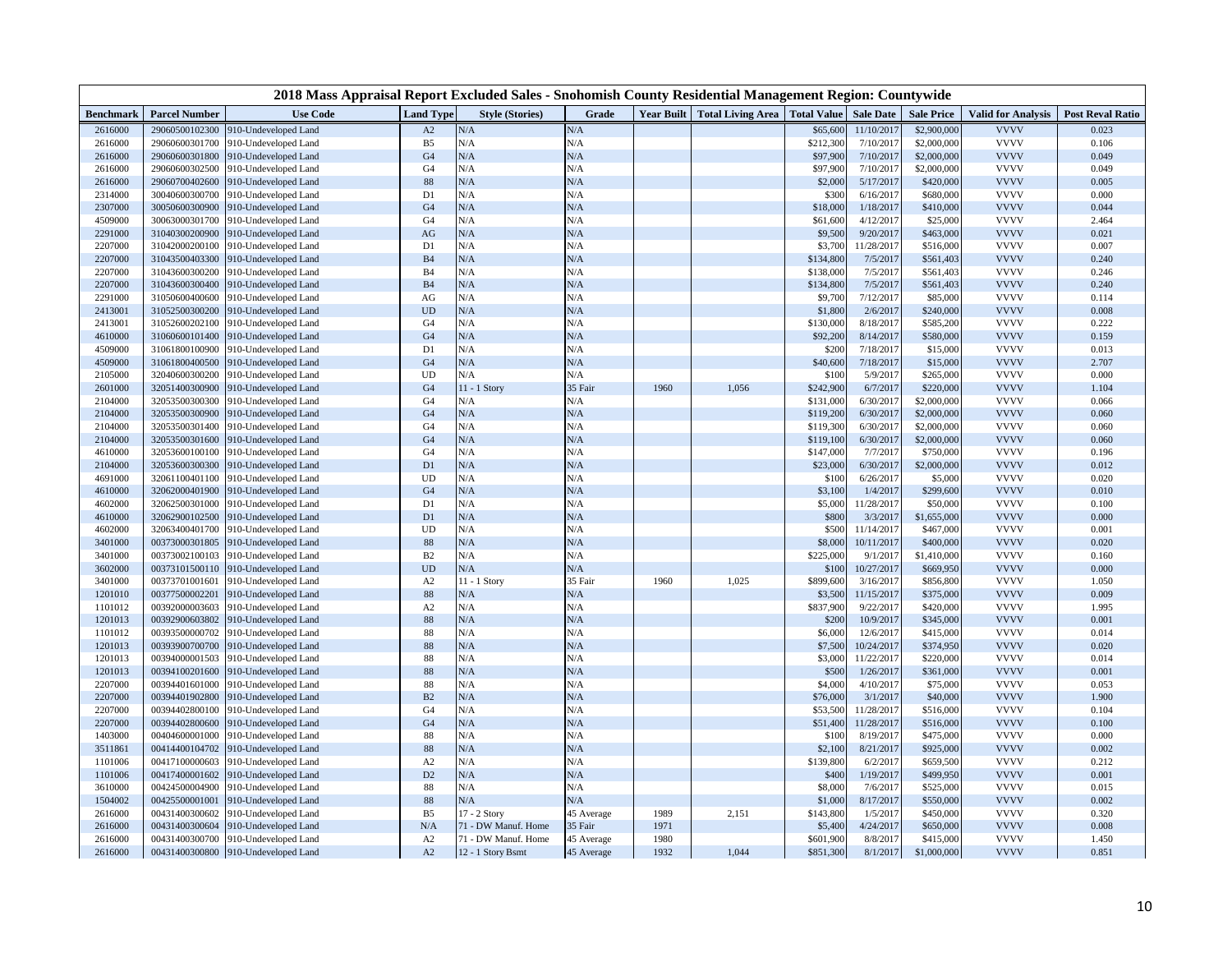|                    |                                  | 2018 Mass Appraisal Report Excluded Sales - Snohomish County Residential Management Region: Countywide |                      |                        |            |                   |                                 |                  |                        |                         |                            |                         |
|--------------------|----------------------------------|--------------------------------------------------------------------------------------------------------|----------------------|------------------------|------------|-------------------|---------------------------------|------------------|------------------------|-------------------------|----------------------------|-------------------------|
| <b>Benchmark</b>   | <b>Parcel Number</b>             | <b>Use Code</b>                                                                                        | <b>Land Type</b>     | <b>Style (Stories)</b> | Grade      | <b>Year Built</b> | Total Living Area   Total Value |                  | <b>Sale Date</b>       | <b>Sale Price</b>       | <b>Valid for Analysis</b>  | <b>Post Reval Ratio</b> |
| 2616000            | 29060500102300                   | 010-Undeveloped Land                                                                                   | A2                   | N/A                    | N/A        |                   |                                 | \$65,600         | 11/10/2017             | \$2,900,000             | <b>VVVV</b>                | 0.023                   |
| 2616000            | 29060600301700                   | 910-Undeveloped Land                                                                                   | B <sub>5</sub>       | N/A                    | N/A        |                   |                                 | \$212,300        | 7/10/2017              | \$2,000,000             | <b>VVVV</b>                | 0.106                   |
| 2616000            | 29060600301800                   | 910-Undeveloped Land                                                                                   | G <sub>4</sub>       | N/A                    | N/A        |                   |                                 | \$97,900         | 7/10/2017              | \$2,000,000             | <b>VVVV</b>                | 0.049                   |
| 2616000            | 29060600302500                   | 910-Undeveloped Land                                                                                   | G <sub>4</sub>       | N/A                    | N/A        |                   |                                 | \$97,900         | 7/10/2017              | \$2,000,000             | <b>VVVV</b>                | 0.049                   |
| 2616000            | 29060700402600                   | 910-Undeveloped Land                                                                                   | 88                   | N/A                    | N/A        |                   |                                 | \$2,000          | 5/17/2017              | \$420,000               | <b>VVVV</b>                | 0.005                   |
| 2314000            | 30040600300700                   | 910-Undeveloped Land                                                                                   | D1                   | N/A                    | N/A        |                   |                                 | \$300            | 6/16/2017              | \$680,000               | <b>VVVV</b>                | 0.000                   |
| 2307000            | 30050600300900                   | 910-Undeveloped Land                                                                                   | G <sub>4</sub>       | N/A                    | N/A        |                   |                                 | \$18,000         | 1/18/2017              | \$410,000               | <b>VVVV</b>                | 0.044                   |
| 4509000            | 30063000301700                   | 910-Undeveloped Land                                                                                   | G <sub>4</sub>       | N/A                    | N/A        |                   |                                 | \$61,600         | 4/12/2017              | \$25,000                | <b>VVVV</b>                | 2.464                   |
| 2291000            | 31040300200900                   | 910-Undeveloped Land                                                                                   | AG                   | N/A                    | N/A        |                   |                                 | \$9,500          | 9/20/2017              | \$463,000               | <b>VVVV</b>                | 0.021                   |
| 2207000            | 31042000200100                   | 910-Undeveloped Land                                                                                   | D1                   | N/A                    | N/A        |                   |                                 | \$3,700          | 11/28/2017             | \$516,000               | <b>VVVV</b>                | 0.007                   |
| 2207000            | 31043500403300                   | 910-Undeveloped Land                                                                                   | B <sub>4</sub>       | N/A                    | N/A        |                   |                                 | \$134,800        | 7/5/2017               | \$561,403               | <b>VVVV</b>                | 0.240                   |
| 2207000            | 31043600300200                   | 910-Undeveloped Land                                                                                   | <b>B4</b>            | N/A                    | N/A        |                   |                                 | \$138,000        | 7/5/2017               | \$561,403               | <b>VVVV</b>                | 0.246                   |
| 2207000            | 31043600300400                   | 910-Undeveloped Land                                                                                   | <b>B4</b>            | N/A                    | N/A        |                   |                                 | \$134,800        | 7/5/2017               | \$561,403               | <b>VVVV</b>                | 0.240                   |
| 2291000            | 31050600400600                   | 910-Undeveloped Land                                                                                   | AG                   | N/A                    | N/A        |                   |                                 | \$9,700          | 7/12/2017              | \$85,000                | <b>VVVV</b>                | 0.114                   |
| 2413001            | 31052500300200                   | 910-Undeveloped Land                                                                                   | <b>UD</b>            | N/A                    | N/A        |                   |                                 | \$1,800          | 2/6/2017               | \$240,000               | <b>VVVV</b>                | 0.008                   |
| 2413001            | 31052600202100                   | 910-Undeveloped Land                                                                                   | G <sub>4</sub>       | N/A                    | N/A        |                   |                                 | \$130,000        | 8/18/2017              | \$585,200               | <b>VVVV</b>                | 0.222                   |
| 4610000            | 31060600101400                   | 910-Undeveloped Land                                                                                   | G4                   | N/A                    | N/A        |                   |                                 | \$92,200         | 8/14/2017              | \$580,000               | <b>VVVV</b>                | 0.159                   |
| 4509000            | 31061800100900                   | 910-Undeveloped Land                                                                                   | D1                   | N/A                    | N/A        |                   |                                 | \$200            | 7/18/2017              | \$15,000                | <b>VVVV</b>                | 0.013                   |
| 4509000            | 31061800400500                   | 910-Undeveloped Land                                                                                   | G <sub>4</sub>       | N/A                    | N/A        |                   |                                 | \$40,600         | 7/18/2017              | \$15,000                | <b>VVVV</b>                | 2.707                   |
| 2105000            | 32040600300200                   | 910-Undeveloped Land                                                                                   | UD                   | N/A                    | N/A        |                   |                                 | \$100            | 5/9/2017               | \$265,000               | <b>VVVV</b>                | 0.000                   |
| 2601000            | 32051400300900                   | 910-Undeveloped Land                                                                                   | G4                   | 11 - 1 Story           | 35 Fair    | 1960              | 1,056                           | \$242,900        | 6/7/2017               | \$220,000               | <b>VVVV</b>                | 1.104                   |
| 2104000            | 32053500300300                   | 910-Undeveloped Land                                                                                   | G <sub>4</sub>       | N/A                    | N/A        |                   |                                 | \$131,000        | 6/30/2017              | \$2,000,000             | <b>VVVV</b>                | 0.066                   |
| 2104000            | 32053500300900                   | 910-Undeveloped Land                                                                                   | G4                   | N/A                    | N/A        |                   |                                 | \$119,200        | 6/30/2017              | \$2,000,000             | <b>VVVV</b>                | 0.060                   |
| 2104000            | 32053500301400                   | 910-Undeveloped Land                                                                                   | G <sub>4</sub>       | N/A                    | N/A        |                   |                                 | \$119,300        | 6/30/2017              | \$2,000,000             | <b>VVVV</b>                | 0.060                   |
| 2104000            | 32053500301600                   | 910-Undeveloped Land                                                                                   | G <sub>4</sub>       | N/A                    | N/A        |                   |                                 | \$119,100        | 6/30/2017              | \$2,000,000             | <b>VVVV</b>                | 0.060                   |
| 4610000            | 32053600100100                   | 910-Undeveloped Land                                                                                   | G4                   | N/A                    | N/A        |                   |                                 | \$147,000        | 7/7/2017               | \$750,000               | <b>VVVV</b>                | 0.196                   |
| 2104000            | 32053600300300                   | 910-Undeveloped Land                                                                                   | D <sub>1</sub>       | N/A                    | N/A        |                   |                                 | \$23,000         | 6/30/2017              | \$2,000,000             | <b>VVVV</b><br><b>VVVV</b> | 0.012                   |
| 4691000            | 32061100401100                   | 910-Undeveloped Land                                                                                   | UD                   | N/A<br>$\rm N/A$       | N/A<br>N/A |                   |                                 | \$100            | 6/26/2017              | \$5,000                 | <b>VVVV</b>                | 0.020                   |
| 4610000            | 32062000401900                   | 910-Undeveloped Land                                                                                   | G <sub>4</sub>       |                        |            |                   |                                 | \$3,100          | 1/4/2017               | \$299,600               | <b>VVVV</b>                | 0.010                   |
| 4602000<br>4610000 | 32062500301000<br>32062900102500 | 910-Undeveloped Land                                                                                   | D1<br>D <sub>1</sub> | N/A<br>N/A             | N/A<br>N/A |                   |                                 | \$5,000<br>\$800 | 11/28/2017<br>3/3/2017 | \$50,000<br>\$1,655,000 | <b>VVVV</b>                | 0.100<br>0.000          |
| 4602000            |                                  | 910-Undeveloped Land                                                                                   | UD                   | N/A                    |            |                   |                                 | \$500            | 11/14/2017             |                         | <b>VVVV</b>                |                         |
| 3401000            | 32063400401700<br>00373000301805 | 910-Undeveloped Land<br>910-Undeveloped Land                                                           | 88                   | $\rm N/A$              | N/A<br>N/A |                   |                                 | \$8,000          | 10/11/2017             | \$467,000<br>\$400,000  | <b>VVVV</b>                | 0.001<br>0.020          |
| 3401000            | 00373002100103                   | 910-Undeveloped Land                                                                                   | B2                   | N/A                    | N/A        |                   |                                 | \$225,000        | 9/1/2017               | \$1,410,000             | <b>VVVV</b>                | 0.160                   |
| 3602000            | 00373101500110                   | 910-Undeveloped Land                                                                                   | <b>UD</b>            | $\rm N/A$              | N/A        |                   |                                 | \$100            | 10/27/2017             | \$669,950               | <b>VVVV</b>                | 0.000                   |
| 3401000            | 00373701001601                   | 910-Undeveloped Land                                                                                   | A2                   | 11 - 1 Story           | 35 Fair    | 1960              | 1,025                           | \$899,600        | 3/16/2017              | \$856,800               | <b>VVVV</b>                | 1.050                   |
| 1201010            | 00377500002201                   | 910-Undeveloped Land                                                                                   | 88                   | $\rm N/A$              | N/A        |                   |                                 | \$3,500          | 11/15/2017             | \$375,000               | <b>VVVV</b>                | 0.009                   |
| 1101012            | 00392000003603                   | 910-Undeveloped Land                                                                                   | A2                   | N/A                    | N/A        |                   |                                 | \$837,900        | 9/22/2017              | \$420,000               | <b>VVVV</b>                | 1.995                   |
| 1201013            | 00392900603802                   | 910-Undeveloped Land                                                                                   | 88                   | N/A                    | N/A        |                   |                                 | \$200            | 10/9/2017              | \$345,000               | <b>VVVV</b>                | 0.001                   |
| 1101012            | 00393500000702                   | 910-Undeveloped Land                                                                                   | 88                   | N/A                    | N/A        |                   |                                 | \$6,000          | 12/6/2017              | \$415,000               | <b>VVVV</b>                | 0.014                   |
| 1201013            | 00393900700700                   | 910-Undeveloped Land                                                                                   | 88                   | N/A                    | N/A        |                   |                                 | \$7,500          | 10/24/2017             | \$374,950               | <b>VVVV</b>                | 0.020                   |
| 1201013            | 00394000001503                   | 910-Undeveloped Land                                                                                   | 88                   | N/A                    | N/A        |                   |                                 | \$3,000          | 11/22/2017             | \$220,000               | <b>VVVV</b>                | 0.014                   |
| 1201013            | 00394100201600                   | 910-Undeveloped Land                                                                                   | 88                   | N/A                    | N/A        |                   |                                 | \$500            | 1/26/2017              | \$361,000               | <b>VVVV</b>                | 0.001                   |
| 2207000            | 00394401601000                   | 910-Undeveloped Land                                                                                   | 88                   | N/A                    | N/A        |                   |                                 | \$4,000          | 4/10/2017              | \$75,000                | <b>VVVV</b>                | 0.053                   |
| 2207000            | 00394401902800                   | 910-Undeveloped Land                                                                                   | B2                   | N/A                    | N/A        |                   |                                 | \$76,000         | 3/1/2017               | \$40,000                | <b>VVVV</b>                | 1.900                   |
| 2207000            | 00394402800100                   | 910-Undeveloped Land                                                                                   | G <sub>4</sub>       | N/A                    | N/A        |                   |                                 | \$53,500         | 11/28/2017             | \$516,000               | <b>VVVV</b>                | 0.104                   |
| 2207000            | 00394402800600                   | 910-Undeveloped Land                                                                                   | G4                   | N/A                    | N/A        |                   |                                 | \$51,400         | 11/28/2017             | \$516,000               | <b>VVVV</b>                | 0.100                   |
| 1403000            | 00404600001000                   | 910-Undeveloped Land                                                                                   | 88                   | N/A                    | N/A        |                   |                                 | \$100            | 8/19/2017              | \$475,000               | <b>VVVV</b>                | 0.000                   |
| 3511861            | 00414400104702                   | 910-Undeveloped Land                                                                                   | 88                   | N/A                    | N/A        |                   |                                 | \$2,100          | 8/21/2017              | \$925,000               | <b>VVVV</b>                | 0.002                   |
| 1101006            | 00417100000603                   | 910-Undeveloped Land                                                                                   | A2                   | N/A                    | N/A        |                   |                                 | \$139,800        | 6/2/2017               | \$659,500               | <b>VVVV</b>                | 0.212                   |
| 1101006            | 00417400001602                   | 910-Undeveloped Land                                                                                   | D2                   | N/A                    | N/A        |                   |                                 | \$400            | 1/19/2017              | \$499,950               | <b>VVVV</b>                | 0.001                   |
| 3610000            | 00424500004900                   | 910-Undeveloped Land                                                                                   | 88                   | N/A                    | N/A        |                   |                                 | \$8,000          | 7/6/2017               | \$525,000               | <b>VVVV</b>                | 0.015                   |
| 1504002            | 00425500001001                   | 910-Undeveloped Land                                                                                   | 88                   | N/A                    | N/A        |                   |                                 | \$1,000          | 8/17/2017              | \$550,000               | <b>VVVV</b>                | 0.002                   |
| 2616000            | 00431400300602                   | 910-Undeveloped Land                                                                                   | B <sub>5</sub>       | 17 - 2 Story           | 45 Average | 1989              | 2,151                           | \$143,800        | 1/5/2017               | \$450,000               | <b>VVVV</b>                | 0.320                   |
| 2616000            | 00431400300604                   | 910-Undeveloped Land                                                                                   | $\rm N/A$            | 71 - DW Manuf. Home    | 35 Fair    | 1971              |                                 | \$5,400          | 4/24/2017              | \$650,000               | <b>VVVV</b>                | 0.008                   |
| 2616000            | 00431400300700                   | 910-Undeveloped Land                                                                                   | A2                   | 71 - DW Manuf. Home    | 45 Average | 1980              |                                 | \$601,900        | 8/8/2017               | \$415,000               | <b>VVVV</b>                | 1.450                   |
| 2616000            |                                  | 00431400300800 910-Undeveloped Land                                                                    | A2                   | 12 - 1 Story Bsmt      | 45 Average | 1932              | 1,044                           | \$851,300        | 8/1/2017               | \$1,000,000             | <b>VVVV</b>                | 0.851                   |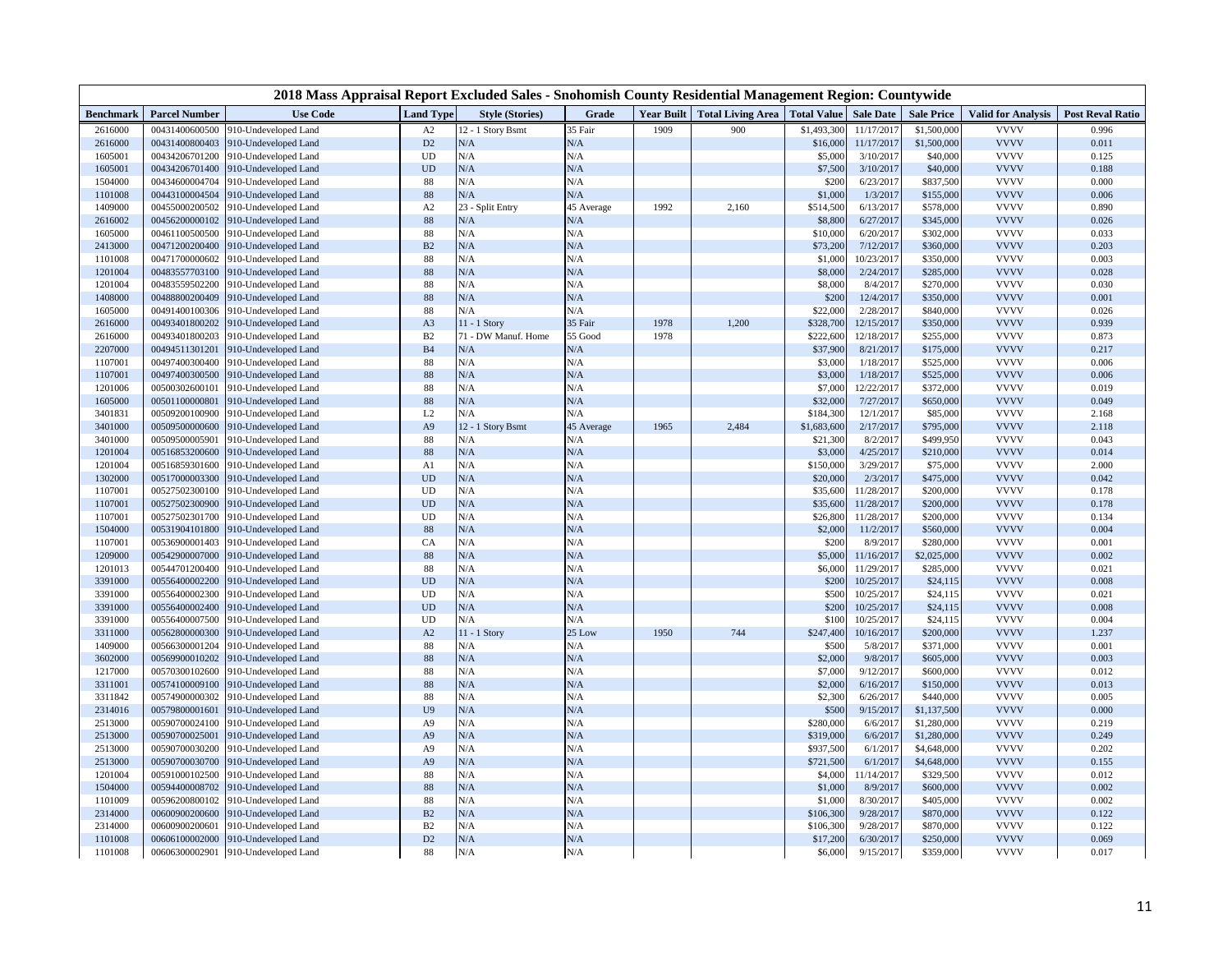|                    |                                  | 2018 Mass Appraisal Report Excluded Sales - Snohomish County Residential Management Region: Countywide |                                  |                        |            |      |                                                          |                        |                       |                            |                            |                         |
|--------------------|----------------------------------|--------------------------------------------------------------------------------------------------------|----------------------------------|------------------------|------------|------|----------------------------------------------------------|------------------------|-----------------------|----------------------------|----------------------------|-------------------------|
| <b>Benchmark</b>   | <b>Parcel Number</b>             | <b>Use Code</b>                                                                                        | <b>Land Type</b>                 | <b>Style (Stories)</b> | Grade      |      | Year Built   Total Living Area   Total Value   Sale Date |                        |                       | <b>Sale Price</b>          | <b>Valid for Analysis</b>  | <b>Post Reval Ratio</b> |
| 2616000            | 00431400600500                   | 910-Undeveloped Land                                                                                   | A2                               | 12 - 1 Story Bsmt      | 35 Fair    | 1909 | 900                                                      | \$1,493,300            | 11/17/2017            | \$1,500,000                | <b>VVVV</b>                | 0.996                   |
| 2616000            | 00431400800403                   | 910-Undeveloped Land                                                                                   | $\mathbf{D}2$                    | N/A                    | N/A        |      |                                                          | \$16,000               | 11/17/2017            | \$1,500,000                | <b>VVVV</b>                | 0.011                   |
| 1605001            | 00434206701200                   | 910-Undeveloped Land                                                                                   | UD                               | N/A                    | N/A        |      |                                                          | \$5,000                | 3/10/2017             | \$40,000                   | <b>VVVV</b>                | 0.125                   |
| 1605001            | 00434206701400                   | 910-Undeveloped Land                                                                                   | UD                               | N/A                    | N/A        |      |                                                          | \$7,500                | 3/10/2017             | \$40,000                   | <b>VVVV</b>                | 0.188                   |
| 1504000            | 00434600004704                   | 910-Undeveloped Land                                                                                   | 88                               | N/A                    | N/A        |      |                                                          | \$200                  | 6/23/2017             | \$837,500                  | <b>VVVV</b>                | 0.000                   |
| 1101008            | 00443100004504                   | 910-Undeveloped Land                                                                                   | 88                               | N/A                    | N/A        |      |                                                          | \$1,000                | 1/3/2017              | \$155,000                  | <b>VVVV</b>                | 0.006                   |
| 1409000            | 00455000200502                   | 910-Undeveloped Land                                                                                   | A2                               | 23 - Split Entry       | 45 Average | 1992 | 2,160                                                    | \$514,500              | 6/13/2017             | \$578,000                  | <b>VVVV</b>                | 0.890                   |
| 2616002            | 00456200000102                   | 910-Undeveloped Land                                                                                   | 88                               | N/A                    | N/A        |      |                                                          | \$8,800                | 6/27/2017             | \$345,000                  | <b>VVVV</b>                | 0.026                   |
| 1605000            | 00461100500500                   | 910-Undeveloped Land                                                                                   | 88                               | N/A                    | N/A        |      |                                                          | \$10,000               | 6/20/2017             | \$302,000                  | <b>VVVV</b>                | 0.033                   |
| 2413000            | 00471200200400                   | 910-Undeveloped Land                                                                                   | $\mathbf{B}2$                    | N/A                    | N/A        |      |                                                          | \$73,200               | 7/12/2017             | \$360,000                  | <b>VVVV</b>                | 0.203                   |
| 1101008            | 00471700000602                   | 910-Undeveloped Land                                                                                   | 88                               | N/A                    | N/A        |      |                                                          | \$1,000                | 10/23/2017            | \$350,000                  | <b>VVVV</b>                | 0.003                   |
| 1201004            | 00483557703100                   | 910-Undeveloped Land                                                                                   | 88                               | N/A                    | N/A        |      |                                                          | \$8,000                | 2/24/2017             | \$285,000                  | <b>VVVV</b>                | 0.028                   |
| 1201004            | 00483559502200                   | 910-Undeveloped Land                                                                                   | 88                               | N/A                    | N/A        |      |                                                          | \$8,000                | 8/4/2017              | \$270,000                  | <b>VVVV</b>                | 0.030                   |
| 1408000            | 00488800200409                   | 910-Undeveloped Land                                                                                   | 88                               | N/A                    | N/A        |      |                                                          | \$200                  | 12/4/2017             | \$350,000                  | <b>VVVV</b>                | 0.001                   |
| 1605000            | 00491400100306                   | 910-Undeveloped Land                                                                                   | 88                               | N/A                    | N/A        |      |                                                          | \$22,000               | 2/28/2017             | \$840,000                  | <b>VVVV</b>                | 0.026                   |
| 2616000            | 00493401800202                   | 910-Undeveloped Land                                                                                   | A <sub>3</sub>                   | 11 - 1 Story           | 35 Fair    | 1978 | 1,200                                                    | \$328,700              | 12/15/2017            | \$350,000                  | <b>VVVV</b>                | 0.939                   |
| 2616000            | 00493401800203                   | 910-Undeveloped Land                                                                                   | B2                               | 71 - DW Manuf. Home    | 55 Good    | 1978 |                                                          | \$222,600              | 12/18/2017            | \$255,000                  | <b>VVVV</b>                | 0.873                   |
| 2207000            | 00494511301201                   | 910-Undeveloped Land                                                                                   | B <sub>4</sub>                   | N/A                    | N/A        |      |                                                          | \$37,900               | 8/21/2017             | \$175,000                  | <b>VVVV</b>                | 0.217                   |
| 1107001            | 00497400300400                   | 910-Undeveloped Land                                                                                   | 88                               | N/A                    | N/A        |      |                                                          | \$3,000                | 1/18/2017             | \$525,000                  | <b>VVVV</b>                | 0.006                   |
| 1107001            | 00497400300500                   | 910-Undeveloped Land                                                                                   | 88                               | N/A                    | N/A        |      |                                                          | \$3,000                | 1/18/2017             | \$525,000                  | <b>VVVV</b>                | 0.006                   |
| 1201006            | 00500302600101                   | 910-Undeveloped Land                                                                                   | 88                               | N/A                    | N/A        |      |                                                          | \$7,000                | 12/22/2017            | \$372,000                  | <b>VVVV</b>                | 0.019                   |
| 1605000            | 00501100000801                   | 910-Undeveloped Land                                                                                   | 88                               | N/A                    | N/A        |      |                                                          | \$32,000               | 7/27/2017             | \$650,000                  | <b>VVVV</b>                | 0.049                   |
| 3401831            | 00509200100900                   | 910-Undeveloped Land                                                                                   | L2                               | N/A                    | N/A        |      |                                                          | \$184,300              | 12/1/2017             | \$85,000                   | <b>VVVV</b>                | 2.168                   |
| 3401000            | 00509500000600                   | 910-Undeveloped Land                                                                                   | A <sub>9</sub>                   | 12 - 1 Story Bsmt      | 45 Average | 1965 | 2,484                                                    | \$1,683,600            | 2/17/2017             | \$795,000                  | <b>VVVV</b>                | 2.118                   |
| 3401000            | 00509500005901                   | 910-Undeveloped Land                                                                                   | 88                               | N/A                    | N/A        |      |                                                          | \$21,300               | 8/2/201               | \$499,950                  | <b>VVVV</b>                | 0.043                   |
| 1201004            | 00516853200600                   | 910-Undeveloped Land                                                                                   | 88                               | N/A                    | N/A        |      |                                                          | \$3,000                | 4/25/2017             | \$210,000                  | <b>VVVV</b>                | 0.014                   |
| 1201004            | 00516859301600                   | 910-Undeveloped Land                                                                                   | A1                               | N/A                    | N/A        |      |                                                          | \$150,000              | 3/29/2017             | \$75,000                   | <b>VVVV</b>                | 2.000                   |
| 1302000            | 00517000003300                   | 910-Undeveloped Land                                                                                   | <b>UD</b>                        | N/A                    | N/A        |      |                                                          | \$20,000               | 2/3/2017              | \$475,000                  | <b>VVVV</b>                | 0.042                   |
| 1107001            | 00527502300100                   | 910-Undeveloped Land                                                                                   | UD                               | N/A                    | N/A        |      |                                                          | \$35,600               | 11/28/2017            | \$200,000                  | <b>VVVV</b>                | 0.178                   |
| 1107001            | 00527502300900                   | 910-Undeveloped Land                                                                                   | <b>UD</b>                        | N/A                    | N/A        |      |                                                          | \$35,600               | 11/28/2017            | \$200,000                  | <b>VVVV</b>                | 0.178                   |
| 1107001            | 00527502301700                   | 910-Undeveloped Land                                                                                   | UD                               | N/A                    | N/A        |      |                                                          | \$26,800               | 11/28/2017            | \$200,000                  | <b>VVVV</b>                | 0.134                   |
| 1504000            | 00531904101800                   | 910-Undeveloped Land                                                                                   | 88                               | N/A                    | N/A        |      |                                                          | \$2,000                | 11/2/2017             | \$560,000                  | <b>VVVV</b>                | 0.004                   |
| 1107001            | 00536900001403                   | 910-Undeveloped Land                                                                                   | CA                               | N/A                    | N/A        |      |                                                          | \$200                  | 8/9/2017              | \$280,000                  | <b>VVVV</b>                | 0.001                   |
| 1209000            | 00542900007000                   | 910-Undeveloped Land                                                                                   | 88                               | N/A                    | N/A        |      |                                                          | \$5,000                | 11/16/2017            | \$2,025,000                | <b>VVVV</b>                | 0.002                   |
| 1201013            | 00544701200400                   | 910-Undeveloped Land                                                                                   | 88                               | N/A                    | N/A        |      |                                                          | \$6,000                | 11/29/2017            | \$285,000                  | <b>VVVV</b>                | 0.021                   |
| 3391000            | 00556400002200                   | 910-Undeveloped Land                                                                                   | UD                               | N/A                    | N/A        |      |                                                          | \$200                  | 10/25/2017            | \$24,115                   | <b>VVVV</b>                | 0.008                   |
| 3391000            | 00556400002300                   | 910-Undeveloped Land                                                                                   | UD                               | N/A                    | N/A        |      |                                                          | \$500                  | 10/25/2017            | \$24,115                   | <b>VVVV</b>                | 0.021                   |
| 3391000            | 00556400002400                   | 910-Undeveloped Land                                                                                   | <b>UD</b>                        | N/A                    | N/A        |      |                                                          | \$200                  | 10/25/2017            | \$24,115                   | <b>VVVV</b>                | 0.008                   |
| 3391000            | 00556400007500                   | 910-Undeveloped Land                                                                                   | UD                               | N/A                    | N/A        |      |                                                          | \$100                  | 10/25/2017            | \$24,115                   | <b>VVVV</b>                | 0.004                   |
| 3311000            | 00562800000300                   | 010-Undeveloped Land                                                                                   | A2                               | $11 - 1$ Story         | 25 Low     | 1950 | 744                                                      | \$247,400              | 10/16/2017            | \$200,000                  | <b>VVVV</b>                | 1.237                   |
| 1409000            | 00566300001204                   | 010-Undeveloped Land                                                                                   | 88                               | N/A<br>N/A             | N/A        |      |                                                          | \$500                  | 5/8/2017              | \$371,000                  | <b>VVVV</b>                | 0.001                   |
| 3602000            | 00569900010202                   | 010-Undeveloped Land                                                                                   | 88                               | N/A                    | N/A        |      |                                                          | \$2,000                | 9/8/2017              | \$605,000                  | <b>VVVV</b><br><b>VVVV</b> | 0.003                   |
| 1217000            | 00570300102600                   | 910-Undeveloped Land                                                                                   | 88                               | N/A                    | N/A        |      |                                                          | \$7,000                | 9/12/2017             | \$600,000                  | <b>VVVV</b>                | 0.012<br>0.013          |
| 3311001<br>3311842 | 00574100009100<br>00574900000302 | 010-Undeveloped Land                                                                                   | 88<br>88                         | N/A                    | N/A<br>N/A |      |                                                          | \$2,000<br>\$2,300     | 6/16/2017<br>6/26/201 | \$150,000                  | <b>VVVV</b>                | 0.005                   |
|                    |                                  | 010-Undeveloped Land                                                                                   |                                  | N/A                    | N/A        |      |                                                          |                        |                       | \$440,000                  | <b>VVVV</b>                | 0.000                   |
| 2314016<br>2513000 | 00579800001601<br>00590700024100 | 010-Undeveloped Land                                                                                   | U <sub>9</sub><br>A <sub>9</sub> | N/A                    | N/A        |      |                                                          | \$500<br>\$280,000     | 9/15/2017<br>6/6/201  | \$1,137,500<br>\$1,280,000 | <b>VVVV</b>                | 0.219                   |
| 2513000            | 00590700025001                   | 910-Undeveloped Land<br>010-Undeveloped Land                                                           | A <sub>9</sub>                   | N/A                    | N/A        |      |                                                          | \$319,000              | 6/6/2017              | \$1,280,000                | <b>VVVV</b>                | 0.249                   |
| 2513000            |                                  |                                                                                                        |                                  | N/A                    | N/A        |      |                                                          | \$937,500              | 6/1/2017              |                            | <b>VVVV</b>                | 0.202                   |
| 2513000            | 00590700030200<br>00590700030700 | 010-Undeveloped Land                                                                                   | A <sub>9</sub><br>A <sub>9</sub> | N/A                    | N/A        |      |                                                          | \$721,500              | 6/1/201               | \$4,648,000<br>\$4,648,000 | <b>VVVV</b>                | 0.155                   |
| 1201004            | 00591000102500                   | 010-Undeveloped Land<br>910-Undeveloped Land                                                           | 88                               | N/A                    | N/A        |      |                                                          | \$4,000                | 11/14/2017            | \$329,500                  | <b>VVVV</b>                | 0.012                   |
| 1504000            | 00594400008702                   | 910-Undeveloped Land                                                                                   | 88                               | N/A                    | N/A        |      |                                                          | \$1,000                | 8/9/2017              | \$600,000                  | <b>VVVV</b>                | 0.002                   |
| 1101009            | 00596200800102                   |                                                                                                        |                                  | N/A                    | N/A        |      |                                                          | \$1,000                | 8/30/2017             |                            | <b>VVVV</b>                | 0.002                   |
|                    |                                  | 010-Undeveloped Land                                                                                   | 88                               | N/A                    | N/A        |      |                                                          |                        | 9/28/2017             | \$405,000<br>\$870,000     | <b>VVVV</b>                | 0.122                   |
| 2314000<br>2314000 | 00600900200600<br>00600900200601 | 010-Undeveloped Land                                                                                   | B2<br>B2                         | N/A                    | N/A        |      |                                                          | \$106,300<br>\$106,300 | 9/28/2017             | \$870,000                  | <b>VVVV</b>                | 0.122                   |
| 1101008            | 00606100002000                   | 910-Undeveloped Land<br>910-Undeveloped Land                                                           | D2                               | N/A                    | N/A        |      |                                                          | \$17,200               | 6/30/2017             | \$250,000                  | <b>VVVV</b>                | 0.069                   |
| 1101008            | 00606300002901                   |                                                                                                        | 88                               | N/A                    | N/A        |      |                                                          |                        | 9/15/2017             |                            | <b>VVVV</b>                |                         |
|                    |                                  | 910-Undeveloped Land                                                                                   |                                  |                        |            |      |                                                          | \$6,000                |                       | \$359,000                  |                            | 0.017                   |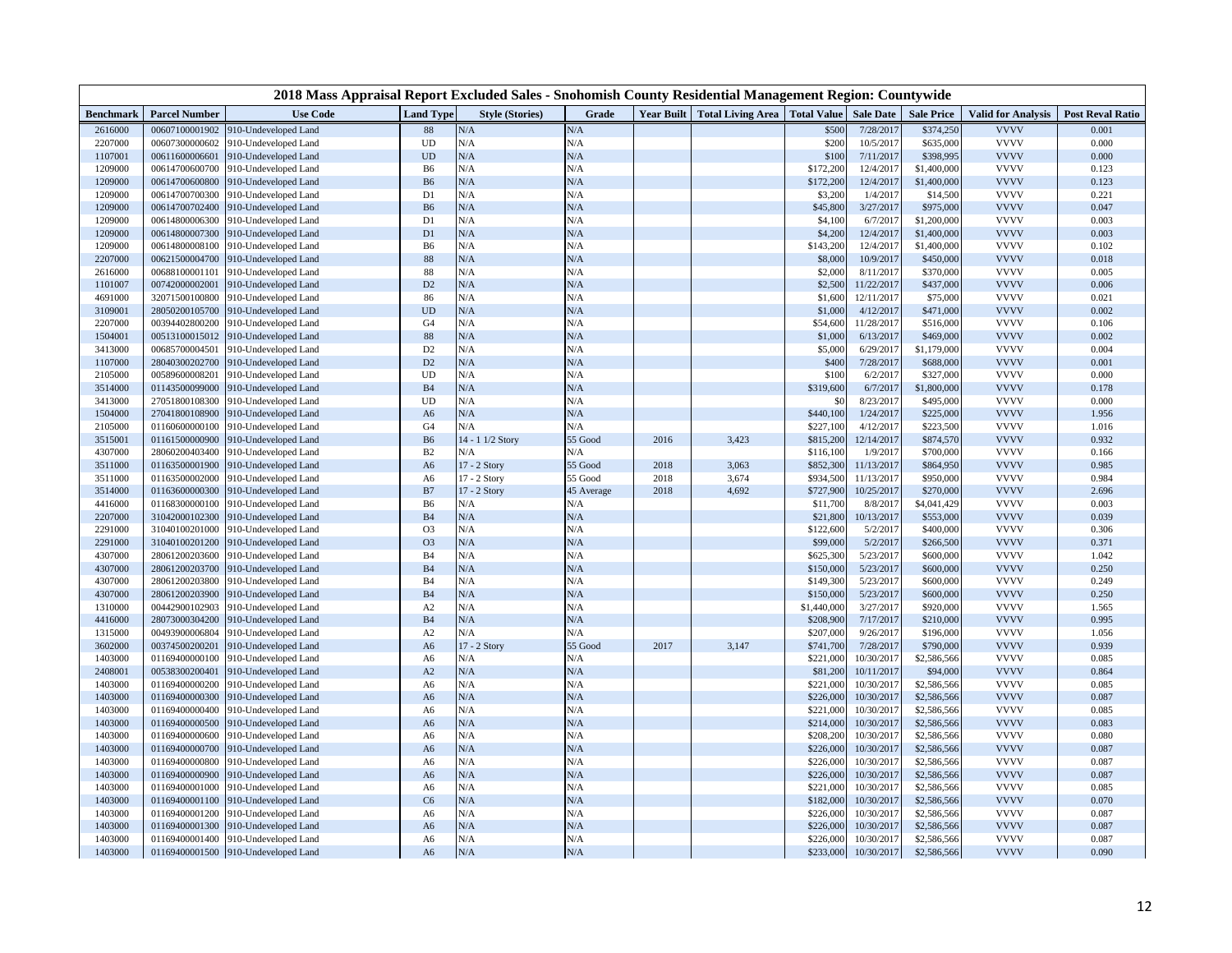|                    |                                  | 2018 Mass Appraisal Report Excluded Sales - Snohomish County Residential Management Region: Countywide |                            |                         |                |                   |                                      |                        |                         |                        |                            |                         |
|--------------------|----------------------------------|--------------------------------------------------------------------------------------------------------|----------------------------|-------------------------|----------------|-------------------|--------------------------------------|------------------------|-------------------------|------------------------|----------------------------|-------------------------|
| Benchmark          | <b>Parcel Number</b>             | <b>Use Code</b>                                                                                        | <b>Land Type</b>           | <b>Style (Stories)</b>  | Grade          | <b>Year Built</b> | <b>Total Living Area</b> Total Value |                        | <b>Sale Date</b>        | <b>Sale Price</b>      | <b>Valid for Analysis</b>  | <b>Post Reval Ratio</b> |
| 2616000            | 00607100001902                   | 10-Undeveloped Land                                                                                    | 88                         | N/A                     | N/A            |                   |                                      | \$500                  | 7/28/2017               | \$374,250              | <b>VVVV</b>                | 0.001                   |
| 2207000            | 00607300000602                   | 910-Undeveloped Land                                                                                   | <b>UD</b>                  | N/A                     | N/A            |                   |                                      | \$200                  | 10/5/2017               | \$635,000              | <b>VVVV</b>                | 0.000                   |
| 1107001            | 00611600006601                   | 910-Undeveloped Land                                                                                   | $\ensuremath{\mathrm{UD}}$ | N/A                     | N/A            |                   |                                      | \$100                  | 7/11/2017               | \$398,995              | <b>VVVV</b>                | 0.000                   |
| 1209000            | 00614700600700                   | 910-Undeveloped Land                                                                                   | B <sub>6</sub>             | N/A                     | N/A            |                   |                                      | \$172,200              | 12/4/2017               | \$1,400,000            | <b>VVVV</b>                | 0.123                   |
| 1209000            | 00614700600800                   | 910-Undeveloped Land                                                                                   | <b>B6</b>                  | N/A                     | N/A            |                   |                                      | \$172,200              | 12/4/2017               | \$1,400,000            | <b>VVVV</b>                | 0.123                   |
| 1209000            | 00614700700300                   | 910-Undeveloped Land                                                                                   | D1                         | N/A                     | N/A            |                   |                                      | \$3,200                | 1/4/201                 | \$14,500               | <b>VVVV</b>                | 0.221                   |
| 1209000            | 00614700702400                   | 910-Undeveloped Land                                                                                   | B <sub>6</sub>             | N/A                     | N/A            |                   |                                      | \$45,800               | 3/27/2017               | \$975,000              | <b>VVVV</b>                | 0.047                   |
| 1209000            | 00614800006300                   | 010-Undeveloped Land                                                                                   | D1                         | N/A                     | N/A            |                   |                                      | \$4,100                | 6/7/201                 | \$1,200,000            | <b>VVVV</b>                | 0.003                   |
| 1209000            | 00614800007300                   | 910-Undeveloped Land                                                                                   | D1                         | N/A                     | N/A            |                   |                                      | \$4,200                | 12/4/2017               | \$1,400,000            | <b>VVVV</b>                | 0.003                   |
| 1209000            | 00614800008100                   | 910-Undeveloped Land                                                                                   | B <sub>6</sub>             | N/A                     | N/A            |                   |                                      | \$143,200              | 12/4/201                | \$1,400,000            | <b>VVVV</b>                | 0.102                   |
| 2207000            | 00621500004700                   | 910-Undeveloped Land                                                                                   | 88                         | N/A                     | N/A            |                   |                                      | \$8,000                | 10/9/2017               | \$450,000              | <b>VVVV</b>                | 0.018                   |
| 2616000            | 00688100001101                   | 910-Undeveloped Land                                                                                   | 88                         | N/A                     | N/A            |                   |                                      | \$2,000                | 8/11/2017               | \$370,000              | <b>VVVV</b>                | 0.005                   |
| 1101007            | 00742000002001                   | 010-Undeveloped Land                                                                                   | D <sub>2</sub>             | N/A                     | N/A            |                   |                                      | \$2,500                | 11/22/2017              | \$437,000              | <b>VVVV</b>                | 0.006                   |
| 4691000            | 32071500100800                   | 910-Undeveloped Land                                                                                   | 86                         | N/A                     | N/A            |                   |                                      | \$1,600                | 12/11/2017              | \$75,000               | <b>VVVV</b>                | 0.021                   |
| 3109001            | 28050200105700                   | 910-Undeveloped Land                                                                                   | <b>UD</b>                  | N/A                     | N/A            |                   |                                      | \$1,000                | 4/12/2017               | \$471,000              | <b>VVVV</b>                | 0.002                   |
| 2207000            | 00394402800200                   | 910-Undeveloped Land                                                                                   | G <sub>4</sub>             | N/A                     | N/A            |                   |                                      | \$54,600               | 11/28/2017              | \$516,000              | <b>VVVV</b>                | 0.106                   |
| 1504001            | 00513100015012                   | 010-Undeveloped Land                                                                                   | 88                         | N/A                     | N/A            |                   |                                      | \$1,000                | 6/13/2017               | \$469,000              | <b>VVVV</b>                | 0.002                   |
| 3413000            | 00685700004501                   | 910-Undeveloped Land                                                                                   | D <sub>2</sub>             | N/A                     | N/A            |                   |                                      | \$5,000                | 6/29/201'               | \$1,179,000            | <b>VVVV</b>                | 0.004                   |
| 1107000            | 28040300202700                   | 910-Undeveloped Land                                                                                   | D2                         | N/A                     | N/A            |                   |                                      | \$400                  | 7/28/2017               | \$688,000              | <b>VVVV</b>                | 0.001                   |
| 2105000            | 00589600008201                   | 910-Undeveloped Land                                                                                   | UD                         | N/A                     | N/A            |                   |                                      | \$100                  | 6/2/201                 | \$327,000              | <b>VVVV</b>                | 0.000                   |
| 3514000            | 01143500099000                   | 910-Undeveloped Land                                                                                   | <b>B4</b>                  | N/A                     | N/A            |                   |                                      | \$319,600              | 6/7/201                 | \$1,800,000            | <b>VVVV</b>                | 0.178                   |
| 3413000            | 27051800108300                   | 910-Undeveloped Land                                                                                   | UD                         | N/A                     | N/A            |                   |                                      | \$0                    | 8/23/2017               | \$495,000              | <b>VVVV</b>                | 0.000                   |
| 1504000            | 27041800108900                   | 910-Undeveloped Land                                                                                   | A <sub>6</sub>             | N/A                     | N/A            |                   |                                      | \$440,100              | 1/24/2017               | \$225,000              | <b>VVVV</b><br><b>VVVV</b> | 1.956                   |
| 2105000            | 01160600000100                   | 910-Undeveloped Land                                                                                   | G <sub>4</sub>             | N/A<br>14 - 1 1/2 Story | N/A<br>55 Good | 2016              |                                      | \$227,100              | 4/12/2017<br>12/14/2017 | \$223,500              | <b>VVVV</b>                | 1.016<br>0.932          |
| 3515001            | 01161500000900<br>28060200403400 | 910-Undeveloped Land                                                                                   | <b>B6</b><br>B2            | N/A                     | N/A            |                   | 3,423                                | \$815,200              |                         | \$874,570              | <b>VVVV</b>                | 0.166                   |
| 4307000<br>3511000 | 01163500001900                   | 910-Undeveloped Land                                                                                   |                            | 17 - 2 Story            | 55 Good        | 2018              | 3,063                                | \$116,100<br>\$852,300 | 1/9/2017<br>11/13/2017  | \$700,000<br>\$864,950 | <b>VVVV</b>                | 0.985                   |
| 3511000            | 01163500002000                   | 910-Undeveloped Land<br>910-Undeveloped Land                                                           | A <sub>6</sub>             | 17 - 2 Story            | 55 Good        | 2018              | 3,674                                | \$934,500              | 11/13/2017              | \$950,000              | <b>VVVV</b>                | 0.984                   |
| 3514000            | 01163600000300                   | 910-Undeveloped Land                                                                                   | A6<br>B7                   | 17 - 2 Story            | 45 Average     | 2018              | 4,692                                | \$727,900              | 10/25/2017              | \$270,000              | <b>VVVV</b>                | 2.696                   |
| 4416000            | 01168300000100                   | 910-Undeveloped Land                                                                                   | B <sub>6</sub>             | N/A                     | N/A            |                   |                                      | \$11,700               | 8/8/2017                | \$4,041,429            | <b>VVVV</b>                | 0.003                   |
| 2207000            | 31042000102300                   | 910-Undeveloped Land                                                                                   | B <sub>4</sub>             | N/A                     | N/A            |                   |                                      | \$21,800               | 10/13/2017              | \$553,000              | <b>VVVV</b>                | 0.039                   |
| 2291000            | 31040100201000                   | 910-Undeveloped Land                                                                                   | O <sub>3</sub>             | N/A                     | N/A            |                   |                                      | \$122,600              | 5/2/201                 | \$400,000              | <b>VVVV</b>                | 0.306                   |
| 2291000            | 31040100201200                   | 910-Undeveloped Land                                                                                   | O <sub>3</sub>             | N/A                     | N/A            |                   |                                      | \$99,000               | 5/2/2017                | \$266,500              | <b>VVVV</b>                | 0.371                   |
| 4307000            | 28061200203600                   | 910-Undeveloped Land                                                                                   | <b>B4</b>                  | N/A                     | N/A            |                   |                                      | \$625,300              | 5/23/2017               | \$600,000              | <b>VVVV</b>                | 1.042                   |
| 4307000            | 28061200203700                   | 910-Undeveloped Land                                                                                   | <b>B4</b>                  | N/A                     | N/A            |                   |                                      | \$150,000              | 5/23/2017               | \$600,000              | <b>VVVV</b>                | 0.250                   |
| 4307000            | 28061200203800                   | 910-Undeveloped Land                                                                                   | B <sub>4</sub>             | N/A                     | N/A            |                   |                                      | \$149,300              | 5/23/2017               | \$600,000              | <b>VVVV</b>                | 0.249                   |
| 4307000            | 28061200203900                   | 910-Undeveloped Land                                                                                   | <b>B4</b>                  | N/A                     | N/A            |                   |                                      | \$150,000              | 5/23/2017               | \$600,000              | <b>VVVV</b>                | 0.250                   |
| 1310000            | 00442900102903                   | 910-Undeveloped Land                                                                                   | A2                         | N/A                     | N/A            |                   |                                      | \$1,440,000            | 3/27/2017               | \$920,000              | <b>VVVV</b>                | 1.565                   |
| 4416000            | 28073000304200                   | 910-Undeveloped Land                                                                                   | B <sub>4</sub>             | N/A                     | N/A            |                   |                                      | \$208,900              | 7/17/2017               | \$210,000              | <b>VVVV</b>                | 0.995                   |
| 1315000            | 00493900006804                   | 010-Undeveloped Land                                                                                   | A <sub>2</sub>             | N/A                     | N/A            |                   |                                      | \$207,000              | 9/26/2017               | \$196,000              | <b>VVVV</b>                | 1.056                   |
| 3602000            | 00374500200201                   | 010-Undeveloped Land                                                                                   | A <sub>6</sub>             | 17 - 2 Story            | 55 Good        | 2017              | 3,147                                | \$741,700              | 7/28/2017               | \$790,000              | <b>VVVV</b>                | 0.939                   |
| 1403000            | 01169400000100                   | 910-Undeveloped Land                                                                                   | A <sub>6</sub>             | N/A                     | N/A            |                   |                                      | \$221,000              | 10/30/201               | \$2,586,566            | <b>VVVV</b>                | 0.085                   |
| 2408001            | 00538300200401                   | 910-Undeveloped Land                                                                                   | A2                         | N/A                     | N/A            |                   |                                      | \$81,200               | 10/11/2017              | \$94,000               | <b>VVVV</b>                | 0.864                   |
| 1403000            | 01169400000200                   | 010-Undeveloped Land                                                                                   | A6                         | N/A                     | N/A            |                   |                                      | \$221,000              | 10/30/2017              | \$2,586,566            | <b>VVVV</b>                | 0.085                   |
| 1403000            | 01169400000300                   | 910-Undeveloped Land                                                                                   | A <sub>6</sub>             | N/A                     | N/A            |                   |                                      | \$226,000              | 10/30/2017              | \$2,586,566            | <b>VVVV</b>                | 0.087                   |
| 1403000            | 01169400000400                   | 910-Undeveloped Land                                                                                   | A6                         | N/A                     | N/A            |                   |                                      | \$221,000              | 10/30/201               | \$2,586,566            | <b>VVVV</b>                | 0.085                   |
| 1403000            | 01169400000500                   | 910-Undeveloped Land                                                                                   | A <sub>6</sub>             | N/A                     | N/A            |                   |                                      | \$214,000              | 10/30/201               | \$2,586,566            | <b>VVVV</b>                | 0.083                   |
| 1403000            | 01169400000600                   | 910-Undeveloped Land                                                                                   | A6                         | N/A                     | N/A            |                   |                                      | \$208,200              | 10/30/2017              | \$2,586,566            | <b>VVVV</b>                | 0.080                   |
| 1403000            | 01169400000700                   | 910-Undeveloped Land                                                                                   | A <sub>6</sub>             | N/A                     | N/A            |                   |                                      | \$226,000              | 10/30/2017              | \$2,586,566            | <b>VVVV</b>                | 0.087                   |
| 1403000            | 01169400000800                   | 910-Undeveloped Land                                                                                   | A <sub>6</sub>             | N/A                     | N/A            |                   |                                      | \$226,000              | 10/30/201               | \$2,586,566            | <b>VVVV</b>                | 0.087                   |
| 1403000            | 01169400000900                   | 910-Undeveloped Land                                                                                   | A <sub>6</sub>             | N/A                     | N/A            |                   |                                      | \$226,000              | 10/30/2017              | \$2,586,566            | <b>VVVV</b>                | 0.087                   |
| 1403000            | 01169400001000                   | 910-Undeveloped Land                                                                                   | A6                         | N/A                     | N/A            |                   |                                      | \$221,000              | 10/30/2017              | \$2,586,566            | <b>VVVV</b>                | 0.085                   |
| 1403000            | 01169400001100                   | 910-Undeveloped Land                                                                                   | C6                         | N/A                     | N/A            |                   |                                      | \$182,000              | 10/30/2017              | \$2,586,566            | <b>VVVV</b>                | 0.070                   |
| 1403000            | 01169400001200                   | 910-Undeveloped Land                                                                                   | A6                         | N/A                     | N/A            |                   |                                      | \$226,000              | 10/30/201               | \$2,586,566            | <b>VVVV</b>                | 0.087                   |
| 1403000            | 01169400001300                   | 910-Undeveloped Land                                                                                   | A <sub>6</sub>             | N/A                     | N/A            |                   |                                      | \$226,000              | 10/30/2017              | \$2,586,566            | <b>VVVV</b>                | 0.087                   |
| 1403000            | 01169400001400                   | 910-Undeveloped Land                                                                                   | A6                         | N/A                     | N/A            |                   |                                      | \$226,000              | 10/30/2017              | \$2,586,566            | <b>VVVV</b>                | 0.087                   |
| 1403000            | 01169400001500                   | 910-Undeveloped Land                                                                                   | A <sub>6</sub>             | N/A                     | N/A            |                   |                                      | \$233,000              | 10/30/2017              | \$2,586,566            | <b>VVVV</b>                | 0.090                   |